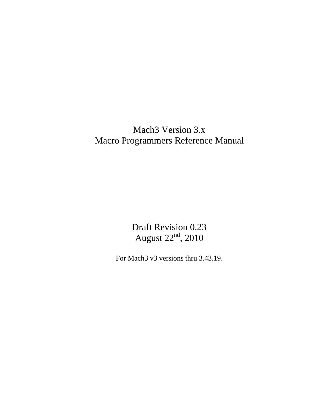# Mach3 Version 3.x Macro Programmers Reference Manual

Draft Revision 0.23 August 22nd, 2010

For Mach3 v3 versions thru 3.43.19.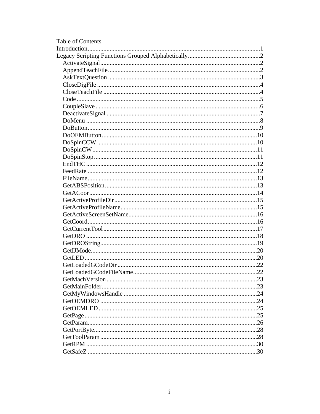| Table of Contents |  |
|-------------------|--|
|                   |  |
|                   |  |
|                   |  |
|                   |  |
|                   |  |
|                   |  |
|                   |  |
|                   |  |
|                   |  |
|                   |  |
|                   |  |
|                   |  |
|                   |  |
|                   |  |
|                   |  |
|                   |  |
|                   |  |
|                   |  |
|                   |  |
|                   |  |
|                   |  |
|                   |  |
|                   |  |
|                   |  |
|                   |  |
|                   |  |
|                   |  |
|                   |  |
|                   |  |
|                   |  |
|                   |  |
|                   |  |
|                   |  |
|                   |  |
|                   |  |
|                   |  |
|                   |  |
|                   |  |
|                   |  |
|                   |  |
|                   |  |
|                   |  |
|                   |  |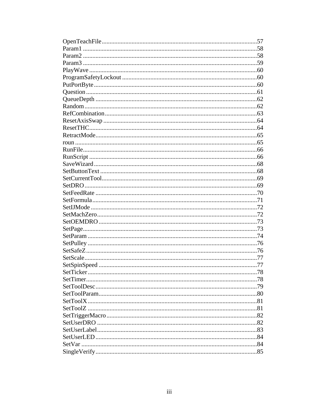| .78 |
|-----|
|     |
|     |
|     |
|     |
|     |
|     |
|     |
|     |
|     |
|     |
|     |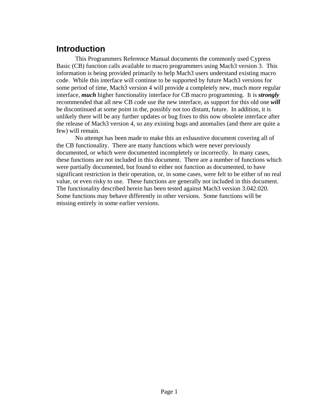## <span id="page-6-0"></span>**Introduction**

 This Programmers Reference Manual documents the commonly used Cypress Basic (CB) function calls available to macro programmers using Mach3 version 3. This information is being provided primarily to help Mach3 users understand existing macro code. While this interface will continue to be supported by future Mach3 versions for some period of time, Mach3 version 4 will provide a completely new, much more regular interface, *much* higher functionality interface for CB macro programming. It is *strongly* recommended that all new CB code use the new interface, as support for this old one *will* be discontinued at some point in the, possibly not too distant, future. In addition, it is unlikely there will be any further updates or bug fixes to this now obsolete interface after the release of Mach3 version 4, so any existing bugs and anomalies (and there are quite a few) will remain.

 No attempt has been made to make this an exhaustive document covering all of the CB functionality. There are many functions which were never previously documented, or which were documented incompletely or incorrectly. In many cases, these functions are not included in this document. There are a number of functions which were partially documented, but found to either not function as documented, to have significant restriction in their operation, or, in some cases, were felt to be either of no real value, or even risky to use. These functions are generally not included in this document. The functionality described herein has been tested against Mach3 version 3.042.020. Some functions may behave differently in other versions. Some functions will be missing entirely in some earlier versions.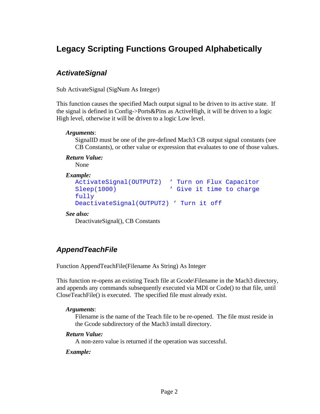# <span id="page-7-0"></span>**Legacy Scripting Functions Grouped Alphabetically**

## <span id="page-7-1"></span>*ActivateSignal*

Sub ActivateSignal (SigNum As Integer)

This function causes the specified Mach output signal to be driven to its active state. If the signal is defined in Config->Ports&Pins as ActiveHigh, it will be driven to a logic High level, otherwise it will be driven to a logic Low level.

#### *Arguments*:

SignalID must be one of the pre-defined Mach3 CB output signal constants (see CB Constants), or other value or expression that evaluates to one of those values.

#### *Return Value:*

None

#### *Example:*

```
ActivateSignal(OUTPUT2) ' Turn on Flux Capacitor 
Sleep(1000) (Sleep(1000) (Sleep(1000)
fully 
DeactivateSignal(OUTPUT2) ' Turn it off
```
#### *See also:*

DeactivateSignal(), CB Constants

## <span id="page-7-2"></span>*AppendTeachFile*

Function AppendTeachFile(Filename As String) As Integer

This function re-opens an existing Teach file at Gcode\Filename in the Mach3 directory, and appends any commands subsequently executed via MDI or Code() to that file, until CloseTeachFile() is executed. The specified file must already exist.

#### *Arguments*:

Filename is the name of the Teach file to be re-opened. The file must reside in the Gcode subdirectory of the Mach3 install directory.

#### *Return Value:*

A non-zero value is returned if the operation was successful.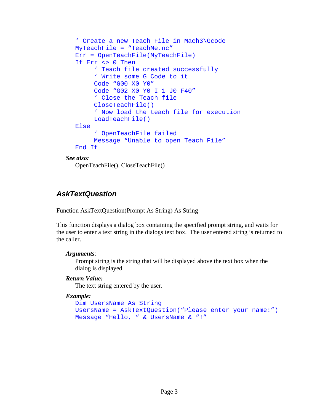```
' Create a new Teach File in Mach3\Gcode 
  MyTeachFile = "TeachMe.nc" 
  Err = OpenTeachFile(MyTeachFile) 
  If Err <> 0 Then 
         ' Teach file created successfully 
        ' Write some G Code to it 
         Code "G00 X0 Y0" 
         Code "G02 X0 Y0 I-1 J0 F40" 
         ' Close the Teach file 
         CloseTeachFile() 
         ' Now load the teach file for execution 
         LoadTeachFile() 
  Else 
         ' OpenTeachFile failed 
         Message "Unable to open Teach File" 
  End If 
See also:
```
OpenTeachFile(), CloseTeachFile()

## <span id="page-8-0"></span>*AskTextQuestion*

Function AskTextQuestion(Prompt As String) As String

This function displays a dialog box containing the specified prompt string, and waits for the user to enter a text string in the dialogs text box. The user entered string is returned to the caller.

#### *Arguments*:

Prompt string is the string that will be displayed above the text box when the dialog is displayed.

#### *Return Value:*

The text string entered by the user.

```
Dim UsersName As String 
UsersName = AskTextQuestion("Please enter your name:") 
Message "Hello, " & UsersName & "!"
```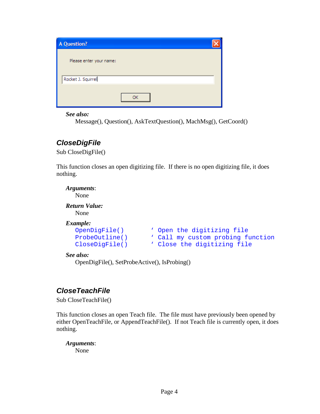| A Question?             |  |
|-------------------------|--|
| Please enter your name: |  |
| Rocket J. Squirrel      |  |
| ОΚ                      |  |

*See also:* 

Message(), Question(), AskTextQuestion(), MachMsg(), GetCoord()

## <span id="page-9-0"></span>*CloseDigFile*

Sub CloseDigFile()

This function closes an open digitizing file. If there is no open digitizing file, it does nothing.

*Arguments*: None *Return Value:*  None *Example:*  OpenDigFile()  $\qquad$  ' Open the digitizing file<br>ProbeOutline()  $\qquad$  ' Call my custom probing fi ' Call my custom probing function CloseDigFile() \ Close the digitizing file

*See also:* 

OpenDigFile(), SetProbeActive(), IsProbing()

## <span id="page-9-1"></span>*CloseTeachFile*

Sub CloseTeachFile()

This function closes an open Teach file. The file must have previously been opened by either OpenTeachFile, or AppendTeachFile(). If not Teach file is currently open, it does nothing.

*Arguments*:

None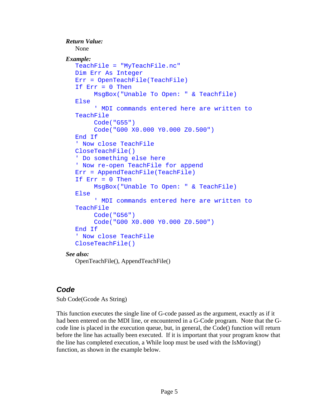```
Return Value: 
   None 
Example: 
  TeachFile = "MyTeachFile.nc" 
  Dim Err As Integer 
  Err = OpenTeachFile(TeachFile) 
  If Err = 0 Then
         MsgBox("Unable To Open: " & Teachfile) 
  Else 
         ' MDI commands entered here are written to 
  TeachFile 
         Code("G55") 
         Code("G00 X0.000 Y0.000 Z0.500") 
  End If 
   ' Now close TeachFile 
  CloseTeachFile() 
  ' Do something else here 
  ' Now re-open TeachFile for append 
  Err = AppendTeachFile(TeachFile) 
  If Err = 0 Then
         MsgBox("Unable To Open: " & TeachFile) 
  Else 
         ' MDI commands entered here are written to 
  TeachFile 
         Code("G56") 
         Code("G00 X0.000 Y0.000 Z0.500") 
  End If 
   ' Now close TeachFile 
  CloseTeachFile()
```
#### *See also:*

OpenTeachFile(), AppendTeachFile()

### <span id="page-10-0"></span>*Code*

Sub Code(Gcode As String)

This function executes the single line of G-code passed as the argument, exactly as if it had been entered on the MDI line, or encountered in a G-Code program. Note that the Gcode line is placed in the execution queue, but, in general, the Code() function will return before the line has actually been executed. If it is important that your program know that the line has completed execution, a While loop must be used with the IsMoving() function, as shown in the example below.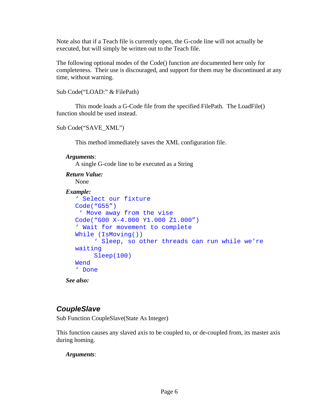Note also that if a Teach file is currently open, the G-code line will not actually be executed, but will simply be written out to the Teach file.

The following optional modes of the Code() function are documented here only for completeness. Their use is discouraged, and support for them may be discontinued at any time, without warning.

Sub Code("LOAD:" & FilePath)

This mode loads a G-Code file from the specified FilePath. The LoadFile() function should be used instead.

```
Sub Code("SAVE_XML")
```
This method immediately saves the XML configuration file.

```
Arguments:
```
A single G-code line to be executed as a String

```
Return Value: 
    None
```

```
Example:
```

```
' Select our fixture 
Code("G55") 
  ' Move away from the vise 
Code("G00 X-4.000 Y1.000 Z1.000") 
' Wait for movement to complete 
While (IsMoving()) 
      ' Sleep, so other threads can run while we're 
waiting 
      Sleep(100) 
Wend 
' Done
```
*See also:* 

## <span id="page-11-0"></span>*CoupleSlave*

Sub Function CoupleSlave(State As Integer)

This function causes any slaved axis to be coupled to, or de-coupled from, its master axis during homing.

*Arguments*: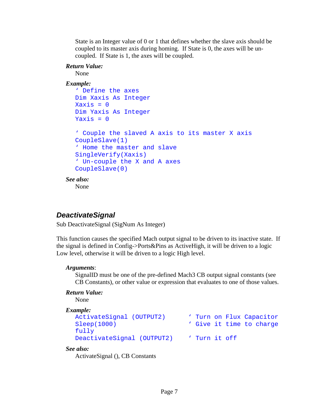State is an Integer value of 0 or 1 that defines whether the slave axis should be coupled to its master axis during homing. If State is 0, the axes will be uncoupled. If State is 1, the axes will be coupled.

#### *Return Value:*

None

#### *Example:*

```
' Define the axes 
  Dim Xaxis As Integer 
  Xaxis = 0Dim Yaxis As Integer 
  Yaxis = 0' Couple the slaved A axis to its master X axis 
  CoupleSlave(1) 
  ' Home the master and slave 
  SingleVerify(Xaxis) 
   ' Un-couple the X and A axes 
  CoupleSlave(0) 
See also: 
   None
```
## <span id="page-12-0"></span>*DeactivateSignal*

Sub DeactivateSignal (SigNum As Integer)

This function causes the specified Mach output signal to be driven to its inactive state. If the signal is defined in Config->Ports&Pins as ActiveHigh, it will be driven to a logic Low level, otherwise it will be driven to a logic High level.

### *Arguments*:

SignalID must be one of the pre-defined Mach3 CB output signal constants (see CB Constants), or other value or expression that evaluates to one of those values.

### *Return Value:*

None

#### *Example:*

```
ActivateSignal (OUTPUT2) ' Turn on Flux Capacitor 
Sleep(1000) \qquad \qquad ' Give it time to charge
fully 
DeactivateSignal (OUTPUT2) ' Turn it off
```
#### *See also:*

ActivateSignal (), CB Constants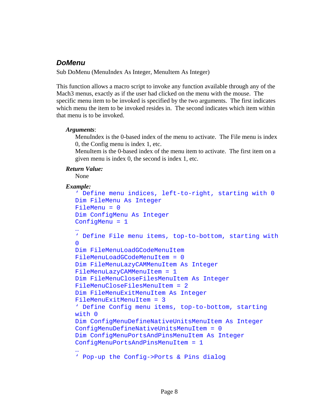## <span id="page-13-0"></span>*DoMenu*

Sub DoMenu (MenuIndex As Integer, MenuItem As Integer)

This function allows a macro script to invoke any function available through any of the Mach3 menus, exactly as if the user had clicked on the menu with the mouse. The specific menu item to be invoked is specified by the two arguments. The first indicates which menu the item to be invoked resides in. The second indicates which item within that menu is to be invoked.

### *Arguments*:

MenuIndex is the 0-based index of the menu to activate. The File menu is index 0, the Config menu is index 1, etc.

MenuItem is the 0-based index of the menu item to activate. The first item on a given menu is index 0, the second is index 1, etc.

### *Return Value:*

None

```
' Define menu indices, left-to-right, starting with 0 
Dim FileMenu As Integer 
FileMenu = 0 
Dim ConfigMenu As Integer 
ConfigMenu = 1 
… 
' Define File menu items, top-to-bottom, starting with 
\OmegaDim FileMenuLoadGCodeMenuItem 
FileMenuLoadGCodeMenuItem = 0 
Dim FileMenuLazyCAMMenuItem As Integer 
FileMenuLazyCAMMenuItem = 1 
Dim FileMenuCloseFilesMenuItem As Integer 
FileMenuCloseFilesMenuItem = 2 
Dim FileMenuExitMenuItem As Integer 
FileMenuExitMenuItem = 3 
' Define Config menu items, top-to-bottom, starting 
with 0 
Dim ConfigMenuDefineNativeUnitsMenuItem As Integer 
ConfigMenuDefineNativeUnitsMenuItem = 0 
Dim ConfigMenuPortsAndPinsMenuItem As Integer 
ConfigMenuPortsAndPinsMenuItem = 1 
… 
' Pop-up the Config->Ports & Pins dialog
```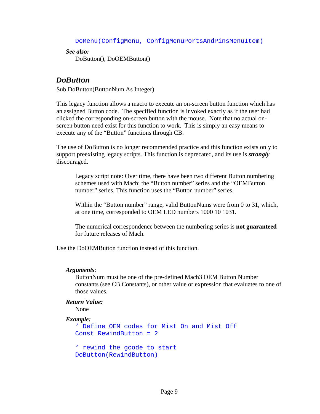DoMenu(ConfigMenu, ConfigMenuPortsAndPinsMenuItem)

*See also:*  DoButton(), DoOEMButton()

### <span id="page-14-0"></span>*DoButton*

Sub DoButton(ButtonNum As Integer)

This legacy function allows a macro to execute an on-screen button function which has an assigned Button code. The specified function is invoked exactly as if the user had clicked the corresponding on-screen button with the mouse. Note that no actual onscreen button need exist for this function to work. This is simply an easy means to execute any of the "Button" functions through CB.

The use of DoButton is no longer recommended practice and this function exists only to support preexisting legacy scripts. This function is deprecated, and its use is *strongly* discouraged.

Legacy script note: Over time, there have been two different Button numbering schemes used with Mach; the "Button number" series and the "OEMButton number" series. This function uses the "Button number" series.

Within the "Button number" range, valid ButtonNums were from 0 to 31, which, at one time, corresponded to OEM LED numbers 1000 10 1031.

The numerical correspondence between the numbering series is **not guaranteed**  for future releases of Mach.

Use the DoOEMButton function instead of this function.

#### *Arguments*:

ButtonNum must be one of the pre-defined Mach3 OEM Button Number constants (see CB Constants), or other value or expression that evaluates to one of those values.

#### *Return Value:*

None

```
' Define OEM codes for Mist On and Mist Off 
Const RewindButton = 2 
' rewind the gcode to start 
DoButton(RewindButton)
```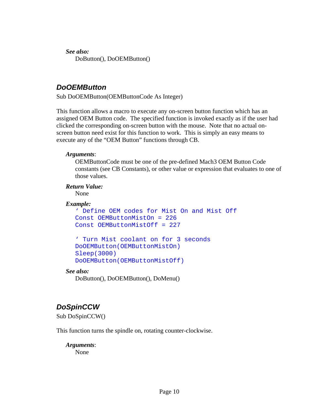*See also:*  DoButton(), DoOEMButton()

## <span id="page-15-0"></span>*DoOEMButton*

Sub DoOEMButton(OEMButtonCode As Integer)

This function allows a macro to execute any on-screen button function which has an assigned OEM Button code. The specified function is invoked exactly as if the user had clicked the corresponding on-screen button with the mouse. Note that no actual onscreen button need exist for this function to work. This is simply an easy means to execute any of the "OEM Button" functions through CB.

### *Arguments*:

OEMButtonCode must be one of the pre-defined Mach3 OEM Button Code constants (see CB Constants), or other value or expression that evaluates to one of those values.

#### *Return Value:*

None

### *Example:*

```
' Define OEM codes for Mist On and Mist Off 
Const OEMButtonMistOn = 226 
Const OEMButtonMistOff = 227
```

```
' Turn Mist coolant on for 3 seconds 
DoOEMButton(OEMButtonMistOn) 
Sleep(3000) 
DoOEMButton(OEMButtonMistOff)
```
### *See also:*

DoButton(), DoOEMButton(), DoMenu()

## <span id="page-15-1"></span>*DoSpinCCW*

Sub DoSpinCCW()

This function turns the spindle on, rotating counter-clockwise.

*Arguments*: None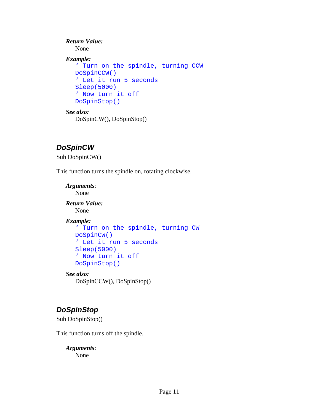```
Return Value: 
   None 
Example: 
   ' Turn on the spindle, turning CCW 
  DoSpinCCW() 
  ' Let it run 5 seconds 
  Sleep(5000) 
   ' Now turn it off 
  DoSpinStop()
```

```
See also: 
    DoSpinCW(), DoSpinStop()
```
## <span id="page-16-0"></span>*DoSpinCW*

Sub DoSpinCW()

This function turns the spindle on, rotating clockwise.

*Arguments*: None

*Return Value:*  None

*Example:* 

```
' Turn on the spindle, turning CW 
DoSpinCW() 
' Let it run 5 seconds 
Sleep(5000) 
' Now turn it off 
DoSpinStop()
```
### *See also:*

DoSpinCCW(), DoSpinStop()

## <span id="page-16-1"></span>*DoSpinStop*

Sub DoSpinStop()

This function turns off the spindle.

*Arguments*: None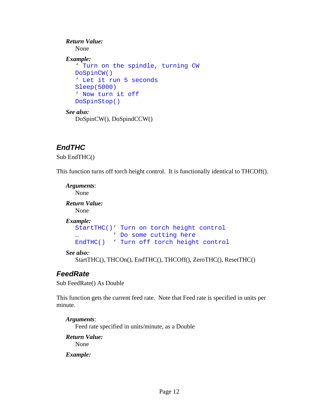```
Return Value: 
   None 
Example: 
   ' Turn on the spindle, turning CW 
  DoSpinCW() 
   ' Let it run 5 seconds 
  Sleep(5000) 
   ' Now turn it off 
  DoSpinStop() 
See also:
```
DoSpinCW(), DoSpindCCW()

## <span id="page-17-0"></span>*EndTHC*

Sub EndTHC()

This function turns off torch height control. It is functionally identical to THCOff().

```
Arguments: 
  None 
Return Value: 
   None 
Example: 
  StartTHC()' Turn on torch height control 
  … ' Do some cutting here 
  EndTHC() ' Turn off torch height control
```

```
See also:
```
StartTHC(), THCOn(), EndTHC(), THCOff(), ZeroTHC(), ResetTHC()

## <span id="page-17-1"></span>*FeedRate*

Sub FeedRate() As Double

This function gets the current feed rate. Note that Feed rate is specified in units per minute.

*Arguments*: Feed rate specified in units/minute, as a Double *Return Value:* 

None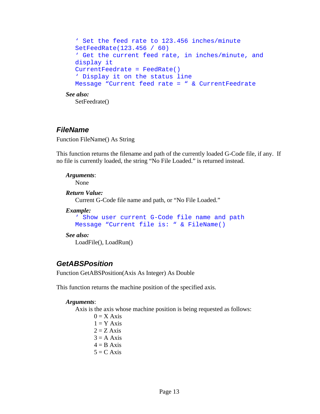```
' Set the feed rate to 123.456 inches/minute 
  SetFeedRate(123.456 / 60) 
   ' Get the current feed rate, in inches/minute, and 
  display it 
  CurrentFeedrate = FeedRate() 
   ' Display it on the status line 
  Message "Current feed rate = " & CurrentFeedrate 
See also: 
   SetFeedrate()
```
### <span id="page-18-0"></span>*FileName*

Function FileName() As String

This function returns the filename and path of the currently loaded G-Code file, if any. If no file is currently loaded, the string "No File Loaded." is returned instead.

*Arguments*: None

#### *Return Value:*

Current G-Code file name and path, or "No File Loaded."

#### *Example:*

```
' Show user current G-Code file name and path 
Message "Current file is: " & FileName()
```
#### *See also:*

LoadFile(), LoadRun()

### <span id="page-18-1"></span>*GetABSPosition*

Function GetABSPosition(Axis As Integer) As Double

This function returns the machine position of the specified axis.

#### *Arguments*:

Axis is the axis whose machine position is being requested as follows:

 $0 = X A x is$  $1 = Y Axis$  $2 = Z A x is$  $3 = A A x is$  $4 = B Axis$  $5 = C$  Axis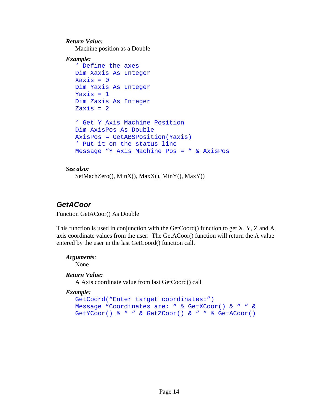#### *Return Value:*

Machine position as a Double

```
Example: 
  ' Define the axes 
  Dim Xaxis As Integer 
  Xaxis = 0Dim Yaxis As Integer 
  Yaxis = 1Dim Zaxis As Integer 
  Zaxis = 2' Get Y Axis Machine Position 
  Dim AxisPos As Double 
  AxisPos = GetABSPosition(Yaxis) 
  ' Put it on the status line 
  Message "Y Axis Machine Pos = " & AxisPos
```
#### *See also:*

SetMachZero(), MinX(), MaxX(), MinY(), MaxY()

## <span id="page-19-0"></span>*GetACoor*

Function GetACoor() As Double

This function is used in conjunction with the GetCoord() function to get X, Y, Z and A axis coordinate values from the user. The GetACoor() function will return the A value entered by the user in the last GetCoord() function call.

### *Arguments*:

None

### *Return Value:*

A Axis coordinate value from last GetCoord() call

```
GetCoord("Enter target coordinates:") 
Message "Coordinates are: " & GetXCoor() & " " & 
GetYCoor() & " " & GetZCoor() & " " & GetACoor()
```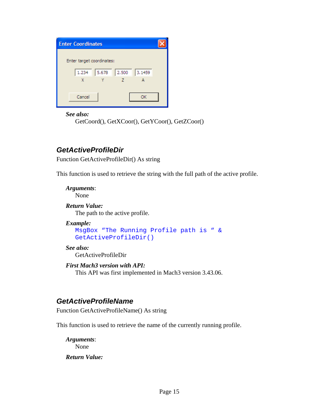| <b>Enter Coordinates</b>  |       |       |        |  |
|---------------------------|-------|-------|--------|--|
| Enter target coordinates: |       |       |        |  |
|                           |       |       |        |  |
| 1.234                     | 5.678 | 2.500 | 3.1459 |  |
| X                         |       |       |        |  |
|                           |       |       |        |  |
| Cancel                    |       |       | OK     |  |
|                           |       |       |        |  |

*See also:* 

GetCoord(), GetXCoor(), GetYCoor(), GetZCoor()

## <span id="page-20-0"></span>*GetActiveProfileDir*

Function GetActiveProfileDir() As string

This function is used to retrieve the string with the full path of the active profile.

*Arguments*:

None

*Return Value:*  The path to the active profile.

### *Example:*

```
MsgBox "The Running Profile path is " & 
GetActiveProfileDir()
```
*See also:* 

GetActiveProfileDir

*First Mach3 version with API:* 

This API was first implemented in Mach3 version 3.43.06.

## <span id="page-20-1"></span>*GetActiveProfileName*

Function GetActiveProfileName() As string

This function is used to retrieve the name of the currently running profile.

*Arguments*: None

*Return Value:*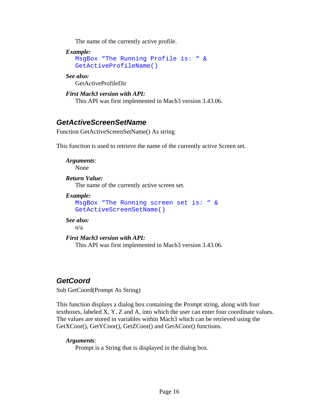The name of the currently active profile.

*Example:* 

```
MsgBox "The Running Profile is: " & 
GetActiveProfileName()
```
*See also:* 

GetActiveProfileDir

*First Mach3 version with API:*  This API was first implemented in Mach3 version 3.43.06.

## <span id="page-21-0"></span>*GetActiveScreenSetName*

Function GetActiveScreenSetName() As string

This function is used to retrieve the name of the currently active Screen set.

*Arguments*: None

*Return Value:* 

The name of the currently active screen set.

*Example:* 

```
MsgBox "The Running screen set is: " & 
GetActiveScreenSetName()
```
*See also:* 

n/a

*First Mach3 version with API:* 

This API was first implemented in Mach3 version 3.43.06.

## <span id="page-21-1"></span>*GetCoord*

Sub GetCoord(Prompt As String)

This function displays a dialog box containing the Prompt string, along with four textboxes, labeled X, Y, Z and A, into which the user can enter four coordinate values. The values are stored in variables within Mach3 which can be retrieved using the GetXCoor(), GetYCoor(), GetZCoor() and GetACoor() functions.

### *Arguments*:

Prompt is a String that is displayed in the dialog box.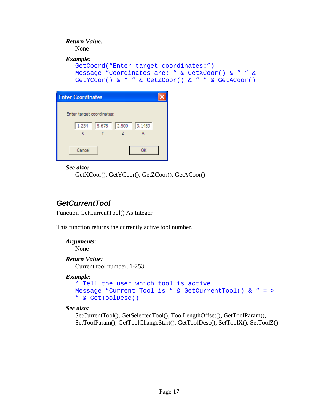## *Return Value:*  None *Example:*  GetCoord("Enter target coordinates:") Message "Coordinates are: " & GetXCoor() & " " & GetYCoor() & " " & GetZCoor() & " " & GetACoor()

| <b>Enter Coordinates</b>          |  |
|-----------------------------------|--|
|                                   |  |
| Enter target coordinates:         |  |
| 2.500<br>5.678<br>3,1459<br>1.234 |  |
| X<br>7                            |  |
|                                   |  |
| Cancel<br>OK                      |  |
|                                   |  |

#### *See also:*

GetXCoor(), GetYCoor(), GetZCoor(), GetACoor()

## <span id="page-22-0"></span>*GetCurrentTool*

Function GetCurrentTool() As Integer

This function returns the currently active tool number.

## *Arguments*: None

### *Return Value:*

Current tool number, 1-253.

### *Example:*

```
' Tell the user which tool is active 
Message "Current Tool is " & GetCurrentTool() & " = > 
" & GetToolDesc()
```
### *See also:*

SetCurrentTool(), GetSelectedTool(), ToolLengthOffset(), GetToolParam(), SetToolParam(), GetToolChangeStart(), GetToolDesc(), SetToolX(), SetToolZ()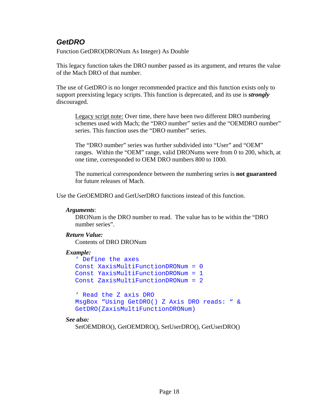## <span id="page-23-0"></span>*GetDRO*

Function GetDRO(DRONum As Integer) As Double

This legacy function takes the DRO number passed as its argument, and returns the value of the Mach DRO of that number.

The use of GetDRO is no longer recommended practice and this function exists only to support preexisting legacy scripts. This function is deprecated, and its use is *strongly* discouraged.

Legacy script note: Over time, there have been two different DRO numbering schemes used with Mach; the "DRO number" series and the "OEMDRO number" series. This function uses the "DRO number" series.

The "DRO number" series was further subdivided into "User" and "OEM" ranges. Within the "OEM" range, valid DRONums were from 0 to 200, which, at one time, corresponded to OEM DRO numbers 800 to 1000.

The numerical correspondence between the numbering series is **not guaranteed**  for future releases of Mach.

Use the GetOEMDRO and GetUserDRO functions instead of this function.

#### *Arguments*:

DRONum is the DRO number to read. The value has to be within the "DRO number series".

### *Return Value:*

Contents of DRO DRONum

#### *Example:*

```
' Define the axes 
Const XaxisMultiFunctionDRONum = 0 
Const YaxisMultiFunctionDRONum = 1 
Const ZaxisMultiFunctionDRONum = 2
```

```
' Read the Z axis DRO 
MsgBox "Using GetDRO() Z Axis DRO reads: " & 
GetDRO(ZaxisMultiFunctionDRONum)
```
### *See also:*

SetOEMDRO(), GetOEMDRO(), SetUserDRO(), GetUserDRO()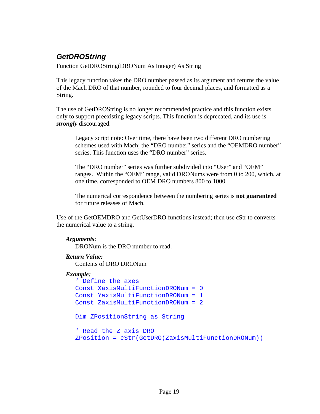## <span id="page-24-0"></span>*GetDROString*

Function GetDROString(DRONum As Integer) As String

This legacy function takes the DRO number passed as its argument and returns the value of the Mach DRO of that number, rounded to four decimal places, and formatted as a String.

The use of GetDROString is no longer recommended practice and this function exists only to support preexisting legacy scripts. This function is deprecated, and its use is *strongly* discouraged.

Legacy script note: Over time, there have been two different DRO numbering schemes used with Mach; the "DRO number" series and the "OEMDRO number" series. This function uses the "DRO number" series.

The "DRO number" series was further subdivided into "User" and "OEM" ranges. Within the "OEM" range, valid DRONums were from 0 to 200, which, at one time, corresponded to OEM DRO numbers 800 to 1000.

The numerical correspondence between the numbering series is **not guaranteed**  for future releases of Mach.

Use of the GetOEMDRO and GetUserDRO functions instead; then use cStr to converts the numerical value to a string.

#### *Arguments*:

DRONum is the DRO number to read.

### *Return Value:*

Contents of DRO DRONum

```
' Define the axes 
Const XaxisMultiFunctionDRONum = 0 
Const YaxisMultiFunctionDRONum = 1 
Const ZaxisMultiFunctionDRONum = 2 
Dim ZPositionString as String 
' Read the Z axis DRO 
ZPosition = cStr(GetDRO(ZaxisMultiFunctionDRONum))
```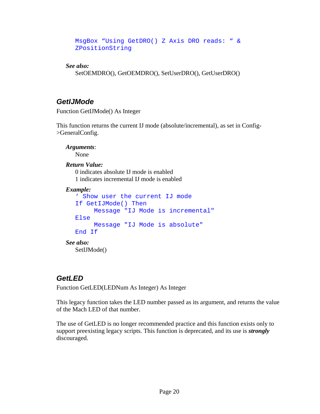```
MsgBox "Using GetDRO() Z Axis DRO reads: " & 
ZPositionString
```
*See also:* 

SetOEMDRO(), GetOEMDRO(), SetUserDRO(), GetUserDRO()

## <span id="page-25-0"></span>*GetIJMode*

Function GetIJMode() As Integer

This function returns the current IJ mode (absolute/incremental), as set in Config- >GeneralConfig.

*Arguments*: None *Return Value:* 

 0 indicates absolute IJ mode is enabled 1 indicates incremental IJ mode is enabled

### *Example:*

```
' Show user the current IJ mode 
  If GetIJMode() Then 
        Message "IJ Mode is incremental" 
  Else 
        Message "IJ Mode is absolute" 
  End If 
See also: 
   SetIJMode()
```
## <span id="page-25-1"></span>*GetLED*

Function GetLED(LEDNum As Integer) As Integer

This legacy function takes the LED number passed as its argument, and returns the value of the Mach LED of that number.

The use of GetLED is no longer recommended practice and this function exists only to support preexisting legacy scripts. This function is deprecated, and its use is *strongly* discouraged.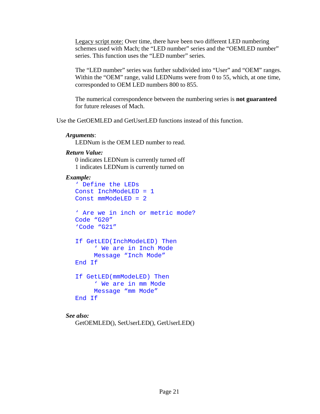Legacy script note: Over time, there have been two different LED numbering schemes used with Mach; the "LED number" series and the "OEMLED number" series. This function uses the "LED number" series.

The "LED number" series was further subdivided into "User" and "OEM" ranges. Within the "OEM" range, valid LEDNums were from 0 to 55, which, at one time, corresponded to OEM LED numbers 800 to 855.

The numerical correspondence between the numbering series is **not guaranteed**  for future releases of Mach.

Use the GetOEMLED and GetUserLED functions instead of this function.

#### *Arguments*:

LEDNum is the OEM LED number to read.

#### *Return Value:*

 0 indicates LEDNum is currently turned off 1 indicates LEDNum is currently turned on

#### *Example:*

```
' Define the LEDs 
Const InchModeLED = 1 
Const mmModeLED = 2 
' Are we in inch or metric mode? 
Code "G20" 
'Code "G21" 
If GetLED(InchModeLED) Then 
      ' We are in Inch Mode 
      Message "Inch Mode" 
End If 
If GetLED(mmModeLED) Then 
      ' We are in mm Mode 
      Message "mm Mode" 
End If
```
### *See also:*

```
GetOEMLED(), SetUserLED(), GetUserLED()
```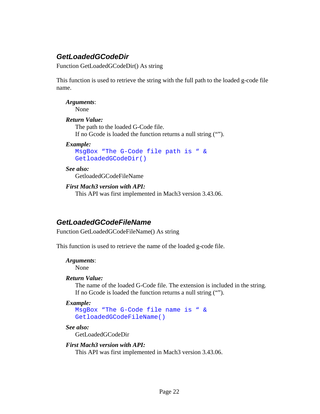## <span id="page-27-0"></span>*GetLoadedGCodeDir*

Function GetLoadedGCodeDir() As string

This function is used to retrieve the string with the full path to the loaded g-code file name.

*Arguments*: None

#### *Return Value:*

 The path to the loaded G-Code file. If no Gcode is loaded the function returns a null string ("").

#### *Example:*

```
MsgBox "The G-Code file path is " & 
GetloadedGCodeDir()
```
#### *See also:*

GetloadedGCodeFileName

#### *First Mach3 version with API:*

This API was first implemented in Mach3 version 3.43.06.

### <span id="page-27-1"></span>*GetLoadedGCodeFileName*

Function GetLoadedGCodeFileName() As string

This function is used to retrieve the name of the loaded g-code file.

#### *Arguments*:

None

#### *Return Value:*

 The name of the loaded G-Code file. The extension is included in the string. If no Gcode is loaded the function returns a null string ("").

#### *Example:*

```
MsgBox "The G-Code file name is " & 
GetloadedGCodeFileName()
```
#### *See also:*

GetLoadedGCodeDir

### *First Mach3 version with API:*

This API was first implemented in Mach3 version 3.43.06.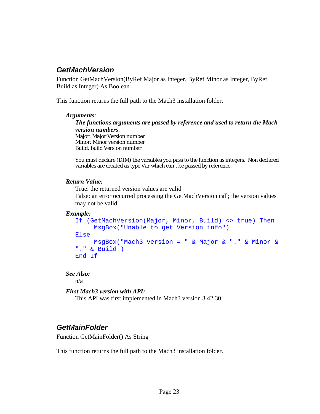## <span id="page-28-0"></span>*GetMachVersion*

Function GetMachVersion(ByRef Major as Integer, ByRef Minor as Integer, ByRef Build as Integer) As Boolean

This function returns the full path to the Mach3 installation folder.

#### *Arguments*:

*The functions arguments are passed by reference and used to return the Mach version numbers*. Major: Major Version number Minor: Minor version number Build: build Version number

You must declare (DIM) the variables you pass to the function as integers. Non declared variables are created as type Var which can't be passed by reference.

#### *Return Value:*

 True: the returned version values are valid False: an error occurred processing the GetMachVersion call; the version values may not be valid.

### *Example:*

```
If (GetMachVersion(Major, Minor, Build) <> true) Then 
     MsgBox("Unable to get Version info") 
Else 
    MsgBox("Mach3 version = " & Major & "." & Minor & 
"." & Build ) 
End If
```
### *See Also:*

n/a

### *First Mach3 version with API:*

This API was first implemented in Mach3 version 3.42.30.

## <span id="page-28-1"></span>*GetMainFolder*

Function GetMainFolder() As String

This function returns the full path to the Mach3 installation folder.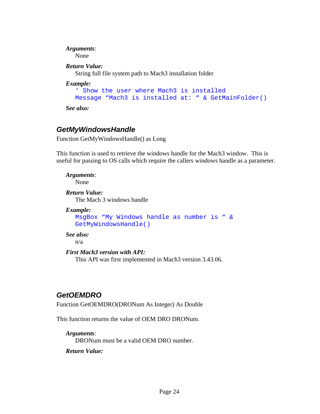## *Arguments*:

None

### *Return Value:*

String full file system path to Mach3 installation folder

### *Example:*

```
' Show the user where Mach3 is installed 
Message "Mach3 is installed at: " & GetMainFolder()
```
*See also:* 

## <span id="page-29-0"></span>*GetMyWindowsHandle*

Function GetMyWindowsHandle() as Long

This function is used to retrieve the windows handle for the Mach3 window. This is useful for passing to OS calls which require the callers windows handle as a parameter.

*Arguments*: None *Return Value:*  The Mach 3 windows handle *Example:* 

```
MsgBox "My Windows handle as number is " & 
GetMyWindowsHandle()
```
### *See also:*

n/a

### *First Mach3 version with API:*

This API was first implemented in Mach3 version 3.43.06.

## <span id="page-29-1"></span>*GetOEMDRO*

Function GetOEMDRO(DRONum As Integer) As Double

This function returns the value of OEM DRO DRONum.

### *Arguments*:

DRONum must be a valid OEM DRO number.

*Return Value:*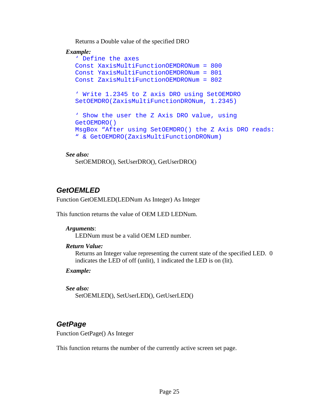Returns a Double value of the specified DRO

### *Example:*

```
' Define the axes 
Const XaxisMultiFunctionOEMDRONum = 800 
Const YaxisMultiFunctionOEMDRONum = 801 
Const ZaxisMultiFunctionOEMDRONum = 802 
' Write 1.2345 to Z axis DRO using SetOEMDRO 
SetOEMDRO(ZaxisMultiFunctionDRONum, 1.2345) 
' Show the user the Z Axis DRO value, using 
GetOEMDRO() 
MsgBox "After using SetOEMDRO() the Z Axis DRO reads: 
" & GetOEMDRO(ZaxisMultiFunctionDRONum)
```
#### *See also:*

```
 SetOEMDRO(), SetUserDRO(), GetUserDRO()
```
## <span id="page-30-0"></span>*GetOEMLED*

Function GetOEMLED(LEDNum As Integer) As Integer

This function returns the value of OEM LED LEDNum.

### *Arguments*:

LEDNum must be a valid OEM LED number.

### *Return Value:*

Returns an Integer value representing the current state of the specified LED. 0 indicates the LED of off (unlit), 1 indicated the LED is on (lit).

*Example:* 

```
See also:
```
SetOEMLED(), SetUserLED(), GetUserLED()

## <span id="page-30-1"></span>*GetPage*

Function GetPage() As Integer

This function returns the number of the currently active screen set page.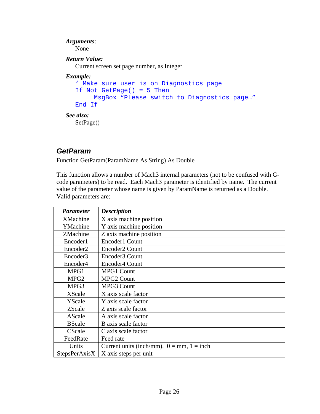## *Arguments*: None *Return Value:*  Current screen set page number, as Integer *Example:*  ' Make sure user is on Diagnostics page If Not GetPage() = 5 Then MsgBox "Please switch to Diagnostics page…" End If *See also:*  SetPage()

## <span id="page-31-0"></span>*GetParam*

Function GetParam(ParamName As String) As Double

This function allows a number of Mach3 internal parameters (not to be confused with Gcode parameters) to be read. Each Mach3 parameter is identified by name. The current value of the parameter whose name is given by ParamName is returned as a Double. Valid parameters are:

| <i>Parameter</i>     | <b>Description</b>                             |
|----------------------|------------------------------------------------|
| <b>XMachine</b>      | X axis machine position                        |
| YMachine             | Y axis machine position                        |
| ZMachine             | Z axis machine position                        |
| Encoder1             | Encoder1 Count                                 |
| Encoder <sub>2</sub> | Encoder <sub>2</sub> Count                     |
| Encoder3             | Encoder3 Count                                 |
| Encoder4             | Encoder4 Count                                 |
| MPG1                 | <b>MPG1 Count</b>                              |
| MPG <sub>2</sub>     | <b>MPG2 Count</b>                              |
| MPG3                 | MPG3 Count                                     |
| XScale               | X axis scale factor                            |
| YScale               | Y axis scale factor                            |
| ZScale               | Z axis scale factor                            |
| AScale               | A axis scale factor                            |
| <b>BScale</b>        | B axis scale factor                            |
| CScale               | C axis scale factor                            |
| FeedRate             | Feed rate                                      |
| Units                | Current units (inch/mm). $0 = mm$ , $1 = inch$ |
| StepsPerAxisX        | X axis steps per unit                          |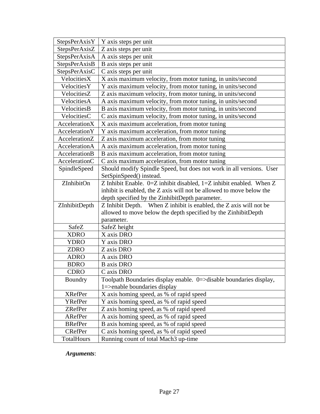| StepsPerAxisY        | Y axis steps per unit                                                   |
|----------------------|-------------------------------------------------------------------------|
| StepsPerAxisZ        | Z axis steps per unit                                                   |
| StepsPerAxisA        | A axis steps per unit                                                   |
| StepsPerAxisB        | B axis steps per unit                                                   |
| StepsPerAxisC        | C axis steps per unit                                                   |
| VelocitiesX          | X axis maximum velocity, from motor tuning, in units/second             |
| VelocitiesY          | Y axis maximum velocity, from motor tuning, in units/second             |
| VelocitiesZ          | Z axis maximum velocity, from motor tuning, in units/second             |
| VelocitiesA          | A axis maximum velocity, from motor tuning, in units/second             |
| VelocitiesB          | B axis maximum velocity, from motor tuning, in units/second             |
| VelocitiesC          | C axis maximum velocity, from motor tuning, in units/second             |
| AccelerationX        | X axis maximum acceleration, from motor tuning                          |
| <b>AccelerationY</b> | Y axis maximum acceleration, from motor tuning                          |
| AccelerationZ        | Z axis maximum acceleration, from motor tuning                          |
| AccelerationA        | A axis maximum acceleration, from motor tuning                          |
| AccelerationB        | B axis maximum acceleration, from motor tuning                          |
| <b>AccelerationC</b> | C axis maximum acceleration, from motor tuning                          |
| SpindleSpeed         | Should modify Spindle Speed, but does not work in all versions. User    |
|                      | SetSpinSpeed() instead.                                                 |
| ZInhibitOn           | Z Inhibit Enable. $0=Z$ inhibit disabled, $1=Z$ inhibit enabled. When Z |
|                      | inhibit is enabled, the Z axis will not be allowed to move below the    |
|                      | depth specified by the ZinhibitDepth parameter.                         |
| ZInhibitDepth        | Z Inhibit Depth. When Z inhibit is enabled, the Z axis will not be      |
|                      | allowed to move below the depth specified by the ZinhibitDepth          |
|                      | parameter.                                                              |
| SafeZ                | SafeZ height                                                            |
| <b>XDRO</b>          | X axis DRO                                                              |
| <b>YDRO</b>          | Y axis DRO                                                              |
| <b>ZDRO</b>          | Z axis DRO                                                              |
| <b>ADRO</b>          | A axis DRO                                                              |
| <b>BDRO</b>          | <b>B</b> axis DRO                                                       |
| <b>CDRO</b>          | C axis DRO                                                              |
| Boundry              | Toolpath Boundaries display enable. 0=>disable boundaries display,      |
|                      | $1 =$ >enable boundaries display                                        |
| <b>XRefPer</b>       | X axis homing speed, as % of rapid speed                                |
| YRefPer              | Y axis homing speed, as % of rapid speed                                |
| ZRefPer              | Z axis homing speed, as % of rapid speed                                |
| ARefPer              | A axis homing speed, as % of rapid speed                                |
| <b>BRefPer</b>       | B axis homing speed, as % of rapid speed                                |
| <b>CRefPer</b>       | C axis homing speed, as % of rapid speed                                |
| <b>TotalHours</b>    | Running count of total Mach3 up-time                                    |

*Arguments*: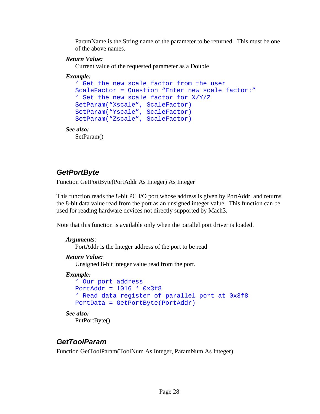ParamName is the String name of the parameter to be returned. This must be one of the above names.

### *Return Value:*

Current value of the requested parameter as a Double

### *Example:*

```
' Get the new scale factor from the user 
  ScaleFactor = Question "Enter new scale factor:" 
  ' Set the new scale factor for X/Y/Z 
  SetParam("Xscale", ScaleFactor) 
  SetParam("Yscale", ScaleFactor) 
  SetParam("Zscale", ScaleFactor) 
See also:
```
SetParam()

## <span id="page-33-0"></span>*GetPortByte*

Function GetPortByte(PortAddr As Integer) As Integer

This function reads the 8-bit PC I/O port whose address is given by PortAddr, and returns the 8-bit data value read from the port as an unsigned integer value. This function can be used for reading hardware devices not directly supported by Mach3.

Note that this function is available only when the parallel port driver is loaded.

### *Arguments*:

PortAddr is the Integer address of the port to be read

### *Return Value:*

Unsigned 8-bit integer value read from the port.

### *Example:*

```
' Our port address 
PortAddr = 1016 ' 0x3f8 
' Read data register of parallel port at 0x3f8 
PortData = GetPortByte(PortAddr)
```
# *See also:*

PutPortByte()

## <span id="page-33-1"></span>*GetToolParam*

Function GetToolParam(ToolNum As Integer, ParamNum As Integer)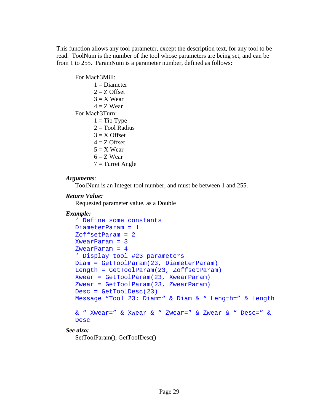This function allows any tool parameter, except the description text, for any tool to be read. ToolNum is the number of the tool whose parameters are being set, and can be from 1 to 255. ParamNum is a parameter number, defined as follows:

For Mach3Mill:  $1 =$ Diameter  $2 = Z$  Offset  $3 = X$  Wear  $4 = Z$  Wear For Mach3Turn:  $1 =$ Tip Type  $2 = Tool$  Radius  $3 = X$  Offset  $4 = Z$  Offset  $5 = X$  Wear  $6 = Z$  Wear  $7 =$ Turret Angle

#### *Arguments*:

ToolNum is an Integer tool number, and must be between 1 and 255.

### *Return Value:*

Requested parameter value, as a Double

### *Example:*

```
' Define some constants 
DiameterParam = 1 
ZoffsetParam = 2 
XwearParam = 3 
ZwearParam = 4 
' Display tool #23 parameters 
Diam = GetToolParam(23, DiameterParam) 
Length = GetToolParam(23, ZoffsetParam) 
Xwear = GetToolParam(23, XwearParam) 
Zwear = GetToolParam(23, ZwearParam) 
Desc = GetToolDesc(23) 
Message "Tool 23: Diam=" & Diam & " Length=" & Length 
\overline{\phantom{a}}& " Xwear=" & Xwear & " Zwear=" & Zwear & " Desc=" & 
Desc
```
### *See also:*

SetToolParam(), GetToolDesc()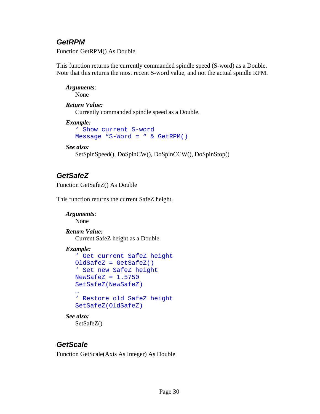## <span id="page-35-0"></span>*GetRPM*

Function GetRPM() As Double

This function returns the currently commanded spindle speed (S-word) as a Double. Note that this returns the most recent S-word value, and not the actual spindle RPM.

*Arguments*: None

### *Return Value:*

Currently commanded spindle speed as a Double.

```
Example:
```

```
' Show current S-word 
Message "S-Word = " & GetRPM()
```
### *See also:*

SetSpinSpeed(), DoSpinCW(), DoSpinCCW(), DoSpinStop()

## <span id="page-35-1"></span>*GetSafeZ*

Function GetSafeZ() As Double

This function returns the current SafeZ height.

```
Arguments: 
   None 
Return Value: 
    Current SafeZ height as a Double. 
Example: 
   ' Get current SafeZ height 
   OldSafeZ = GetSafeZ() 
   ' Set new SafeZ height 
   NewsafeZ = 1.5750SetSafeZ(NewSafeZ) 
   … 
   ' Restore old SafeZ height 
   SetSafeZ(OldSafeZ) 
See also: 
    SetSafeZ()
```
### <span id="page-35-2"></span>*GetScale*

Function GetScale(Axis As Integer) As Double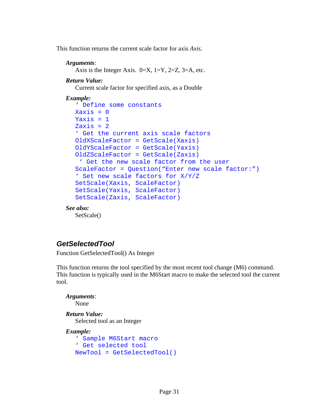This function returns the current scale factor for axis *Axis*.

#### *Arguments*:

Axis is the Integer Axis.  $0=X$ ,  $1=Y$ ,  $2=Z$ ,  $3=A$ , etc.

#### *Return Value:*

Current scale factor for specified axis, as a Double

#### *Example:*

```
' Define some constants 
X \rightarrow X \rightarrow \inftyYaxis = 1Zaxis = 2' Get the current axis scale factors 
OldXScaleFactor = GetScale(Xaxis) 
OldYScaleFactor = GetScale(Yaxis) 
OldZScaleFactor = GetScale(Zaxis) 
  ' Get the new scale factor from the user 
ScaleFactor = Question("Enter new scale factor:") 
' Set new scale factors for X/Y/Z 
SetScale(Xaxis, ScaleFactor) 
SetScale(Yaxis, ScaleFactor) 
SetScale(Zaxis, ScaleFactor)
```
#### *See also:*

SetScale()

## *GetSelectedTool*

Function GetSelectedTool() As Integer

This function returns the tool specified by the most recent tool change (M6) command. This function is typically used in the M6Start macro to make the selected tool the current tool.

*Arguments*:

None

### *Return Value:*

Selected tool as an Integer

```
' Sample M6Start macro 
' Get selected tool 
NewTool = GetSelectedTool()
```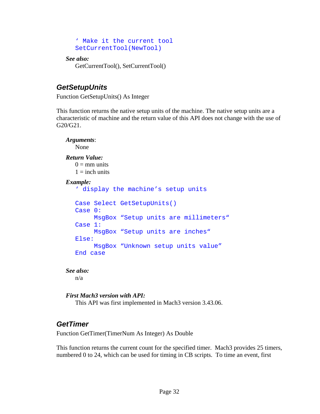```
' Make it the current tool 
SetCurrentTool(NewTool)
```

```
See also:
```
GetCurrentTool(), SetCurrentTool()

## *GetSetupUnits*

Function GetSetupUnits() As Integer

This function returns the native setup units of the machine. The native setup units are a characteristic of machine and the return value of this API does not change with the use of G20/G21.

```
Arguments: 
  None 
Return Value: 
  0 = \text{mm units}1 = inch units
Example: 
   ' display the machine's setup units 
  Case Select GetSetupUnits() 
  Case 0: 
        MsgBox "Setup units are millimeters" 
   Case 1: 
        MsgBox "Setup units are inches" 
   Else: 
         MsgBox "Unknown setup units value" 
   End case
```
*See also:*  n/a

```
First Mach3 version with API:
```
This API was first implemented in Mach3 version 3.43.06.

## *GetTimer*

Function GetTimer(TimerNum As Integer) As Double

This function returns the current count for the specified timer. Mach3 provides 25 timers, numbered 0 to 24, which can be used for timing in CB scripts. To time an event, first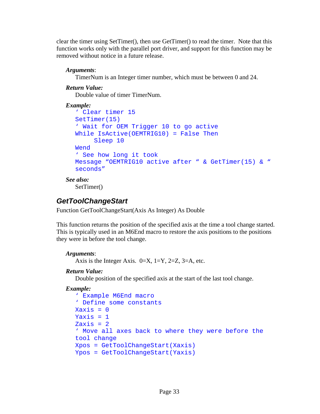clear the timer using SetTimer(), then use GetTimer() to read the timer. Note that this function works only with the parallel port driver, and support for this function may be removed without notice in a future release.

#### *Arguments*:

TimerNum is an Integer timer number, which must be between 0 and 24.

#### *Return Value:*

Double value of timer TimerNum.

```
Example:
```

```
' Clear timer 15 
SetTimer(15) 
' Wait for OEM Trigger 10 to go active 
While IsActive(OEMTRIG10) = False Then 
      Sleep 10 
Wend 
' See how long it took 
Message "OEMTRIG10 active after " & GetTimer(15) & " 
seconds"
```
*See also:*  SetTimer()

## *GetToolChangeStart*

Function GetToolChangeStart(Axis As Integer) As Double

This function returns the position of the specified axis at the time a tool change started. This is typically used in an M6End macro to restore the axis positions to the positions they were in before the tool change.

#### *Arguments*:

Axis is the Integer Axis.  $0=X$ ,  $1=Y$ ,  $2=Z$ ,  $3=A$ , etc.

#### *Return Value:*

Double position of the specified axis at the start of the last tool change.

```
' Example M6End macro 
' Define some constants 
Xaxis = 0Yaxis = 1Zaxis = 2' Move all axes back to where they were before the 
tool change 
Xpos = GetToolChangeStart(Xaxis) 
Ypos = GetToolChangeStart(Yaxis)
```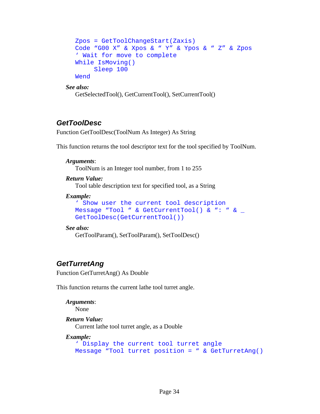```
Zpos = GetToolChangeStart(Zaxis) 
Code "G00 X" & Xpos & " Y" & Ypos & " Z" & Zpos 
' Wait for move to complete 
While IsMoving() 
      Sleep 100 
Wend
```
GetSelectedTool(), GetCurrentTool(), SetCurrentTool()

## *GetToolDesc*

Function GetToolDesc(ToolNum As Integer) As String

This function returns the tool descriptor text for the tool specified by ToolNum.

#### *Arguments*:

ToolNum is an Integer tool number, from 1 to 255

#### *Return Value:*

Tool table description text for specified tool, as a String

#### *Example:*

```
' Show user the current tool description 
Message "Tool " & GetCurrentTool() & ": " & _ 
GetToolDesc(GetCurrentTool())
```
#### *See also:*

```
 GetToolParam(), SetToolParam(), SetToolDesc()
```
# *GetTurretAng*

Function GetTurretAng() As Double

This function returns the current lathe tool turret angle.

```
Arguments: 
   None 
Return Value: 
    Current lathe tool turret angle, as a Double 
Example:
```

```
' Display the current tool turret angle 
Message "Tool turret position = " & GetTurretAng()
```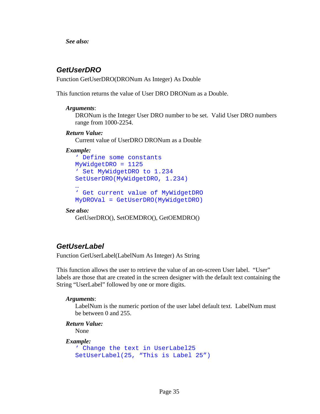## *GetUserDRO*

Function GetUserDRO(DRONum As Integer) As Double

This function returns the value of User DRO DRONum as a Double.

#### *Arguments*:

DRONum is the Integer User DRO number to be set. Valid User DRO numbers range from 1000-2254.

#### *Return Value:*

Current value of UserDRO DRONum as a Double

#### *Example:*

' Define some constants MyWidgetDRO = 1125 ' Set MyWidgetDRO to 1.234 SetUserDRO(MyWidgetDRO, 1.234) … ' Get current value of MyWidgetDRO MyDROVal = GetUserDRO(MyWidgetDRO)

#### *See also:*

GetUserDRO(), SetOEMDRO(), GetOEMDRO()

## *GetUserLabel*

Function GetUserLabel(LabelNum As Integer) As String

This function allows the user to retrieve the value of an on-screen User label. "User" labels are those that are created in the screen designer with the default text containing the String "UserLabel" followed by one or more digits.

#### *Arguments*:

LabelNum is the numeric portion of the user label default text. LabelNum must be between 0 and 255.

#### *Return Value:*

None

```
' Change the text in UserLabel25 
SetUserLabel(25, "This is Label 25")
```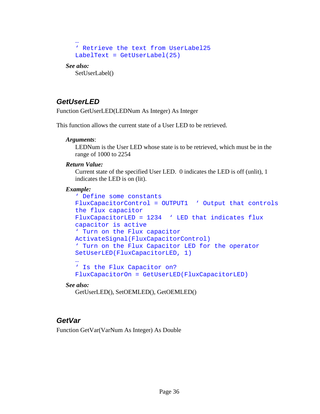```
… 
' Retrieve the text from UserLabel25 
LabelText = GetUserLabel(25)
```
SetUserLabel()

## *GetUserLED*

Function GetUserLED(LEDNum As Integer) As Integer

This function allows the current state of a User LED to be retrieved.

#### *Arguments*:

LEDNum is the User LED whose state is to be retrieved, which must be in the range of 1000 to 2254

#### *Return Value:*

Current state of the specified User LED. 0 indicates the LED is off (unlit), 1 indicates the LED is on (lit).

#### *Example:*

```
' Define some constants 
FluxCapacitorControl = OUTPUT1 ' Output that controls 
the flux capacitor 
FluxCapacitorLED = 1234 ' LED that indicates flux 
capacitor is active 
' Turn on the Flux capacitor 
ActivateSignal(FluxCapacitorControl) 
' Turn on the Flux Capacitor LED for the operator 
SetUserLED(FluxCapacitorLED, 1) 
… 
' Is the Flux Capacitor on? 
FluxCapacitorOn = GetUserLED(FluxCapacitorLED)
```
#### *See also:*

GetUserLED(), SetOEMLED(), GetOEMLED()

## *GetVar*

Function GetVar(VarNum As Integer) As Double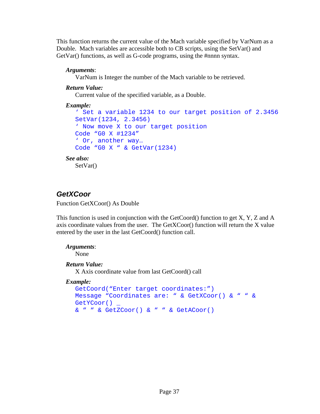This function returns the current value of the Mach variable specified by VarNum as a Double. Mach variables are accessible both to CB scripts, using the SetVar() and GetVar() functions, as well as G-code programs, using the #nnnn syntax.

### *Arguments*:

VarNum is Integer the number of the Mach variable to be retrieved.

### *Return Value:*

Current value of the specified variable, as a Double.

### *Example:*

```
' Set a variable 1234 to our target position of 2.3456 
  SetVar(1234, 2.3456) 
  ' Now move X to our target position 
  Code "G0 X #1234" 
  ' Or, another way… 
  Code "G0 X " & GetVar(1234) 
See also: 
   SetVar()
```
# *GetXCoor*

Function GetXCoor() As Double

This function is used in conjunction with the GetCoord() function to get  $X, Y, Z$  and  $A$ axis coordinate values from the user. The GetXCoor() function will return the X value entered by the user in the last GetCoord() function call.

#### *Arguments*:

None

## *Return Value:*

X Axis coordinate value from last GetCoord() call

```
GetCoord("Enter target coordinates:") 
Message "Coordinates are: " & GetXCoor() & " " & 
GetYCoor() _
& " " & GetZCoor() & " " & GetACoor()
```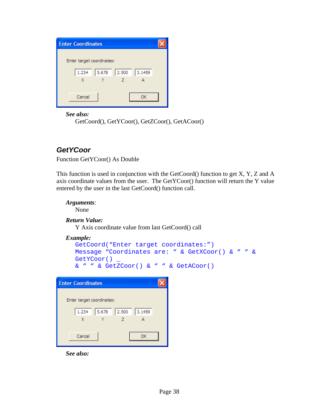| <b>Enter Coordinates</b>          |  |
|-----------------------------------|--|
| Enter target coordinates:         |  |
|                                   |  |
| 2.500<br>5.678<br>3.1459<br>1.234 |  |
| X                                 |  |
| Cancel<br>ΩK                      |  |
|                                   |  |

GetCoord(), GetYCoor(), GetZCoor(), GetACoor()

## *GetYCoor*

Function GetYCoor() As Double

This function is used in conjunction with the GetCoord() function to get X, Y, Z and A axis coordinate values from the user. The GetYCoor() function will return the Y value entered by the user in the last GetCoord() function call.

```
Arguments:
```
None

```
Return Value:
```
Y Axis coordinate value from last GetCoord() call

*Example:* 

```
GetCoord("Enter target coordinates:") 
Message "Coordinates are: " & GetXCoor() & " " & 
GetYCoor() _
& " " & GetZCoor() & " " & GetACoor()
```

| <b>Enter Coordinates</b>          |  |
|-----------------------------------|--|
|                                   |  |
| Enter target coordinates:         |  |
| 2.500<br>5.678<br>1.234<br>3,1459 |  |
| X<br>7                            |  |
|                                   |  |
| Cancel<br>OK                      |  |
|                                   |  |

*See also:*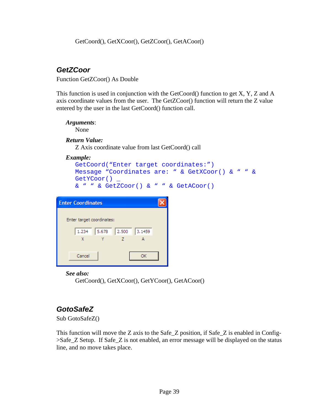GetCoord(), GetXCoor(), GetZCoor(), GetACoor()

## *GetZCoor*

Function GetZCoor() As Double

This function is used in conjunction with the GetCoord() function to get X, Y, Z and A axis coordinate values from the user. The GetZCoor() function will return the Z value entered by the user in the last GetCoord() function call.

#### *Arguments*:

None

#### *Return Value:*

Z Axis coordinate value from last GetCoord() call

*Example:* 

```
GetCoord("Enter target coordinates:") 
Message "Coordinates are: " & GetXCoor() & " " & 
GetYCoor() _ 
& " " & GetZCoor() & " " & GetACoor()
```

| <b>Enter Coordinates</b>          |  |
|-----------------------------------|--|
|                                   |  |
| Enter target coordinates:         |  |
| 5.678<br>2.500<br>1.234<br>3.1459 |  |
| X<br>7                            |  |
|                                   |  |
| Cancel<br>OK                      |  |
|                                   |  |

#### *See also:*

GetCoord(), GetXCoor(), GetYCoor(), GetACoor()

## *GotoSafeZ*

Sub GotoSafeZ()

This function will move the Z axis to the Safe\_Z position, if Safe\_Z is enabled in Config-  $>$ Safe Z Setup. If Safe Z is not enabled, an error message will be displayed on the status line, and no move takes place.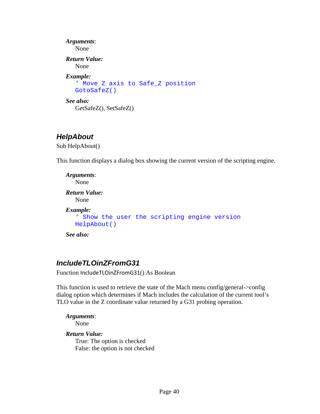```
Arguments: 
   None 
Return Value: 
    None 
Example: 
   ' Move Z axis to Safe_Z position 
   GotoSafeZ() 
See also: 
    GetSafeZ(), SetSafeZ()
```
### *HelpAbout*

Sub HelpAbout()

This function displays a dialog box showing the current version of the scripting engine.

```
Arguments: 
   None 
Return Value: 
    None 
Example: 
   ' Show the user the scripting engine version 
   HelpAbout()
```
*See also:* 

## *IncludeTLOinZFromG31*

Function IncludeTLOinZFromG31() As Boolean

This function is used to retrieve the state of the Mach menu config/general->config dialog option which determines if Mach includes the calculation of the current tool's TLO value in the Z coordinate value returned by a G31 probing operation.

*Arguments*: None

### *Return Value:*

True: The option is checked False: the option is not checked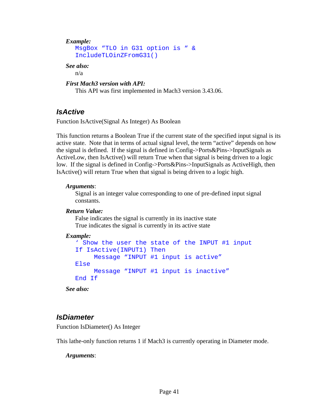#### *Example:*

```
MsgBox "TLO in G31 option is " & 
IncludeTLOinZFromG31()
```
#### *See also:*

n/a

*First Mach3 version with API:* 

This API was first implemented in Mach3 version 3.43.06.

## *IsActive*

Function IsActive(Signal As Integer) As Boolean

This function returns a Boolean True if the current state of the specified input signal is its active state. Note that in terms of actual signal level, the term "active" depends on how the signal is defined. If the signal is defined in Config->Ports&Pins->InputSignals as ActiveLow, then IsActive() will return True when that signal is being driven to a logic low. If the signal is defined in Config->Ports&Pins->InputSignals as ActiveHigh, then IsActive() will return True when that signal is being driven to a logic high.

#### *Arguments*:

Signal is an integer value corresponding to one of pre-defined input signal constants.

#### *Return Value:*

 False indicates the signal is currently in its inactive state True indicates the signal is currently in its active state

### *Example:*

```
' Show the user the state of the INPUT #1 input 
If IsActive(INPUT1) Then 
      Message "INPUT #1 input is active" 
Else 
      Message "INPUT #1 input is inactive" 
End If
```
*See also:* 

## *IsDiameter*

Function IsDiameter() As Integer

This lathe-only function returns 1 if Mach3 is currently operating in Diameter mode.

### *Arguments*: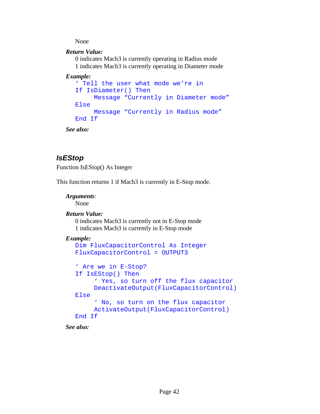None

#### *Return Value:*

 0 indicates Mach3 is currently operating in Radius mode 1 indicates Mach3 is currently operating in Diameter mode

#### *Example:*

```
' Tell the user what mode we're in 
If IsDiameter() Then 
     Message "Currently in Diameter mode" 
Else 
      Message "Currently in Radius mode" 
End If
```
*See also:* 

## *IsEStop*

Function IsEStop() As Integer

This function returns 1 if Mach3 is currently in E-Stop mode.

#### *Arguments*:

None

### *Return Value:*

 0 indicates Mach3 is currently not in E-Stop mode 1 indicates Mach3 is currently in E-Stop mode

#### *Example:*

```
Dim FluxCapacitorControl As Integer 
FluxCapacitorControl = OUTPUT3 
' Are we in E-Stop? 
If IsEStop() Then 
      ' Yes, so turn off the flux capacitor 
      DeactivateOutput(FluxCapacitorControl) 
Else 
      ' No, so turn on the flux capacitor 
      ActivateOutput(FluxCapacitorControl) 
End If
```
*See also:*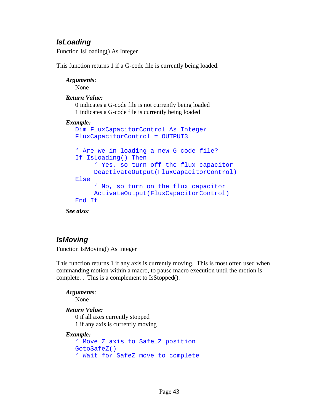## *IsLoading*

Function IsLoading() As Integer

This function returns 1 if a G-code file is currently being loaded.

*Arguments*: None

#### *Return Value:*

 0 indicates a G-code file is not currently being loaded 1 indicates a G-code file is currently being loaded

#### *Example:*

```
Dim FluxCapacitorControl As Integer 
FluxCapacitorControl = OUTPUT3 
' Are we in loading a new G-code file? 
If IsLoading() Then 
      ' Yes, so turn off the flux capacitor 
      DeactivateOutput(FluxCapacitorControl) 
Else 
      ' No, so turn on the flux capacitor 
      ActivateOutput(FluxCapacitorControl) 
End If
```
*See also:* 

## *IsMoving*

Function IsMoving() As Integer

This function returns 1 if any axis is currently moving. This is most often used when commanding motion within a macro, to pause macro execution until the motion is complete. . This is a complement to IsStopped().

*Arguments*:

None

#### *Return Value:*

 0 if all axes currently stopped 1 if any axis is currently moving

```
' Move Z axis to Safe_Z position 
GotoSafeZ() 
' Wait for SafeZ move to complete
```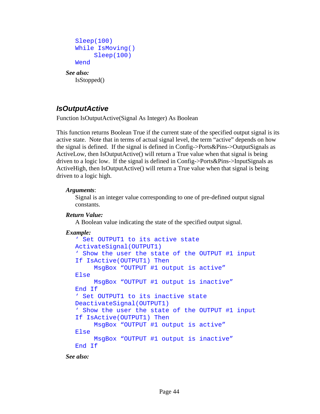```
Sleep(100) 
While IsMoving() 
      Sleep(100) 
Wend
```
#### *See also:*  IsStopped()

# *IsOutputActive*

Function IsOutputActive(Signal As Integer) As Boolean

This function returns Boolean True if the current state of the specified output signal is its active state. Note that in terms of actual signal level, the term "active" depends on how the signal is defined. If the signal is defined in Config->Ports&Pins->OutputSignals as ActiveLow, then IsOutputActive() will return a True value when that signal is being driven to a logic low. If the signal is defined in Config->Ports&Pins->InputSignals as ActiveHigh, then IsOutputActive() will return a True value when that signal is being driven to a logic high.

#### *Arguments*:

Signal is an integer value corresponding to one of pre-defined output signal constants.

#### *Return Value:*

A Boolean value indicating the state of the specified output signal.

### *Example:*

```
' Set OUTPUT1 to its active state 
ActivateSignal(OUTPUT1) 
' Show the user the state of the OUTPUT #1 input 
If IsActive(OUTPUT1) Then 
      MsgBox "OUTPUT #1 output is active" 
Else 
      MsgBox "OUTPUT #1 output is inactive" 
End If 
' Set OUTPUT1 to its inactive state 
DeactivateSignal(OUTPUT1) 
' Show the user the state of the OUTPUT #1 input 
If IsActive(OUTPUT1) Then 
      MsgBox "OUTPUT #1 output is active" 
Else 
      MsgBox "OUTPUT #1 output is inactive" 
End If
```
*See also:*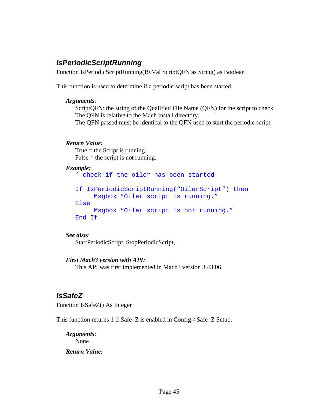## *IsPeriodicScriptRunning*

Function IsPeriodicScriptRunning(ByVal ScriptQFN as String) as Boolean

This function is used to determine if a periodic script has been started.

#### *Arguments*:

ScriptQFN: the string of the Qualified File Name (QFN) for the script to check. The QFN is relative to the Mach install directory. The QFN passed must be identical to the QFN used to start the periodic script.

#### *Return Value:*

True  $=$  the Script is running.  $False =$  the script is not running.

#### *Example:*

' check if the oiler has been started

```
If IsPeriodicScriptRunning("OilerScript") then 
      Msgbox "Oiler script is running." 
Else 
      Msgbox "Oiler script is not running." 
End If
```
#### *See also:*

StartPeriodicScript, StopPeriodicScript,

#### *First Mach3 version with API:*

This API was first implemented in Mach3 version 3.43.06.

## *IsSafeZ*

Function IsSafeZ() As Integer

This function returns 1 if Safe\_Z is enabled in Config->Safe\_Z Setup.

*Arguments*: None *Return Value:*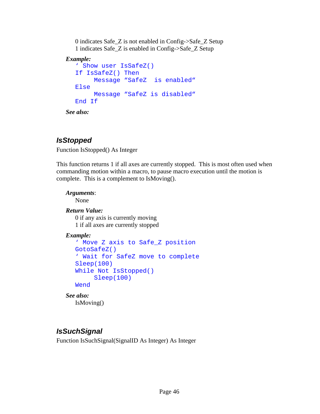0 indicates Safe\_Z is not enabled in Config->Safe\_Z Setup 1 indicates Safe\_Z is enabled in Config->Safe\_Z Setup

### *Example:*

```
' Show user IsSafeZ() 
If IsSafeZ() Then 
     Message "SafeZ is enabled" 
Else 
     Message "SafeZ is disabled" 
End If
```
*See also:* 

# *IsStopped*

Function IsStopped() As Integer

This function returns 1 if all axes are currently stopped. This is most often used when commanding motion within a macro, to pause macro execution until the motion is complete. This is a complement to IsMoving().

### *Arguments*:

None

## *Return Value:*

 0 if any axis is currently moving 1 if all axes are currently stopped

## *Example:*

```
' Move Z axis to Safe_Z position 
GotoSafeZ() 
' Wait for SafeZ move to complete 
Sleep(100) 
While Not IsStopped() 
      Sleep(100) 
Wend
```
#### *See also:*  IsMoving()

# *IsSuchSignal*

Function IsSuchSignal(SignalID As Integer) As Integer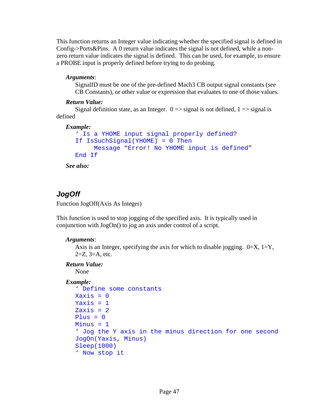This function returns an Integer value indicating whether the specified signal is defined in Config->Ports&Pins. A 0 return value indicates the signal is not defined, while a nonzero return value indicates the signal is defined. This can be used, for example, to ensure a PROBE input is properly defined before trying to do probing.

#### *Arguments*:

SignalID must be one of the pre-defined Mach3 CB output signal constants (see CB Constants), or other value or expression that evaluates to one of those values.

#### *Return Value:*

Signal definition state, as an Integer.  $0 \Rightarrow$  signal is not defined,  $1 \Rightarrow$  signal is defined

#### *Example:*

```
' Is a YHOME input signal properly defined? 
If IsSuchSignal(YHOME) = 0 Then 
      Message "Error! No YHOME input is defined" 
End If
```
*See also:* 

## *JogOff*

Function JogOff(Axis As Integer)

This function is used to stop jogging of the specified axis. It is typically used in conjunction with JogOn() to jog an axis under control of a script.

#### *Arguments*:

```
Axis is an Integer, specifying the axis for which to disable jogging. 0=X, 1=Y,
2=Z, 3=A, etc.
```
#### *Return Value:*

None

```
' Define some constants 
Xaxis = 0Yaxis = 1Zaxis = 2Plus = 0Minus = 1' Jog the Y axis in the minus direction for one second 
JogOn(Yaxis, Minus) 
Sleep(1000) 
' Now stop it
```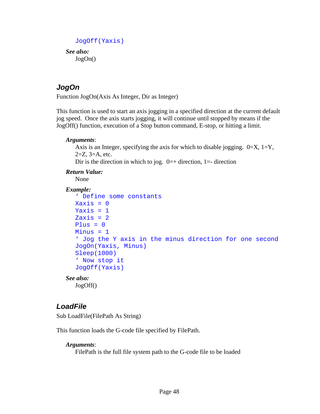```
JogOff(Yaxis)
```
*See also:*  JogOn()

## *JogOn*

Function JogOn(Axis As Integer, Dir as Integer)

This function is used to start an axis jogging in a specified direction at the current default jog speed. Once the axis starts jogging, it will continue until stopped by means if the JogOff() function, execution of a Stop button command, E-stop, or hitting a limit.

#### *Arguments*:

Axis is an Integer, specifying the axis for which to disable jogging.  $0=X$ ,  $1=Y$ ,  $2=Z$ ,  $3=A$ , etc.

Dir is the direction in which to jog.  $0=+$  direction, 1=- direction

#### *Return Value:*

None

#### *Example:*

```
' Define some constants 
  X axis = 0Yaxis = 1Zaxis = 2Plus = 0Minus = 1' Jog the Y axis in the minus direction for one second 
  JogOn(Yaxis, Minus) 
  Sleep(1000) 
  ' Now stop it 
  JogOff(Yaxis) 
See also:
```
## JogOff()

## *LoadFile*

Sub LoadFile(FilePath As String)

This function loads the G-code file specified by FilePath.

#### *Arguments*:

FilePath is the full file system path to the G-code file to be loaded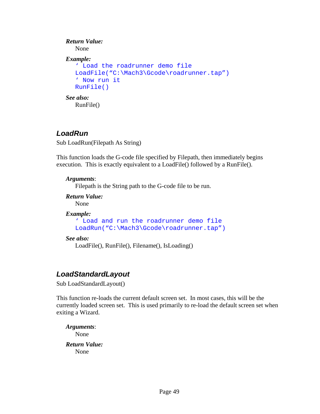```
Return Value: 
    None 
Example: 
   ' Load the roadrunner demo file 
   LoadFile("C:\Mach3\Gcode\roadrunner.tap") 
   ' Now run it 
   RunFile() 
See also: 
    RunFile()
```
### *LoadRun*

Sub LoadRun(Filepath As String)

This function loads the G-code file specified by Filepath, then immediately begins execution. This is exactly equivalent to a LoadFile() followed by a RunFile().

#### *Arguments*:

Filepath is the String path to the G-code file to be run.

*Return Value:* 

None

*Example:* 

```
' Load and run the roadrunner demo file 
LoadRun("C:\Mach3\Gcode\roadrunner.tap")
```
#### *See also:*

LoadFile(), RunFile(), Filename(), IsLoading()

## *LoadStandardLayout*

Sub LoadStandardLayout()

This function re-loads the current default screen set. In most cases, this will be the currently loaded screen set. This is used primarily to re-load the default screen set when exiting a Wizard.

*Arguments*: None *Return Value:*  None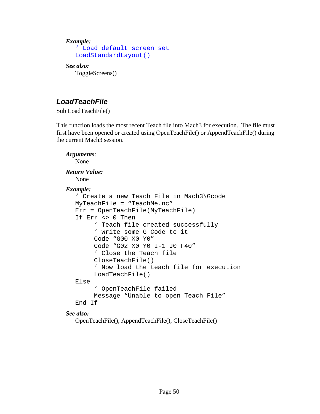*Example:* 

```
' Load default screen set 
LoadStandardLayout()
```
*See also:* 

ToggleScreens()

## *LoadTeachFile*

Sub LoadTeachFile()

This function loads the most recent Teach file into Mach3 for execution. The file must first have been opened or created using OpenTeachFile() or AppendTeachFile() during the current Mach3 session.

```
Arguments: 
  None 
Return Value: 
   None 
Example: 
   ' Create a new Teach File in Mach3\Gcode 
  MyTeachFile = "TeachMe.nc" 
  Err = OpenTeachFile(MyTeachFile) 
  If Err <> 0 Then 
         ' Teach file created successfully 
        ' Write some G Code to it 
         Code "G00 X0 Y0" 
         Code "G02 X0 Y0 I-1 J0 F40" 
         ' Close the Teach file 
         CloseTeachFile() 
         ' Now load the teach file for execution 
         LoadTeachFile() 
  Else 
         ' OpenTeachFile failed 
         Message "Unable to open Teach File" 
  End If
```
*See also:* 

OpenTeachFile(), AppendTeachFile(), CloseTeachFile()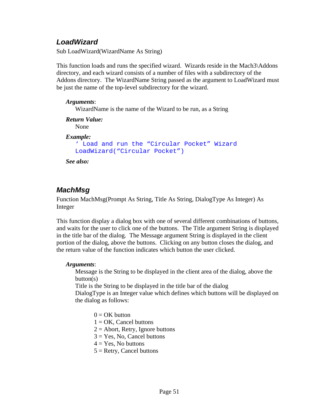## *LoadWizard*

Sub LoadWizard(WizardName As String)

This function loads and runs the specified wizard. Wizards reside in the Mach3\Addons directory, and each wizard consists of a number of files with a subdirectory of the Addons directory. The WizardName String passed as the argument to LoadWizard must be just the name of the top-level subdirectory for the wizard.

#### *Arguments*:

WizardName is the name of the Wizard to be run, as a String

```
Return Value: 
   None 
Example: 
   ' Load and run the "Circular Pocket" Wizard 
  LoadWizard("Circular Pocket")
```
*See also:* 

## *MachMsg*

Function MachMsg(Prompt As String, Title As String, DialogType As Integer) As Integer

This function display a dialog box with one of several different combinations of buttons, and waits for the user to click one of the buttons. The Title argument String is displayed in the title bar of the dialog. The Message argument String is displayed in the client portion of the dialog, above the buttons. Clicking on any button closes the dialog, and the return value of the function indicates which button the user clicked.

#### *Arguments*:

Message is the String to be displayed in the client area of the dialog, above the  $button(s)$ 

Title is the String to be displayed in the title bar of the dialog

DialogType is an Integer value which defines which buttons will be displayed on the dialog as follows:

- $0 = OK$  button
- $1 = OK$ , Cancel buttons
- $2 =$  Abort, Retry, Ignore buttons
- $3 = Yes$ , No, Cancel buttons
- $4 = Yes$ . No buttons
- $5 =$  Retry, Cancel buttons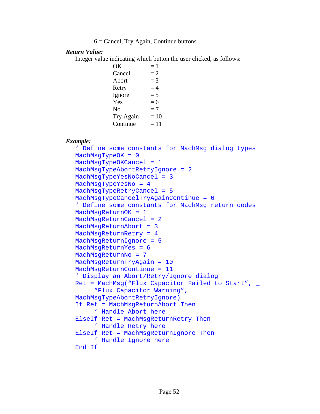```
6 = Cancel, Try Again, Continue buttons
```
#### *Return Value:*

Integer value indicating which button the user clicked, as follows:

 $OK = 1$  $Cancel = 2$ Abort  $= 3$ Retry  $= 4$ Ignore  $= 5$  $Yes = 6$ No  $= 7$ Try Again  $= 10$ Continue  $= 11$ 

#### *Example:*

' Define some constants for MachMsg dialog types MachMsgTypeOK = 0 MachMsgTypeOKCancel = 1 MachMsgTypeAbortRetryIgnore = 2 MachMsgTypeYesNoCancel = 3 MachMsgTypeYesNo = 4 MachMsgTypeRetryCancel = 5 MachMsgTypeCancelTryAgainContinue = 6 ' Define some constants for MachMsg return codes MachMsqReturnOK = 1 MachMsgReturnCancel = 2 MachMsgReturnAbort = 3 MachMsgReturnRetry = 4 MachMsgReturnIgnore = 5 MachMsgReturnYes = 6 MachMsgReturnNo = 7 MachMsgReturnTryAgain = 10 MachMsgReturnContinue = 11 ' Display an Abort/Retry/Ignore dialog Ret = MachMsg("Flux Capacitor Failed to Start",  $\overline{\phantom{a}}$  "Flux Capacitor Warning", MachMsgTypeAbortRetryIgnore) If Ret = MachMsgReturnAbort Then ' Handle Abort here ElseIf Ret = MachMsgReturnRetry Then ' Handle Retry here ElseIf Ret = MachMsgReturnIgnore Then ' Handle Ignore here End If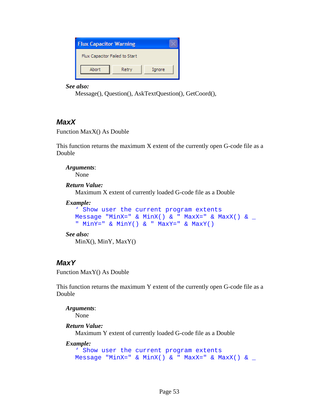| <b>Flux Capacitor Warning</b>  |       |        |
|--------------------------------|-------|--------|
| Flux Capacitor Failed to Start |       |        |
| Abort                          | Retry | Ignore |

```
 Message(), Question(), AskTextQuestion(), GetCoord(),
```
## *MaxX*

Function MaxX() As Double

This function returns the maximum X extent of the currently open G-code file as a Double

*Arguments*: None

*Return Value:* 

Maximum X extent of currently loaded G-code file as a Double

#### *Example:*

' Show user the current program extents Message "MinX=" & MinX() & " MaxX=" & MaxX() &  $\_$ " MinY=" & MinY() & " MaxY=" & MaxY()

### *See also:*

MinX(), MinY, MaxY()

## *MaxY*

Function MaxY() As Double

This function returns the maximum Y extent of the currently open G-code file as a Double

*Arguments*: None

*Return Value:* 

Maximum Y extent of currently loaded G-code file as a Double

```
Example: 
  ' Show user the current program extents 
  Message "MinX=" & MinX() & " MaxX=" & MaxX() & \_
```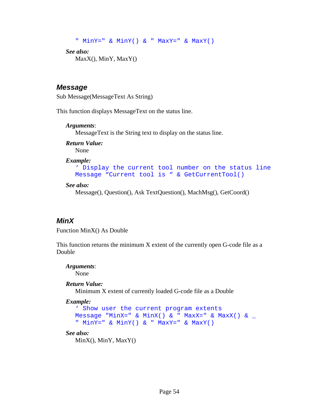```
" MinY=" & MinY() & " MaxY=" & MaxY() 
See also:
```

```
 MaxX(), MinY, MaxY()
```
### *Message*

Sub Message(MessageText As String)

This function displays MessageText on the status line.

#### *Arguments*:

MessageText is the String text to display on the status line.

*Return Value:*  None

#### *Example:*

```
' Display the current tool number on the status line 
Message "Current tool is " & GetCurrentTool()
```
#### *See also:*

Message(), Question(), Ask TextQuestion(), MachMsg(), GetCoord()

## *MinX*

Function MinX() As Double

This function returns the minimum X extent of the currently open G-code file as a Double

#### *Arguments*:

None

### *Return Value:*

Minimum X extent of currently loaded G-code file as a Double

#### *Example:*

```
' Show user the current program extents 
Message "MinX=" & MinX() & " MaxX=" & MaxX() & _{-}" MinY=" & MinY() & " MaxY=" & MaxY()
```
#### *See also:*

MinX(), MinY, MaxY()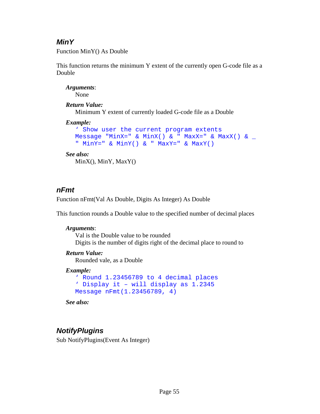## *MinY*

Function MinY() As Double

This function returns the minimum Y extent of the currently open G-code file as a Double

*Arguments*: None

### *Return Value:*

Minimum Y extent of currently loaded G-code file as a Double

### *Example:*

```
' Show user the current program extents 
Message "MinX=" & MinX() & " MaxX=" & MaxX() & \overline{\phantom{a}}" MinY=" & MinY() & " MaxY=" & MaxY()
```
### *See also:*

MinX(), MinY, MaxY()

## *nFmt*

Function nFmt(Val As Double, Digits As Integer) As Double

This function rounds a Double value to the specified number of decimal places

## *Arguments*:

Val is the Double value to be rounded Digits is the number of digits right of the decimal place to round to

## *Return Value:*

Rounded vale, as a Double

### *Example:*

```
' Round 1.23456789 to 4 decimal places 
' Display it – will display as 1.2345 
Message nFmt(1.23456789, 4)
```
*See also:* 

# *NotifyPlugins*

Sub NotifyPlugins(Event As Integer)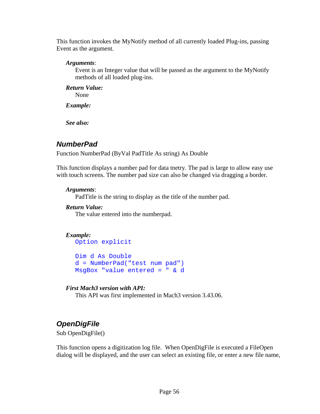This function invokes the MyNotify method of all currently loaded Plug-ins, passing Event as the argument.

#### *Arguments*:

Event is an Integer value that will be passed as the argument to the MyNotify methods of all loaded plug-ins.

*Return Value:*  None

*Example:* 

*See also:* 

## *NumberPad*

Function NumberPad (ByVal PadTitle As string) As Double

This function displays a number pad for data tnetry. The pad is large to allow easy use with touch screens. The number pad size can also be changed via dragging a border.

#### *Arguments*:

PadTitle is the string to display as the title of the number pad.

#### *Return Value:*

The value entered into the numberpad.

#### *Example:*

Option explicit

Dim d As Double d = NumberPad("test num pad") MsgBox "value entered = " & d

#### *First Mach3 version with API:*

This API was first implemented in Mach3 version 3.43.06.

## *OpenDigFile*

Sub OpenDigFile()

This function opens a digitization log file. When OpenDigFile is executed a FileOpen dialog will be displayed, and the user can select an existing file, or enter a new file name,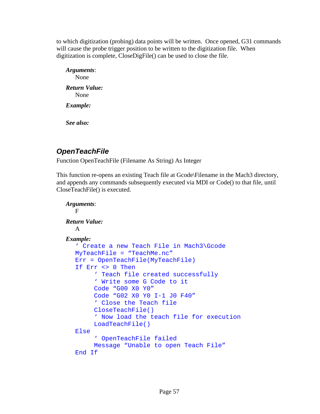to which digitization (probing) data points will be written. Once opened, G31 commands will cause the probe trigger position to be written to the digitization file. When digitization is complete, CloseDigFile() can be used to close the file.

*Arguments*: None *Return Value:*  None *Example:* 

*See also:* 

# *OpenTeachFile*

Function OpenTeachFile (Filename As String) As Integer

This function re-opens an existing Teach file at Gcode\Filename in the Mach3 directory, and appends any commands subsequently executed via MDI or Code() to that file, until CloseTeachFile() is executed.

```
Arguments: 
  F 
Return Value: 
    A 
Example: 
   ' Create a new Teach File in Mach3\Gcode 
  MyTeachFile = "TeachMe.nc" 
  Err = OpenTeachFile(MyTeachFile) 
   If Err <> 0 Then 
         ' Teach file created successfully 
        ' Write some G Code to it 
         Code "G00 X0 Y0" 
         Code "G02 X0 Y0 I-1 J0 F40" 
         ' Close the Teach file 
         CloseTeachFile() 
         ' Now load the teach file for execution 
         LoadTeachFile() 
  Else 
         ' OpenTeachFile failed 
         Message "Unable to open Teach File" 
  End If
```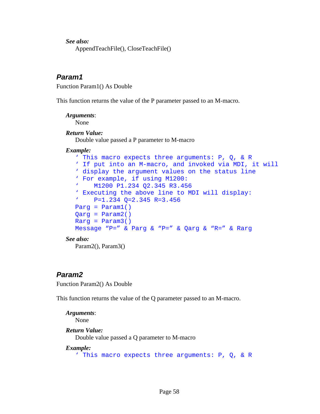AppendTeachFile(), CloseTeachFile()

### *Param1*

Function Param1() As Double

This function returns the value of the P parameter passed to an M-macro.

#### *Arguments*:

None

#### *Return Value:*

Double value passed a P parameter to M-macro

#### *Example:*

```
' This macro expects three arguments: P, Q, & R 
' If put into an M-macro, and invoked via MDI, it will 
' display the argument values on the status line 
' For example, if using M1200: 
' M1200 P1.234 Q2.345 R3.456 
' Executing the above line to MDI will display: 
' P=1.234 Q=2.345 R=3.456 
Parg = Param1() 
Qarg = Param2() 
Rarg =qMessage "P=" & Parg & "P=" & Qarg & "R=" & Rarg
```
#### *See also:*

Param2(), Param3()

### *Param2*

Function Param2() As Double

This function returns the value of the Q parameter passed to an M-macro.

```
Arguments: 
   None 
Return Value: 
    Double value passed a Q parameter to M-macro 
Example: 
   ' This macro expects three arguments: P, Q, & R
```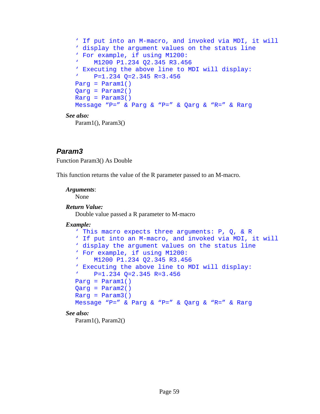```
' If put into an M-macro, and invoked via MDI, it will 
  ' display the argument values on the status line 
   ' For example, if using M1200: 
   ' M1200 P1.234 Q2.345 R3.456 
   ' Executing the above line to MDI will display: 
  ' P=1.234 Q=2.345 R=3.456 
  Parg = Param1()Qarg = Param2() 
  Rarg = Param3()Message "P=" & Parg & "P=" & Qarg & "R=" & Rarg 
See also: 
   Param1(), Param3()
```
## *Param3*

Function Param3() As Double

This function returns the value of the R parameter passed to an M-macro.

#### *Arguments*:

None

#### *Return Value:*

Double value passed a R parameter to M-macro

#### *Example:*

```
' This macro expects three arguments: P, Q, & R 
  ' If put into an M-macro, and invoked via MDI, it will 
  ' display the argument values on the status line 
  ' For example, if using M1200: 
  ' M1200 P1.234 Q2.345 R3.456 
  ' Executing the above line to MDI will display: 
  ' P=1.234 Q=2.345 R=3.456 
  Parg = Param1()Qarg =qRarg = Param3() 
  Message "P=" & Parg & "P=" & Qarg & "R=" & Rarg 
See also:
```
Param1(), Param2()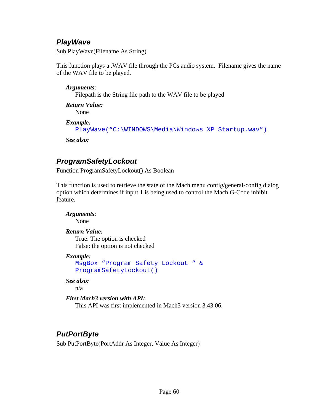## *PlayWave*

Sub PlayWave(Filename As String)

This function plays a .WAV file through the PCs audio system. Filename gives the name of the WAV file to be played.

### *Arguments*:

Filepath is the String file path to the WAV file to be played

*Return Value:*  None

```
Example: 
  PlayWave("C:\WINDOWS\Media\Windows XP Startup.wav")
```
*See also:* 

# *ProgramSafetyLockout*

Function ProgramSafetyLockout() As Boolean

This function is used to retrieve the state of the Mach menu config/general-config dialog option which determines if input 1 is being used to control the Mach G-Code inhibit feature.

*Arguments*: None *Return Value:*  True: The option is checked False: the option is not checked *Example:*  MsgBox "Program Safety Lockout " & ProgramSafetyLockout() *See also:*  n/a

```
First Mach3 version with API:
```
This API was first implemented in Mach3 version 3.43.06.

# *PutPortByte*

Sub PutPortByte(PortAddr As Integer, Value As Integer)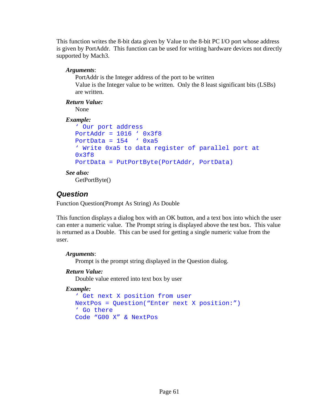This function writes the 8-bit data given by Value to the 8-bit PC I/O port whose address is given by PortAddr. This function can be used for writing hardware devices not directly supported by Mach3.

### *Arguments*:

PortAddr is the Integer address of the port to be written Value is the Integer value to be written. Only the 8 least significant bits (LSBs) are written.

## *Return Value:*

None

### *Example:*

```
' Our port address 
PortAddr = 1016 ' 0x3f8PortData = 154 ' 0xa5
' Write 0xa5 to data register of parallel port at 
0x3f8 
PortData = PutPortByte(PortAddr, PortData)
```
### *See also:*

GetPortByte()

# *Question*

Function Question(Prompt As String) As Double

This function displays a dialog box with an OK button, and a text box into which the user can enter a numeric value. The Prompt string is displayed above the test box. This value is returned as a Double. This can be used for getting a single numeric value from the user.

### *Arguments*:

Prompt is the prompt string displayed in the Question dialog.

### *Return Value:*

Double value entered into text box by user

```
' Get next X position from user 
NextPos = Question("Enter next X position:") 
' Go there 
Code "G00 X" & NextPos
```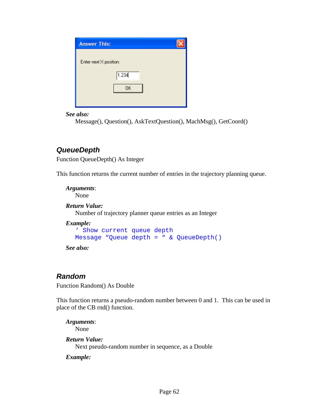| <b>Answer This:</b>    |       |  |
|------------------------|-------|--|
| Enter next X position: |       |  |
|                        |       |  |
|                        | 1.234 |  |
|                        | 0K    |  |
|                        |       |  |

Message(), Question(), AskTextQuestion(), MachMsg(), GetCoord()

## *QueueDepth*

Function QueueDepth() As Integer

This function returns the current number of entries in the trajectory planning queue.

*Arguments*: None

*Return Value:*  Number of trajectory planner queue entries as an Integer

*Example:* 

```
' Show current queue depth 
Message "Queue depth = " & QueueDepth()
```
*See also:* 

## *Random*

Function Random() As Double

This function returns a pseudo-random number between 0 and 1. This can be used in place of the CB rnd() function.

*Arguments*: None *Return Value:* 

Next pseudo-random number in sequence, as a Double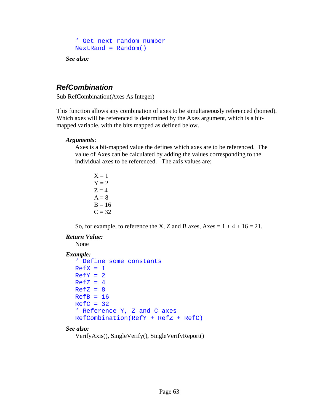```
' Get next random number 
NextRand = Random()
```
## *RefCombination*

Sub RefCombination(Axes As Integer)

This function allows any combination of axes to be simultaneously referenced (homed). Which axes will be referenced is determined by the Axes argument, which is a bitmapped variable, with the bits mapped as defined below.

#### *Arguments*:

Axes is a bit-mapped value the defines which axes are to be referenced. The value of Axes can be calculated by adding the values corresponding to the individual axes to be referenced. The axis values are:

 $X = 1$  $Y = 2$  $Z = 4$  $A = 8$  $B = 16$  $C = 32$ 

So, for example, to reference the X, Z and B axes,  $Axes = 1 + 4 + 16 = 21$ .

#### *Return Value:*

None

#### *Example:*

```
' Define some constants 
RefX = 1RefY = 2RefZ = 4RefZ = 8RefB = 16RefC = 32' Reference Y, Z and C axes 
RefCombination(RefY + RefZ + RefC)
```
#### *See also:*

```
 VerifyAxis(), SingleVerify(), SingleVerifyReport()
```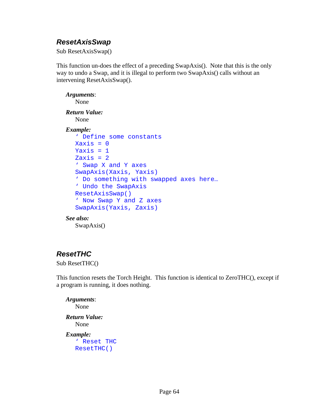## *ResetAxisSwap*

Sub ResetAxisSwap()

This function un-does the effect of a preceding SwapAxis(). Note that this is the only way to undo a Swap, and it is illegal to perform two SwapAxis() calls without an intervening ResetAxisSwap().

*Arguments*: None *Return Value:*  None *Example:*  ' Define some constants  $Xaxis = 0$ Yaxis  $= 1$  $Zaxis = 2$ ' Swap X and Y axes SwapAxis(Xaxis, Yaxis) ' Do something with swapped axes here… ' Undo the SwapAxis ResetAxisSwap() ' Now Swap Y and Z axes SwapAxis(Yaxis, Zaxis) *See also:*  SwapAxis()

## *ResetTHC*

Sub ResetTHC()

This function resets the Torch Height. This function is identical to ZeroTHC(), except if a program is running, it does nothing.

*Arguments*: None *Return Value:*  None *Example:*  ' Reset THC ResetTHC()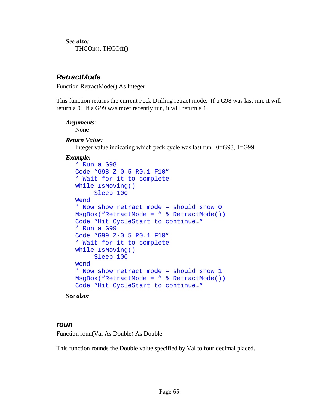*See also:*  THCOn(), THCOff()

## *RetractMode*

Function RetractMode() As Integer

This function returns the current Peck Drilling retract mode. If a G98 was last run, it will return a 0. If a G99 was most recently run, it will return a 1.

#### *Arguments*:

None

#### *Return Value:*

Integer value indicating which peck cycle was last run. 0=G98, 1=G99.

#### *Example:*

```
' Run a G98 
Code "G98 Z-0.5 R0.1 F10" 
' Wait for it to complete 
While IsMoving() 
      Sleep 100 
Wend 
' Now show retract mode – should show 0 
MsgBox("RetractMode = " & RetractMode()) 
Code "Hit CycleStart to continue…" 
' Run a G99 
Code "G99 Z-0.5 R0.1 F10" 
' Wait for it to complete 
While IsMoving() 
      Sleep 100 
Wend 
' Now show retract mode – should show 1 
MsgBox("RetractMode = " & RetractMode()) 
Code "Hit CycleStart to continue…"
```
*See also:* 

#### *roun*

Function roun(Val As Double) As Double

This function rounds the Double value specified by Val to four decimal placed.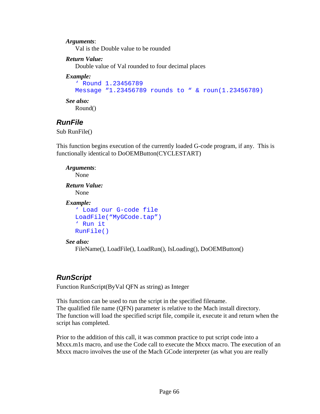#### *Arguments*:

Val is the Double value to be rounded

#### *Return Value:*

Double value of Val rounded to four decimal places

#### *Example:*

```
' Round 1.23456789 
Message "1.23456789 rounds to " & roun(1.23456789)
```
#### *See also:*

Round()

## *RunFile*

Sub RunFile()

This function begins execution of the currently loaded G-code program, if any. This is functionally identical to DoOEMButton(CYCLESTART)

```
Arguments: 
   None 
Return Value: 
    None 
Example: 
   ' Load our G-code file 
   LoadFile("MyGCode.tap") 
   ' Run it 
   RunFile()
```
#### *See also:*

FileName(), LoadFile(), LoadRun(), IsLoading(), DoOEMButton()

## *RunScript*

Function RunScript(ByVal QFN as string) as Integer

This function can be used to run the script in the specified filename. The qualified file name (QFN) parameter is relative to the Mach install directory. The function will load the specified script file, compile it, execute it and return when the script has completed.

Prior to the addition of this call, it was common practice to put script code into a Mxxx.m1s macro, and use the Code call to execute the Mxxx macro. The execution of an Mxxx macro involves the use of the Mach GCode interpreter (as what you are really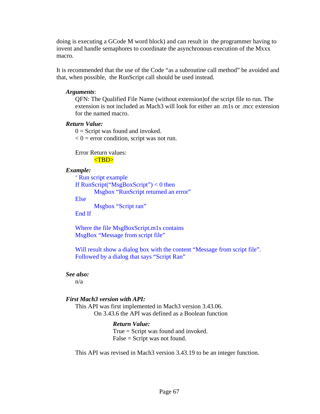doing is executing a GCode M word block) and can result in the programmer having to invent and handle semaphores to coordinate the asynchronous execution of the Mxxx macro.

It is recommended that the use of the Code "as a subroutine call method" be avoided and that, when possible, the RunScript call should be used instead.

### *Arguments*:

QFN: The Qualified File Name (without extension)of the script file to run. The extension is not included as Mach3 will look for either an .m1s or .mcc extension for the named macro.

### *Return Value:*

 $0 =$  Script was found and invoked.

 $< 0$  = error condition, script was not run.

 Error Return values: <TBD>

#### *Example:*

' Run script example If  $RunScript("MsgBoxScript") < 0$  then Msgbox "RunScript returned an error" Else Msgbox "Script ran"

End If

Where the file MsgBoxScript.m1s contains MsgBox "Message from script file"

Will result show a dialog box with the content "Message from script file". Followed by a dialog that says "Script Ran"

#### *See also:*

n/a

### *First Mach3 version with API:*

This API was first implemented in Mach3 version 3.43.06. On 3.43.6 the API was defined as a Boolean function

### *Return Value:*

 True = Script was found and invoked. False = Script was not found.

This API was revised in Mach3 version 3.43.19 to be an integer function.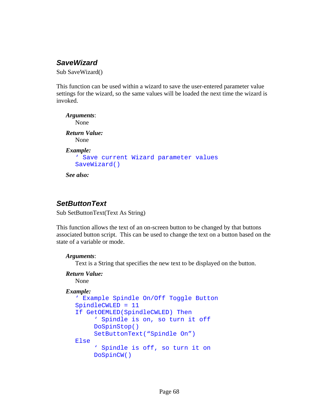# *SaveWizard*

Sub SaveWizard()

This function can be used within a wizard to save the user-entered parameter value settings for the wizard, so the same values will be loaded the next time the wizard is invoked.

```
Arguments: 
   None 
Return Value: 
    None 
Example: 
   ' Save current Wizard parameter values 
   SaveWizard() 
See also:
```
# *SetButtonText*

Sub SetButtonText(Text As String)

This function allows the text of an on-screen button to be changed by that buttons associated button script. This can be used to change the text on a button based on the state of a variable or mode.

### *Arguments*:

Text is a String that specifies the new text to be displayed on the button.

### *Return Value:*

None

### *Example:*

```
' Example Spindle On/Off Toggle Button 
SpindleCWLED = 11 
If GetOEMLED(SpindleCWLED) Then 
      ' Spindle is on, so turn it off 
      DoSpinStop() 
      SetButtonText("Spindle On") 
Else 
      ' Spindle is off, so turn it on 
      DoSpinCW()
```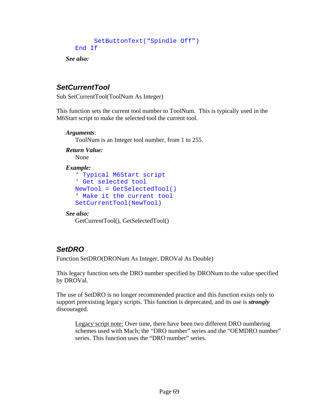```
 SetButtonText("Spindle Off") 
End If
```
*See also:* 

# *SetCurrentTool*

Sub SetCurrentTool(ToolNum As Integer)

This function sets the current tool number to ToolNum. This is typically used in the M6Start script to make the selected tool the current tool.

```
Arguments:
```
ToolNum is an Integer tool number, from 1 to 255.

*Return Value:*  None

### *Example:*

```
' Typical M6Start script 
' Get selected tool 
NewTool = GetSelectedTool() 
' Make it the current tool 
SetCurrentTool(NewTool)
```
### *See also:*

GetCurrentTool(), GetSelectedTool()

# *SetDRO*

Function SetDRO(DRONum As Integer, DROVal As Double)

This legacy function sets the DRO number specified by DRONum to the value specified by DROVal.

The use of SetDRO is no longer recommended practice and this function exists only to support preexisting legacy scripts. This function is deprecated, and its use is *strongly* discouraged.

Legacy script note: Over time, there have been two different DRO numbering schemes used with Mach; the "DRO number" series and the "OEMDRO number" series. This function uses the "DRO number" series.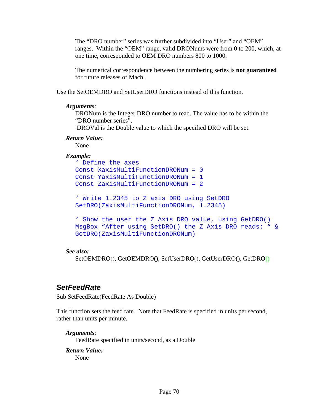The "DRO number" series was further subdivided into "User" and "OEM" ranges. Within the "OEM" range, valid DRONums were from 0 to 200, which, at one time, corresponded to OEM DRO numbers 800 to 1000.

The numerical correspondence between the numbering series is **not guaranteed**  for future releases of Mach.

Use the SetOEMDRO and SetUserDRO functions instead of this function.

#### *Arguments*:

DRONum is the Integer DRO number to read. The value has to be within the "DRO number series".

DROVal is the Double value to which the specified DRO will be set.

#### *Return Value:*

None

#### *Example:*

```
' Define the axes 
Const XaxisMultiFunctionDRONum = 0 
Const YaxisMultiFunctionDRONum = 1 
Const ZaxisMultiFunctionDRONum = 2
```

```
' Write 1.2345 to Z axis DRO using SetDRO 
SetDRO(ZaxisMultiFunctionDRONum, 1.2345)
```

```
' Show the user the Z Axis DRO value, using GetDRO() 
MsgBox "After using SetDRO() the Z Axis DRO reads: " & 
GetDRO(ZaxisMultiFunctionDRONum)
```
#### *See also:*

SetOEMDRO(), GetOEMDRO(), SetUserDRO(), GetUserDRO(), GetDRO()

### *SetFeedRate*

Sub SetFeedRate(FeedRate As Double)

This function sets the feed rate. Note that FeedRate is specified in units per second, rather than units per minute.

#### *Arguments*:

FeedRate specified in units/second, as a Double

*Return Value:*  None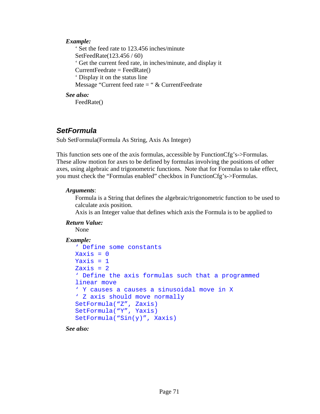### *Example:*

 ' Set the feed rate to 123.456 inches/minute SetFeedRate(123.456 / 60) ' Get the current feed rate, in inches/minute, and display it  $CurrentFeedrate = FeedRate()$  ' Display it on the status line Message "Current feed rate = " & CurrentFeedrate

### *See also:*

FeedRate()

# *SetFormula*

Sub SetFormula(Formula As String, Axis As Integer)

This function sets one of the axis formulas, accessible by FunctionCfg's->Formulas. These allow motion for axes to be defined by formulas involving the positions of other axes, using algebraic and trigonometric functions. Note that for Formulas to take effect, you must check the "Formulas enabled" checkbox in FunctionCfg's->Formulas.

### *Arguments*:

Formula is a String that defines the algebraic/trigonometric function to be used to calculate axis position.

Axis is an Integer value that defines which axis the Formula is to be applied to

### *Return Value:*

None

### *Example:*

```
' Define some constants 
X \rightarrow X \rightarrow \inftyYaxis = 1Zaxis = 2' Define the axis formulas such that a programmed 
linear move 
' Y causes a causes a sinusoidal move in X 
' Z axis should move normally 
SetFormula("Z", Zaxis) 
SetFormula("Y", Yaxis) 
SetFormula("Sin(y)", Xaxis)
```
*See also:*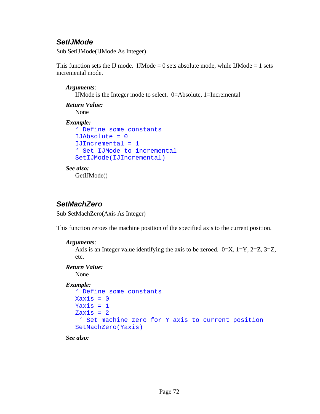# *SetIJMode*

Sub SetIJMode(IJMode As Integer)

This function sets the IJ mode. IJMode  $= 0$  sets absolute mode, while IJMode  $= 1$  sets incremental mode.

### *Arguments*:

IJMode is the Integer mode to select. 0=Absolute, 1=Incremental

```
Return Value: 
    None 
Example:
```

```
' Define some constants 
IJAbsolute = 0 
IJIncremental = 1 
' Set IJMode to incremental 
SetIJMode(IJIncremental)
```
*See also:*  GetIJMode()

# *SetMachZero*

Sub SetMachZero(Axis As Integer)

This function zeroes the machine position of the specified axis to the current position.

### *Arguments*:

Axis is an Integer value identifying the axis to be zeroed.  $0=X$ ,  $1=Y$ ,  $2=Z$ ,  $3=Z$ , etc.

### *Return Value:*

None

### *Example:*

```
' Define some constants 
Xaxis = 0Yaxis = 1Zaxis = 2 ' Set machine zero for Y axis to current position 
SetMachZero(Yaxis)
```
*See also:*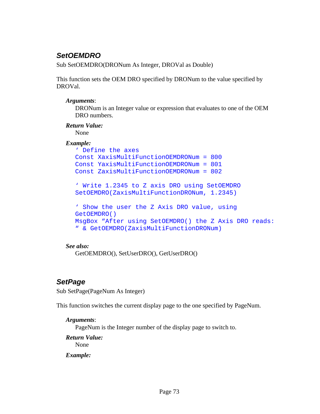# *SetOEMDRO*

Sub SetOEMDRO(DRONum As Integer, DROVal as Double)

This function sets the OEM DRO specified by DRONum to the value specified by DROVal.

### *Arguments*:

DRONum is an Integer value or expression that evaluates to one of the OEM DRO numbers.

### *Return Value:*

None

### *Example:*

```
' Define the axes 
Const XaxisMultiFunctionOEMDRONum = 800 
Const YaxisMultiFunctionOEMDRONum = 801 
Const ZaxisMultiFunctionOEMDRONum = 802 
' Write 1.2345 to Z axis DRO using SetOEMDRO 
SetOEMDRO(ZaxisMultiFunctionDRONum, 1.2345) 
' Show the user the Z Axis DRO value, using 
GetOEMDRO() 
MsgBox "After using SetOEMDRO() the Z Axis DRO reads: 
" & GetOEMDRO(ZaxisMultiFunctionDRONum)
```
### *See also:*

GetOEMDRO(), SetUserDRO(), GetUserDRO()

# *SetPage*

Sub SetPage(PageNum As Integer)

This function switches the current display page to the one specified by PageNum.

### *Arguments*:

PageNum is the Integer number of the display page to switch to.

### *Return Value:*

None

### *Example:*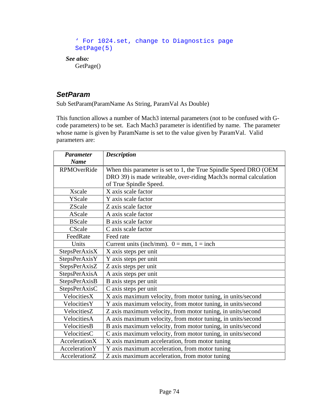```
' For 1024.set, change to Diagnostics page 
   SetPage(5) 
See also: 
   GetPage()
```
# *SetParam*

Sub SetParam(ParamName As String, ParamVal As Double)

This function allows a number of Mach3 internal parameters (not to be confused with Gcode parameters) to be set. Each Mach3 parameter is identified by name. The parameter whose name is given by ParamName is set to the value given by ParamVal. Valid parameters are:

| <b>Parameter</b>   | <b>Description</b>                                               |
|--------------------|------------------------------------------------------------------|
| <b>Name</b>        |                                                                  |
| <b>RPMOverRide</b> | When this parameter is set to 1, the True Spindle Speed DRO (OEM |
|                    | DRO 39) is made writeable, over-riding Mach3s normal calculation |
|                    | of True Spindle Speed.                                           |
| <b>Xscale</b>      | X axis scale factor                                              |
| YScale             | Y axis scale factor                                              |
| ZScale             | Z axis scale factor                                              |
| AScale             | A axis scale factor                                              |
| <b>BScale</b>      | B axis scale factor                                              |
| CScale             | C axis scale factor                                              |
| FeedRate           | Feed rate                                                        |
| Units              | Current units (inch/mm). $0 = mm$ , $1 = inch$                   |
| StepsPerAxisX      | X axis steps per unit                                            |
| StepsPerAxisY      | Y axis steps per unit                                            |
| StepsPerAxisZ      | Z axis steps per unit                                            |
| StepsPerAxisA      | A axis steps per unit                                            |
| StepsPerAxisB      | B axis steps per unit                                            |
| StepsPerAxisC      | C axis steps per unit                                            |
| VelocitiesX        | X axis maximum velocity, from motor tuning, in units/second      |
| VelocitiesY        | Y axis maximum velocity, from motor tuning, in units/second      |
| VelocitiesZ        | Z axis maximum velocity, from motor tuning, in units/second      |
| VelocitiesA        | A axis maximum velocity, from motor tuning, in units/second      |
| VelocitiesB        | B axis maximum velocity, from motor tuning, in units/second      |
| VelocitiesC        | C axis maximum velocity, from motor tuning, in units/second      |
| AccelerationX      | X axis maximum acceleration, from motor tuning                   |
| AccelerationY      | Y axis maximum acceleration, from motor tuning                   |
| AccelerationZ      | Z axis maximum acceleration, from motor tuning                   |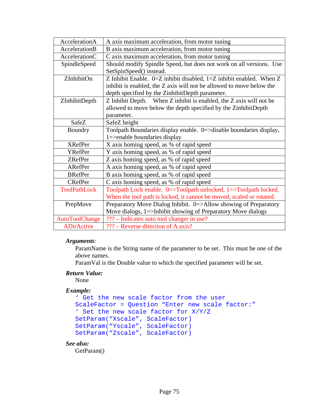| AccelerationA       | A axis maximum acceleration, from motor tuning                          |
|---------------------|-------------------------------------------------------------------------|
| AccelerationB       | B axis maximum acceleration, from motor tuning                          |
| AccelerationC       | C axis maximum acceleration, from motor tuning                          |
| SpindleSpeed        | Should modify Spindle Speed, but does not work on all versions. Use     |
|                     | SetSpinSpeed() instead.                                                 |
| ZInhibitOn          | Z Inhibit Enable. $0=Z$ inhibit disabled, $1=Z$ inhibit enabled. When Z |
|                     | inhibit is enabled, the Z axis will not be allowed to move below the    |
|                     | depth specified by the ZinhibitDepth parameter.                         |
| ZInhibitDepth       | Z Inhibit Depth. When Z inhibit is enabled, the Z axis will not be      |
|                     | allowed to move below the depth specified by the ZinhibitDepth          |
|                     | parameter.                                                              |
| SafeZ               | SafeZ height                                                            |
| Boundry             | Toolpath Boundaries display enable. 0=>disable boundaries display,      |
|                     | $1 =$ > enable boundaries display                                       |
| <b>XRefPer</b>      | X axis homing speed, as % of rapid speed                                |
| <b>YRefPer</b>      | Y axis homing speed, as % of rapid speed                                |
| <b>ZRefPer</b>      | Z axis homing speed, as % of rapid speed                                |
| ARefPer             | A axis homing speed, as % of rapid speed                                |
| <b>BRefPer</b>      | B axis homing speed, as % of rapid speed                                |
| <b>CRefPer</b>      | C axis homing speed, as % of rapid speed                                |
| <b>ToolPathLock</b> | Toolpath Lock enable. 0=>Toolpath unlocked, 1=>Toolpath locked.         |
|                     | When the tool path is locked, it cannot be moved, scaled or rotated.    |
| PrepMove            | Preparatory Move Dialog Inhibit. 0=>Allow showing of Preparatory        |
|                     | Move dialogs, 1=>Inhibit showing of Preparatory Move dialogs            |
| AutoToolChange      | ??? – Indicates auto tool changer in use?                               |
| <b>ADirActive</b>   | ??? – Reverse direction of A axis?                                      |

### *Arguments*:

ParamName is the String name of the parameter to be set. This must be one of the above names.

ParamVal is the Double value to which the specified parameter will be set.

### *Return Value:*

None

### *Example:*

```
' Get the new scale factor from the user 
ScaleFactor = Question "Enter new scale factor:" 
' Set the new scale factor for X/Y/Z 
SetParam("Xscale", ScaleFactor) 
SetParam("Yscale", ScaleFactor) 
SetParam("Zscale", ScaleFactor)
```
### *See also:*

GetParam()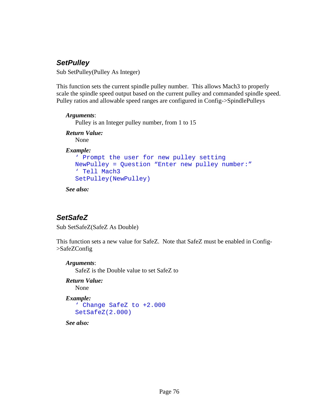# *SetPulley*

Sub SetPulley(Pulley As Integer)

This function sets the current spindle pulley number. This allows Mach3 to properly scale the spindle speed output based on the current pulley and commanded spindle speed. Pulley ratios and allowable speed ranges are configured in Config->SpindlePulleys

### *Arguments*:

Pulley is an Integer pulley number, from 1 to 15

### *Return Value:*

None

### *Example:*

```
' Prompt the user for new pulley setting 
NewPulley = Question "Enter new pulley number:" 
' Tell Mach3 
SetPulley(NewPulley)
```
*See also:* 

# *SetSafeZ*

Sub SetSafeZ(SafeZ As Double)

This function sets a new value for SafeZ. Note that SafeZ must be enabled in Config- >SafeZConfig

### *Arguments*:

SafeZ is the Double value to set SafeZ to

*Return Value:*  None

### *Example:*

```
' Change SafeZ to +2.000 
SetSafeZ(2.000)
```
*See also:*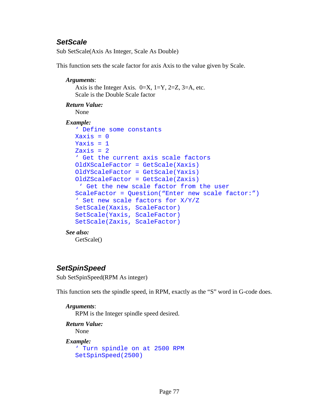# *SetScale*

Sub SetScale(Axis As Integer, Scale As Double)

This function sets the scale factor for axis Axis to the value given by Scale.

```
Arguments: 
   Axis is the Integer Axis. 0=X, 1=Y, 2=Z, 3=A, etc.
   Scale is the Double Scale factor 
Return Value: 
   None 
Example: 
   ' Define some constants 
  X \rightarrow X \rightarrow \inftyYaxis = 1Zaxis = 2' Get the current axis scale factors 
  OldXScaleFactor = GetScale(Xaxis) 
   OldYScaleFactor = GetScale(Yaxis) 
  OldZScaleFactor = GetScale(Zaxis) 
     ' Get the new scale factor from the user 
   ScaleFactor = Question("Enter new scale factor:") 
   ' Set new scale factors for X/Y/Z 
   SetScale(Xaxis, ScaleFactor) 
   SetScale(Yaxis, ScaleFactor) 
   SetScale(Zaxis, ScaleFactor) 
See also: 
    GetScale()
```
# *SetSpinSpeed*

Sub SetSpinSpeed(RPM As integer)

This function sets the spindle speed, in RPM, exactly as the "S" word in G-code does.

### *Arguments*:

RPM is the Integer spindle speed desired.

```
Return Value: 
    None
```
### *Example:*

```
' Turn spindle on at 2500 RPM 
SetSpinSpeed(2500)
```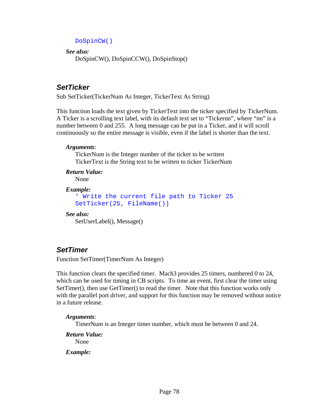```
DoSpinCW()
```
*See also:*  DoSpinCW(), DoSpinCCW(), DoSpinStop()

# *SetTicker*

Sub SetTicker(TickerNum As Integer, TickerText As String)

This function loads the text given by TickerText into the ticker specified by TickerNum. A Ticker is a scrolling text label, with its default text set to "Tickernn", where "nn" is a number between 0 and 255. A long message can be put in a Ticker, and it will scroll continuously so the entire message is visible, even if the label is shorter than the text.

### *Arguments*:

TickerNum is the Integer number of the ticker to be written TickerText is the String text to be written to ticker TickerNum

*Return Value:*  None

```
Example:
```

```
' Write the current file path to Ticker 25 
SetTicker(25, FileName())
```
*See also:* 

SetUserLabel(), Message()

# *SetTimer*

Function SetTimer(TimerNum As Integer)

This function clears the specified timer. Mach3 provides 25 timers, numbered 0 to 24, which can be used for timing in CB scripts. To time an event, first clear the timer using SetTimer(), then use GetTimer() to read the timer. Note that this function works only with the parallel port driver, and support for this function may be removed without notice in a future release.

### *Arguments*:

TimerNum is an Integer timer number, which must be between 0 and 24.

*Return Value:*  None *Example:*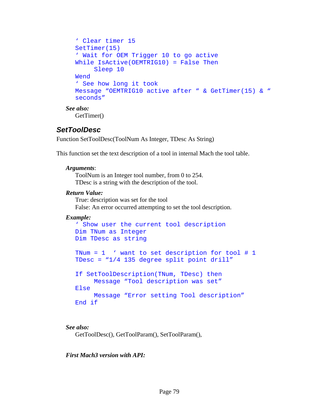```
' Clear timer 15 
SetTimer(15) 
' Wait for OEM Trigger 10 to go active 
While IsActive(OEMTRIG10) = False Then 
      Sleep 10 
Wend 
' See how long it took 
Message "OEMTRIG10 active after " & GetTimer(15) & " 
seconds"
```
*See also:*  GetTimer()

### *SetToolDesc*

Function SetToolDesc(ToolNum As Integer, TDesc As String)

This function set the text description of a tool in internal Mach the tool table.

### *Arguments*:

ToolNum is an Integer tool number, from 0 to 254. TDesc is a string with the description of the tool.

### *Return Value:*

 True: description was set for the tool False: An error occurred attempting to set the tool description.

### *Example:*

```
' Show user the current tool description 
Dim TNum as Integer 
Dim TDesc as string 
TNum = 1 ' want to set description for tool # 1
TDesc = "1/4 135 degree split point drill" 
If SetToolDescription(TNum, TDesc) then 
      Message "Tool description was set" 
Else 
      Message "Error setting Tool description" 
End if
```
*See also:* 

GetToolDesc(), GetToolParam(), SetToolParam(),

### *First Mach3 version with API:*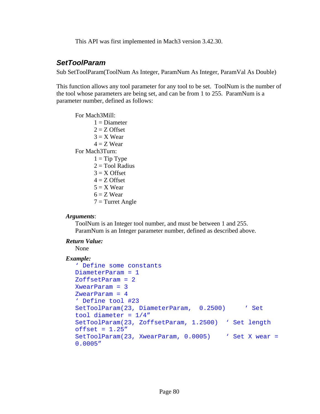This API was first implemented in Mach3 version 3.42.30.

### *SetToolParam*

Sub SetToolParam(ToolNum As Integer, ParamNum As Integer, ParamVal As Double)

This function allows any tool parameter for any tool to be set. ToolNum is the number of the tool whose parameters are being set, and can be from 1 to 255. ParamNum is a parameter number, defined as follows:

For Mach3Mill:  $1 =$ Diameter  $2 = Z$  Offset  $3 = X$  Wear  $4 = Z$  Wear For Mach3Turn:  $1 =$ Tip Type  $2 = Tool$  Radius  $3 = X$  Offset  $4 = Z$  Offset  $5 = X$  Wear  $6 = Z$  Wear

### $7 =$ Turret Angle

#### *Arguments*:

ToolNum is an Integer tool number, and must be between 1 and 255. ParamNum is an Integer parameter number, defined as described above.

#### *Return Value:*

None

#### *Example:*

```
' Define some constants 
DiameterParam = 1 
ZoffsetParam = 2 
XwearParam = 3 
ZwearParam = 4' Define tool #23 
SetToolParam(23, DiameterParam, 0.2500) 'Set
tool diameter = 1/4"SetToolParam(23, ZoffsetParam, 1.2500) ' Set length 
offset = 1.25"SetToolParam(23, XwearParam, 0.0005) 'Set X wear =
0.0005"
```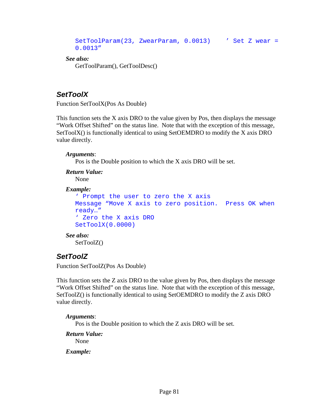```
SetToolParam(23, ZwearParam, 0.0013) ' Set Z wear = 
0.0013"
```
*See also:*  GetToolParam(), GetToolDesc()

# *SetToolX*

Function SetToolX(Pos As Double)

This function sets the X axis DRO to the value given by Pos, then displays the message "Work Offset Shifted" on the status line. Note that with the exception of this message, SetToolX() is functionally identical to using SetOEMDRO to modify the X axis DRO value directly.

### *Arguments*:

Pos is the Double position to which the X axis DRO will be set.

```
Return Value: 
   None 
Example: 
   ' Prompt the user to zero the X axis 
  Message "Move X axis to zero position. Press OK when 
  ready…" 
   ' Zero the X axis DRO 
   SetToolX(0.0000) 
See also: 
    SetToolZ()
```
# *SetToolZ*

Function SetToolZ(Pos As Double)

This function sets the Z axis DRO to the value given by Pos, then displays the message "Work Offset Shifted" on the status line. Note that with the exception of this message, SetToolZ() is functionally identical to using SetOEMDRO to modify the Z axis DRO value directly.

### *Arguments*:

Pos is the Double position to which the Z axis DRO will be set.

*Return Value:* 

None

*Example:*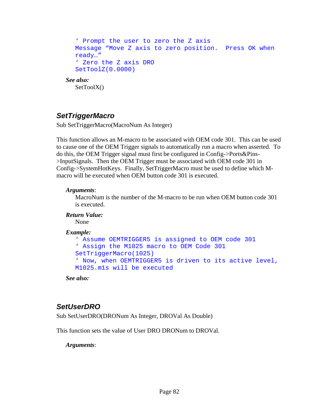```
' Prompt the user to zero the Z axis 
  Message "Move Z axis to zero position. Press OK when 
  ready…" 
   ' Zero the Z axis DRO 
  SetToolZ(0.0000) 
See also: 
   SetToolX()
```
# *SetTriggerMacro*

Sub SetTriggerMacro(MacroNum As Integer)

This function allows an M-macro to be associated with OEM code 301. This can be used to cause one of the OEM Trigger signals to automatically run a macro when asserted. To do this, the OEM Trigger signal must first be configured in Config->Ports&Pins- >InputSignals. Then the OEM Trigger must be associated with OEM code 301 in Config->SystemHotKeys. Finally, SetTriggerMacro must be used to define which Mmacro will be executed when OEM button code 301 is executed.

### *Arguments*:

MacroNum is the number of the M-macro to be run when OEM button code 301 is executed.

### *Return Value:*

None

### *Example:*

```
' Assume OEMTRIGGER5 is assigned to OEM code 301 
' Assign the M1025 macro to OEM Code 301 
SetTriggerMacro(1025) 
' Now, when OEMTRIGGER5 is driven to its active level, 
M1025.m1s will be executed
```
*See also:* 

# *SetUserDRO*

Sub SetUserDRO(DRONum As Integer, DROVal As Double)

This function sets the value of User DRO DRONum to DROVal.

*Arguments*: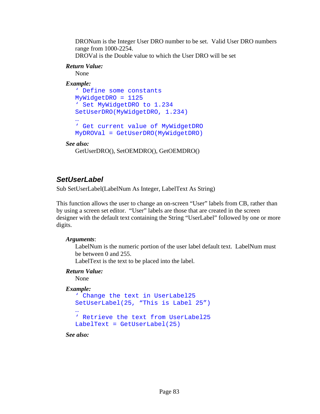DRONum is the Integer User DRO number to be set. Valid User DRO numbers range from 1000-2254.

DROVal is the Double value to which the User DRO will be set

### *Return Value:*

None

### *Example:*

```
' Define some constants 
MyWidgetDRO = 1125 
' Set MyWidgetDRO to 1.234 
SetUserDRO(MyWidgetDRO, 1.234) 
… 
' Get current value of MyWidgetDRO 
MyDROVal = GetUserDRO(MyWidgetDRO)
```
### *See also:*

```
 GetUserDRO(), SetOEMDRO(), GetOEMDRO()
```
# *SetUserLabel*

Sub SetUserLabel(LabelNum As Integer, LabelText As String)

This function allows the user to change an on-screen "User" labels from CB, rather than by using a screen set editor. "User" labels are those that are created in the screen designer with the default text containing the String "UserLabel" followed by one or more digits.

### *Arguments*:

LabelNum is the numeric portion of the user label default text. LabelNum must be between 0 and 255.

LabelText is the text to be placed into the label.

### *Return Value:*

None

### *Example:*

```
' Change the text in UserLabel25 
SetUserLabel(25, "This is Label 25") 
… 
' Retrieve the text from UserLabel25 
LabelText = GetUserLabel(25)
```
*See also:*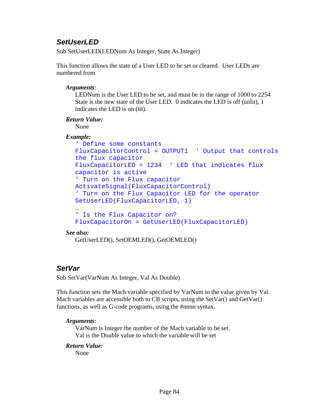# *SetUserLED*

Sub SetUserLED(LEDNum As Integer, State As Integer)

This function allows the state of a User LED to be set or cleared. User LEDs are numbered from

### *Arguments*:

LEDNum is the User LED to be set, and must be in the range of 1000 to 2254 State is the new state of the User LED. 0 indicates the LED is off (unlit), 1 indicates the LED is on (lit).

### *Return Value:*

None

### *Example:*

```
' Define some constants 
FluxCapacitorControl = OUTPUT1 ' Output that controls 
the flux capacitor 
FluxCapacitorLED = 1234 'LED that indicates fluxcapacitor is active 
' Turn on the Flux capacitor 
ActivateSignal(FluxCapacitorControl) 
' Turn on the Flux Capacitor LED for the operator 
SetUserLED(FluxCapacitorLED, 1) 
… 
' Is the Flux Capacitor on? 
FluxCapacitorOn = GetUserLED(FluxCapacitorLED)
```
### *See also:*

GetUserLED(), SetOEMLED(), GetOEMLED()

# *SetVar*

Sub SetVar(VarNum As Integer, Val As Double)

This function sets the Mach variable specified by VarNum to the value given by Val. Mach variables are accessible both to CB scripts, using the SetVar() and GetVar() functions, as well as G-code programs, using the #nnnn syntax.

### *Arguments*:

VarNum is Integer the number of the Mach variable to be set. Val is the Double value to which the variable will be set

### *Return Value:*

None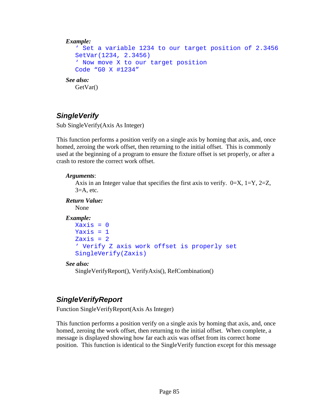```
Example: 
   ' Set a variable 1234 to our target position of 2.3456 
  SetVar(1234, 2.3456) 
   ' Now move X to our target position 
  Code "G0 X #1234" 
See also: 
   GetVar()
```
# *SingleVerify*

Sub SingleVerify(Axis As Integer)

This function performs a position verify on a single axis by homing that axis, and, once homed, zeroing the work offset, then returning to the initial offset. This is commonly used at the beginning of a program to ensure the fixture offset is set properly, or after a crash to restore the correct work offset.

### *Arguments*:

Axis in an Integer value that specifies the first axis to verify.  $0=X$ ,  $1=Y$ ,  $2=Z$ ,  $3=$ A, etc.

*Return Value:* 

None

### *Example:*

```
Xaxis = 0Yaxis = 1Zaxis = 2' Verify Z axis work offset is properly set 
SingleVerify(Zaxis)
```
### *See also:*

SingleVerifyReport(), VerifyAxis(), RefCombination()

# *SingleVerifyReport*

Function SingleVerifyReport(Axis As Integer)

This function performs a position verify on a single axis by homing that axis, and, once homed, zeroing the work offset, then returning to the initial offset. When complete, a message is displayed showing how far each axis was offset from its correct home position. This function is identical to the SingleVerify function except for this message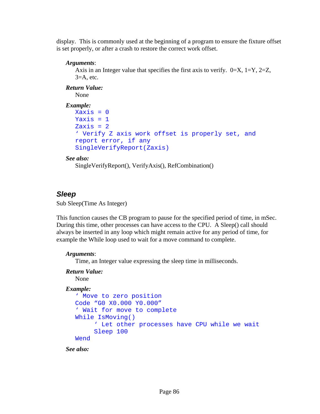display. This is commonly used at the beginning of a program to ensure the fixture offset is set properly, or after a crash to restore the correct work offset.

### *Arguments*:

Axis in an Integer value that specifies the first axis to verify.  $0=X$ ,  $1=Y$ ,  $2=Z$ ,  $3=$ A, etc.

*Return Value:* 

None

```
Example: 
  Xaxis = 0Yaxis = 1Zaxis = 2' Verify Z axis work offset is properly set, and 
  report error, if any 
  SingleVerifyReport(Zaxis)
```
### *See also:*

SingleVerifyReport(), VerifyAxis(), RefCombination()

# *Sleep*

Sub Sleep(Time As Integer)

This function causes the CB program to pause for the specified period of time, in mSec. During this time, other processes can have access to the CPU. A Sleep() call should always be inserted in any loop which might remain active for any period of time, for example the While loop used to wait for a move command to complete.

### *Arguments*:

Time, an Integer value expressing the sleep time in milliseconds.

### *Return Value:*

None

### *Example:*

```
' Move to zero position 
Code "G0 X0.000 Y0.000" 
' Wait for move to complete 
While IsMoving() 
      ' Let other processes have CPU while we wait 
      Sleep 100 
Wend
```
*See also:*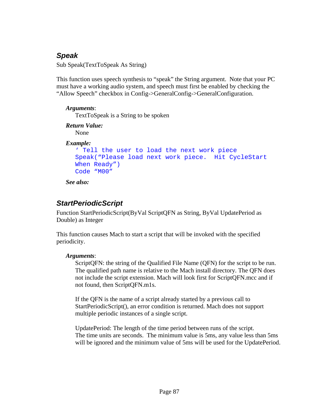# *Speak*

Sub Speak(TextToSpeak As String)

This function uses speech synthesis to "speak" the String argument. Note that your PC must have a working audio system, and speech must first be enabled by checking the "Allow Speech" checkbox in Config->GeneralConfig->GeneralConfiguration.

### *Arguments*:

TextToSpeak is a String to be spoken

### *Return Value:*

None

### *Example:*

```
' Tell the user to load the next work piece 
Speak("Please load next work piece. Hit CycleStart 
When Ready") 
Code "M00"
```
*See also:* 

# *StartPeriodicScript*

Function StartPeriodicScript(ByVal ScriptQFN as String, ByVal UpdatePeriod as Double) as Integer

This function causes Mach to start a script that will be invoked with the specified periodicity.

### *Arguments*:

ScriptQFN: the string of the Qualified File Name (QFN) for the script to be run. The qualified path name is relative to the Mach install directory. The QFN does not include the script extension. Mach will look first for ScriptQFN.mcc and if not found, then ScriptQFN.m1s.

If the QFN is the name of a script already started by a previous call to StartPeriodicScript(), an error condition is returned. Mach does not support multiple periodic instances of a single script.

UpdatePeriod: The length of the time period between runs of the script. The time units are seconds. The minimum value is 5ms, any value less than 5ms will be ignored and the minimum value of 5ms will be used for the UpdatePeriod.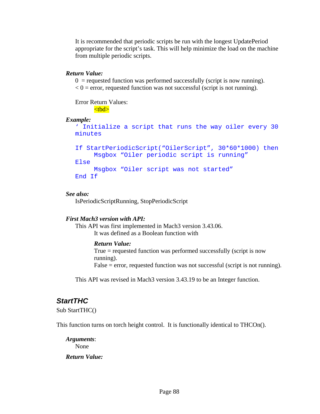It is recommended that periodic scripts be run with the longest UpdatePeriod appropriate for the script's task. This will help minimize the load on the machine from multiple periodic scripts.

#### *Return Value:*

 $0 =$  requested function was performed successfully (script is now running).  $< 0$  = error, requested function was not successful (script is not running).

Error Return Values:

# <tbd>

#### *Example:*

```
' Initialize a script that runs the way oiler every 30 
minutes
```

```
If StartPeriodicScript("OilerScript", 30*60*1000) then 
      Msgbox "Oiler periodic script is running" 
Else 
     Msgbox "Oiler script was not started" 
End If
```
#### *See also:*

IsPeriodicScriptRunning, StopPeriodicScript

### *First Mach3 version with API:*

This API was first implemented in Mach3 version 3.43.06. It was defined as a Boolean function with

### *Return Value:*

True = requested function was performed successfully (script is now running). False = error, requested function was not successful (script is not running).

This API was revised in Mach3 version 3.43.19 to be an Integer function.

### *StartTHC*

Sub StartTHC()

This function turns on torch height control. It is functionally identical to THCOn().

*Arguments*: None

### *Return Value:*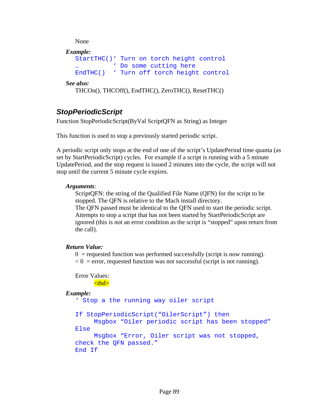None

```
Example: 
  StartTHC()' Turn on torch height control 
            … ' Do some cutting here 
  EndTHC() ' Turn off torch height control
```
*See also:* 

```
 THCOn(), THCOff(), EndTHC(), ZeroTHC(), ResetTHC()
```
# *StopPeriodicScript*

Function StopPeriodicScript(ByVal ScriptQFN as String) as Integer

This function is used to stop a previously started periodic script.

A periodic script only stops at the end of one of the script's UpdatePeriod time quanta (as set by StartPeriodicScript) cycles. For example if a script is running with a 5 minute UpdatePeriod, and the stop request is issued 2 minutes into the cycle, the script will not stop until the current 5 minute cycle expires.

### *Arguments*:

ScriptQFN: the string of the Qualified File Name (QFN) for the script to be stopped. The QFN is relative to the Mach install directory.

The QFN passed must be identical to the QFN used to start the periodic script. Attempts to stop a script that has not been started by StartPeriodicScript are ignored (this is not an error condition as the script is "stopped" upon return from the call).

### *Return Value:*

 $0 =$  requested function was performed successfully (script is now running).

 $< 0$  = error, requested function was not successful (script is not running).

Error Values:

<tbd>

### *Example:*

```
' Stop a the running way oiler script
```

```
If StopPeriodicScript("OilerScript") then 
      Msgbox "Oiler periodic script has been stopped" 
Else
```

```
 Msgbox "Error, Oiler script was not stopped, 
check the QFN passed." 
End If
```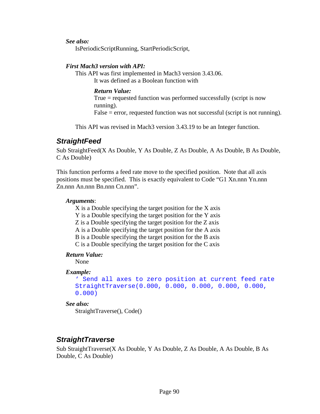*See also:* 

IsPeriodicScriptRunning, StartPeriodicScript,

### *First Mach3 version with API:*

This API was first implemented in Mach3 version 3.43.06. It was defined as a Boolean function with

### *Return Value:*

True = requested function was performed successfully (script is now running).  $False = error$ , requested function was not successful (script is not running).

This API was revised in Mach3 version 3.43.19 to be an Integer function.

### *StraightFeed*

Sub StraightFeed(X As Double, Y As Double, Z As Double, A As Double, B As Double, C As Double)

This function performs a feed rate move to the specified position. Note that all axis positions must be specified. This is exactly equivalent to Code "G1 Xn.nnn Yn.nnn Zn.nnn An.nnn Bn.nnn Cn.nnn".

### *Arguments*:

X is a Double specifying the target position for the X axis Y is a Double specifying the target position for the Y axis Z is a Double specifying the target position for the Z axis A is a Double specifying the target position for the A axis B is a Double specifying the target position for the B axis C is a Double specifying the target position for the C axis

### *Return Value:*

None

### *Example:*

```
' Send all axes to zero position at current feed rate 
StraightTraverse(0.000, 0.000, 0.000, 0.000, 0.000, 
0.000)
```
### *See also:*

StraightTraverse(), Code()

### *StraightTraverse*

Sub StraightTraverse(X As Double, Y As Double, Z As Double, A As Double, B As Double, C As Double)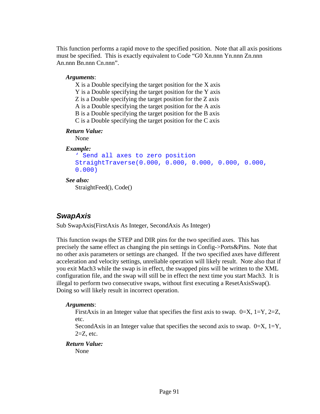This function performs a rapid move to the specified position. Note that all axis positions must be specified. This is exactly equivalent to Code "G0 Xn.nnn Yn.nnn Zn.nnn An.nnn Bn.nnn Cn.nnn".

### *Arguments*:

X is a Double specifying the target position for the X axis Y is a Double specifying the target position for the Y axis Z is a Double specifying the target position for the Z axis A is a Double specifying the target position for the A axis B is a Double specifying the target position for the B axis C is a Double specifying the target position for the C axis

### *Return Value:*

None

### *Example:*

```
' Send all axes to zero position 
StraightTraverse(0.000, 0.000, 0.000, 0.000, 0.000, 
0.000)
```
# *See also:*

StraightFeed(), Code()

# *SwapAxis*

Sub SwapAxis(FirstAxis As Integer, SecondAxis As Integer)

This function swaps the STEP and DIR pins for the two specified axes. This has precisely the same effect as changing the pin settings in Config->Ports&Pins. Note that no other axis parameters or settings are changed. If the two specified axes have different acceleration and velocity settings, unreliable operation will likely result. Note also that if you exit Mach3 while the swap is in effect, the swapped pins will be written to the XML configuration file, and the swap will still be in effect the next time you start Mach3. It is illegal to perform two consecutive swaps, without first executing a ResetAxisSwap(). Doing so will likely result in incorrect operation.

### *Arguments*:

FirstAxis in an Integer value that specifies the first axis to swap.  $0=X$ ,  $1=Y$ ,  $2=Z$ , etc.

SecondAxis in an Integer value that specifies the second axis to swap.  $0=X$ ,  $1=Y$ ,  $2=Z$ , etc.

### *Return Value:*

None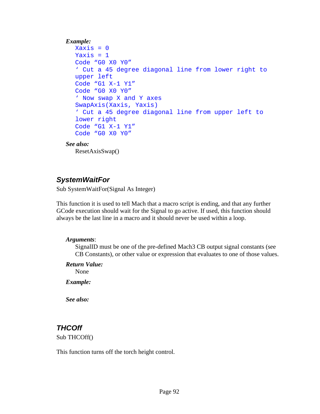### *Example:*

```
Xaxis = 0Yaxis = 1Code "G0 X0 Y0" 
' Cut a 45 degree diagonal line from lower right to 
upper left 
Code "G1 X-1 Y1" 
Code "G0 X0 Y0" 
' Now swap X and Y axes 
SwapAxis(Xaxis, Yaxis) 
' Cut a 45 degree diagonal line from upper left to 
lower right 
Code "G1 X-1 Y1" 
Code "G0 X0 Y0"
```
#### *See also:*

ResetAxisSwap()

### *SystemWaitFor*

Sub SystemWaitFor(Signal As Integer)

This function it is used to tell Mach that a macro script is ending, and that any further GCode execution should wait for the Signal to go active. If used, this function should always be the last line in a macro and it should never be used within a loop.

### *Arguments*:

SignalID must be one of the pre-defined Mach3 CB output signal constants (see CB Constants), or other value or expression that evaluates to one of those values.

#### *Return Value:*

None

*Example:* 

*See also:* 

### *THCOff*

Sub THCOff()

This function turns off the torch height control.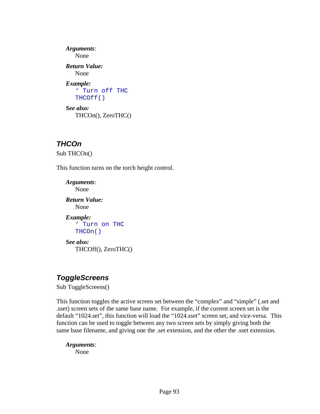*Arguments*: None *Return Value:*  None *Example:*  ' Turn off THC THCOff() *See also:*  THCOn(), ZeroTHC()

# *THCOn*

Sub THCOn()

This function turns on the torch height control.

*Arguments*: None *Return Value:*  None *Example:*  ' Turn on THC THCOn() *See also:*  THCOff(), ZeroTHC()

# *ToggleScreens*

Sub ToggleScreens()

This function toggles the active screen set between the "complex" and "simple" (.set and .sset) screen sets of the same base name. For example, if the current screen set is the default "1024.set", this function will load the "1024.sset" screen set, and vice-versa. This function can be used to toggle between any two screen sets by simply giving both the same base filename, and giving one the .set extension, and the other the .sset extension.

### *Arguments*:

None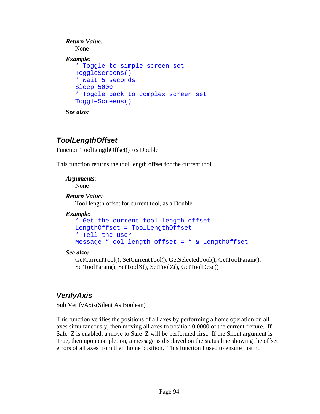```
Return Value: 
   None 
Example: 
   ' Toggle to simple screen set 
  ToggleScreens() 
   ' Wait 5 seconds 
  Sleep 5000 
   ' Toggle back to complex screen set 
  ToggleScreens()
```
*See also:* 

# *ToolLengthOffset*

Function ToolLengthOffset() As Double

This function returns the tool length offset for the current tool.

*Arguments*: None

### *Return Value:*

Tool length offset for current tool, as a Double

### *Example:*

```
' Get the current tool length offset 
LengthOffset = ToolLengthOffset 
' Tell the user 
Message "Tool length offset = " & LengthOffset
```
### *See also:*

GetCurrentTool(), SetCurrentTool(), GetSelectedTool(), GetToolParam(), SetToolParam(), SetToolX(), SetToolZ(), GetToolDesc()

# *VerifyAxis*

Sub VerifyAxis(Silent As Boolean)

This function verifies the positions of all axes by performing a home operation on all axes simultaneously, then moving all axes to position 0.0000 of the current fixture. If Safe\_Z is enabled, a move to Safe\_Z will be performed first. If the Silent argument is True, then upon completion, a message is displayed on the status line showing the offset errors of all axes from their home position. This function I used to ensure that no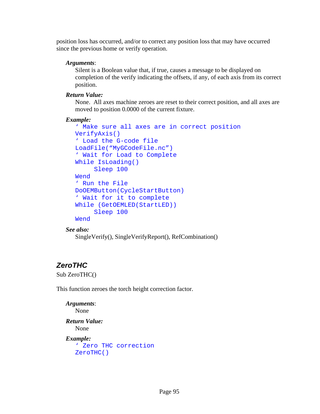position loss has occurred, and/or to correct any position loss that may have occurred since the previous home or verify operation.

### *Arguments*:

Silent is a Boolean value that, if true, causes a message to be displayed on completion of the verify indicating the offsets, if any, of each axis from its correct position.

### *Return Value:*

None. All axes machine zeroes are reset to their correct position, and all axes are moved to position 0.0000 of the current fixture.

### *Example:*

```
' Make sure all axes are in correct position 
VerifyAxis() 
' Load the G-code file 
LoadFile("MyGCodeFile.nc") 
' Wait for Load to Complete 
While IsLoading() 
      Sleep 100 
Wend 
' Run the File 
DoOEMButton(CycleStartButton) 
' Wait for it to complete 
While (GetOEMLED(StartLED)) 
      Sleep 100 
Wend
```

```
See also:
```

```
 SingleVerify(), SingleVerifyReport(), RefCombination()
```
# *ZeroTHC*

Sub ZeroTHC()

This function zeroes the torch height correction factor.

```
Arguments: 
   None 
Return Value: 
    None 
Example: 
   ' Zero THC correction 
   ZeroTHC()
```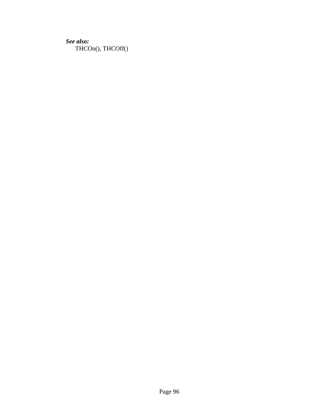*See also:*  THCOn(), THCOff()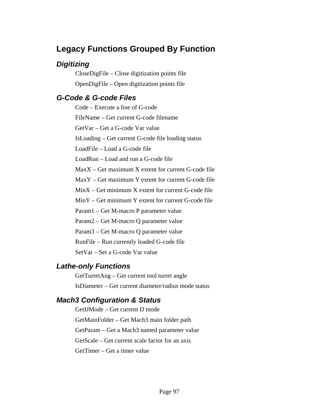# **Legacy Functions Grouped By Function**

# *Digitizing*

CloseDigFile – Close digitization points file OpenDigFile – Open digitization points file

# *G-Code & G-code Files*

Code – Execute a line of G-code FileName – Get current G-code filename GetVar – Get a G-code Var value IsLoading – Get current G-code file loading status LoadFile – Load a G-code file LoadRun – Load and run a G-code file MaxX – Get maximum X extent for current G-code file MaxY – Get maximum Y extent for current G-code file MinX – Get minimum X extent for current G-code file MinY – Get minimum Y extent for current G-code file Param1 – Get M-macro P parameter value Param2 – Get M-macro Q parameter value Param3 – Get M-macro Q parameter value RunFile – Run currently loaded G-code file SetVar – Set a G-code Var value

# *Lathe-only Functions*

GetTurretAng – Get current tool turret angle IsDiameter – Get current diameter/radius mode status

# *Mach3 Configuration & Status*

GetIJMode – Get current IJ mode GetMainFolder – Get Mach3 main folder path GetParam – Get a Mach3 named parameter value GetScale – Get current scale factor for an axis GetTimer – Get a timer value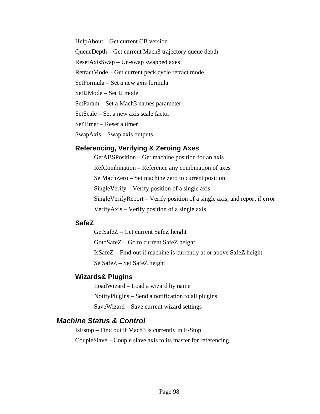HelpAbout – Get current CB version QueueDepth – Get current Mach3 trajectory queue depth ResetAxisSwap – Un-swap swapped axes RetractMode – Get current peck cycle retract mode SetFormula – Set a new axis formula SetIJMode – Set IJ mode SetParam – Set a Mach3 names parameter SetScale – Set a new axis scale factor SetTimer – Reset a timer SwapAxis – Swap axis outputs

### **Referencing, Verifying & Zeroing Axes**

GetABSPosition – Get machine position for an axis RefCombination – Reference any combination of axes SetMachZero – Set machine zero to current position SingleVerify – Verify position of a single axis SingleVerifyReport – Verify position of a single axis, and report if error VerifyAxis – Verify position of a single axis

### **SafeZ**

GetSafeZ – Get current SafeZ height GotoSafeZ – Go to current SafeZ height IsSafeZ – Find out if machine is currently at or above SafeZ height SetSafeZ – Set SafeZ height

### **Wizards& Plugins**

LoadWizard – Load a wizard by name NotifyPlugins – Send a notification to all plugins SaveWizard – Save current wizard settings

# *Machine Status & Control*

IsEstop – Find out if Mach3 is currently in E-Stop CoupleSlave – Couple slave axis to its master for referencing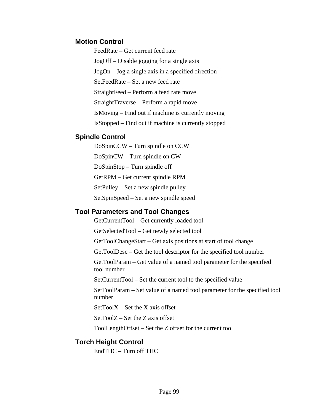### **Motion Control**

FeedRate – Get current feed rate JogOff – Disable jogging for a single axis JogOn – Jog a single axis in a specified direction SetFeedRate – Set a new feed rate StraightFeed – Perform a feed rate move StraightTraverse – Perform a rapid move IsMoving – Find out if machine is currently moving IsStopped – Find out if machine is currently stopped

### **Spindle Control**

DoSpinCCW – Turn spindle on CCW

DoSpinCW – Turn spindle on CW

DoSpinStop – Turn spindle off

GetRPM – Get current spindle RPM

SetPulley – Set a new spindle pulley

SetSpinSpeed – Set a new spindle speed

# **Tool Parameters and Tool Changes**

GetCurrentTool – Get currently loaded tool

GetSelectedTool – Get newly selected tool

GetToolChangeStart – Get axis positions at start of tool change

GetToolDesc – Get the tool descriptor for the specified tool number

GetToolParam – Get value of a named tool parameter for the specified tool number

SetCurrentTool – Set the current tool to the specified value

SetToolParam – Set value of a named tool parameter for the specified tool number

 $SetToolX - Set$  the X axis offset

SetToolZ – Set the Z axis offset

ToolLengthOffset – Set the Z offset for the current tool

# **Torch Height Control**

EndTHC – Turn off THC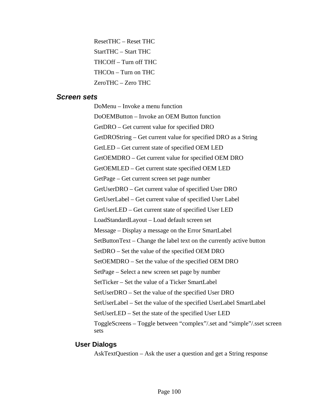ResetTHC – Reset THC StartTHC – Start THC THCOff – Turn off THC THCOn – Turn on THC ZeroTHC – Zero THC

### *Screen sets*

DoMenu – Invoke a menu function DoOEMButton – Invoke an OEM Button function GetDRO – Get current value for specified DRO GetDROString – Get current value for specified DRO as a String GetLED – Get current state of specified OEM LED GetOEMDRO – Get current value for specified OEM DRO GetOEMLED – Get current state specified OEM LED GetPage – Get current screen set page number GetUserDRO – Get current value of specified User DRO GetUserLabel – Get current value of specified User Label GetUserLED – Get current state of specified User LED LoadStandardLayout – Load default screen set Message – Display a message on the Error SmartLabel SetButtonText – Change the label text on the currently active button SetDRO – Set the value of the specified OEM DRO SetOEMDRO – Set the value of the specified OEM DRO SetPage – Select a new screen set page by number SetTicker – Set the value of a Ticker SmartLabel SetUserDRO – Set the value of the specified User DRO SetUserLabel – Set the value of the specified UserLabel SmartLabel SetUserLED – Set the state of the specified User LED ToggleScreens – Toggle between "complex"/.set and "simple"/.sset screen sets

### **User Dialogs**

AskTextQuestion – Ask the user a question and get a String response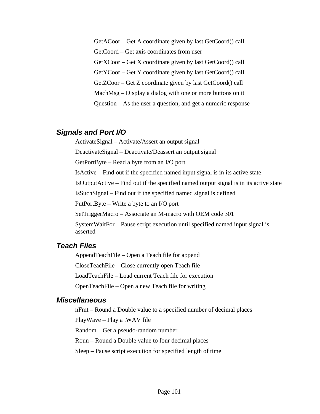GetACoor – Get A coordinate given by last GetCoord() call

GetCoord – Get axis coordinates from user

GetXCoor – Get X coordinate given by last GetCoord() call

GetYCoor – Get Y coordinate given by last GetCoord() call

GetZCoor – Get Z coordinate given by last GetCoord() call

MachMsg – Display a dialog with one or more buttons on it

Question – As the user a question, and get a numeric response

### *Signals and Port I/O*

ActivateSignal – Activate/Assert an output signal

DeactivateSignal – Deactivate/Deassert an output signal

GetPortByte – Read a byte from an I/O port

IsActive – Find out if the specified named input signal is in its active state

IsOutputActive – Find out if the specified named output signal is in its active state

IsSuchSignal – Find out if the specified named signal is defined

PutPortByte – Write a byte to an I/O port

SetTriggerMacro – Associate an M-macro with OEM code 301

SystemWaitFor – Pause script execution until specified named input signal is asserted

### *Teach Files*

AppendTeachFile – Open a Teach file for append

CloseTeachFile – Close currently open Teach file

LoadTeachFile – Load current Teach file for execution

OpenTeachFile – Open a new Teach file for writing

### *Miscellaneous*

nFmt – Round a Double value to a specified number of decimal places

PlayWave – Play a .WAV file

Random – Get a pseudo-random number

Roun – Round a Double value to four decimal places

Sleep – Pause script execution for specified length of time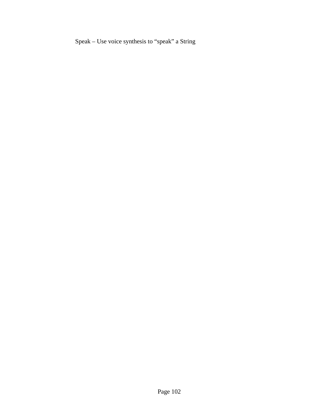Speak – Use voice synthesis to "speak" a String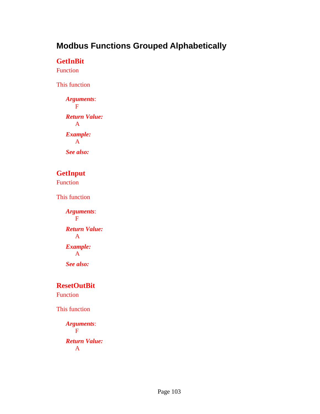## **Modbus Functions Grouped Alphabetically**

#### **GetInBit**

Function

This function

*Arguments*: F *Return Value:*  A *Example:*  A *See also:* 

## **GetInput**

Function

This function

*Arguments*: F *Return Value:*  A *Example:*  A *See also:* 

### **ResetOutBit**

Function

This function

```
Arguments: 
   F 
Return Value: 
    A
```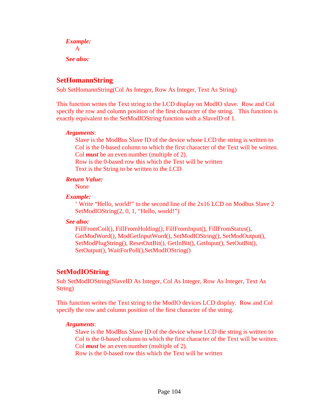*Example:*  A *See also:* 

### **SetHomannString**

Sub SetHomannString(Col As Integer, Row As Integer, Text As String)

This function writes the Text string to the LCD display on ModIO slave. Row and Col specify the row and column position of the first character of the string. This function is exactly equivalent to the SetModIOString function with a SlaveID of 1.

#### *Arguments*:

Slave is the ModBus Slave ID of the device whose LCD the string is written to Col is the 0-based column to which the first character of the Text will be written. Col *must* be an even number (multiple of 2).

Row is the 0-based row this which the Text will be written Text is the String to be written to the LCD

#### *Return Value:*

None

#### *Example:*

 ' Write "Hello, world!" to the second line of the 2x16 LCD on Modbus Slave 2 SetModIOString(2, 0, 1, "Hello, world!")

#### *See also:*

FillFromCoil(), FillFromHolding(), FillFromInput(), FillFromStatus(), GetModWord(), ModGetInputWord(), SetModIOString(), SetModOutput(), SetModPlugString(), ResetOutBit(), GetInBit(), GetInput(), SetOutBit(), SetOutput(), WaitForPoll(),SetModIOString()

## **SetModIOString**

Sub SetModIOString(SlaveID As Integer, Col As Integer, Row As Integer, Text As String)

This function writes the Text string to the ModIO devices LCD display. Row and Col specify the row and column position of the first character of the string.

#### *Arguments*:

Slave is the ModBus Slave ID of the device whose LCD the string is written to Col is the 0-based column to which the first character of the Text will be written. Col *must* be an even number (multiple of 2).

Row is the 0-based row this which the Text will be written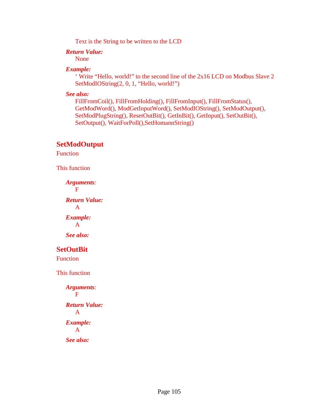Text is the String to be written to the LCD

#### *Return Value:*

None

#### *Example:*

 ' Write "Hello, world!" to the second line of the 2x16 LCD on Modbus Slave 2 SetModIOString(2, 0, 1, "Hello, world!")

*See also:* 

FillFromCoil(), FillFromHolding(), FillFromInput(), FillFromStatus(), GetModWord(), ModGetInputWord(), SetModIOString(), SetModOutput(), SetModPlugString(), ResetOutBit(), GetInBit(), GetInput(), SetOutBit(), SetOutput(), WaitForPoll(),SetHomannString()

### **SetModOutput**

**Function** 

This function

*Arguments*: F *Return Value:*  A *Example:*  A *See also:* 

## **SetOutBit**

Function

This function

*Arguments*: F *Return Value:*  A *Example:*  A *See also:*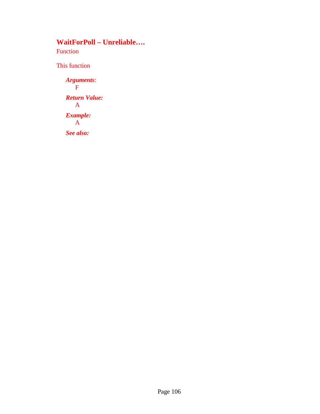## **WaitForPoll – Unreliable….**

Function

This function

*Arguments*: F *Return Value:*  A *Example:*  A

*See also:*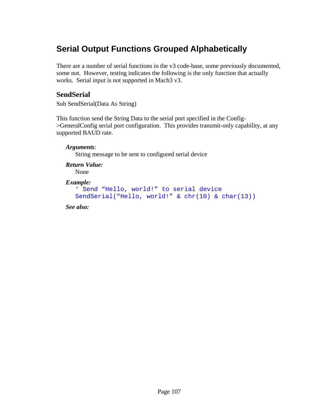## **Serial Output Functions Grouped Alphabetically**

There are a number of serial functions in the v3 code-base, some previously documented, some not. However, testing indicates the following is the only function that actually works. Serial input is not supported in Mach3 v3.

### **SendSerial**

Sub SendSerial(Data As String)

This function send the String Data to the serial port specified in the Config- >GeneralConfig serial port configuration. This provides transmit-only capability, at any supported BAUD rate.

## *Arguments*: String message to be sent to configured serial device *Return Value:*  None *Example:*

```
' Send "Hello, world!" to serial device 
SendSerial("Hello, world!" & chr(10) & char(13))
```
*See also:*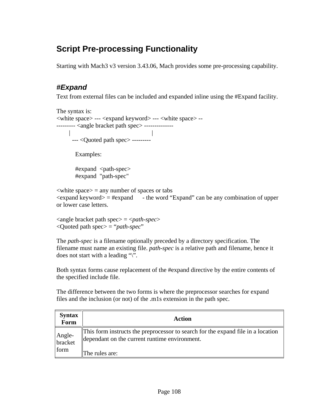# **Script Pre-processing Functionality**

Starting with Mach3 v3 version 3.43.06, Mach provides some pre-processing capability.

## *#Expand*

Text from external files can be included and expanded inline using the #Expand facility.

The syntax is: <white space> --- <expand keyword> --- <white space> -- --------- <angle bracket path spec> --------------- | | --- <Quoted path spec> ---------

Examples:

#expand <path-spec> #expand "path-spec"

 $\langle$ white space $\rangle$  = any number of spaces or tabs  $\langle$  expand keyword $\rangle$  = #expand - the word "Expand" can be any combination of upper or lower case letters.

 $\langle$  <angle bracket path spec $\langle$  =  $\langle$ *path-spec* $\rangle$ <Quoted path spec> = "*path-spec*"

The *path-spec* is a filename optionally preceded by a directory specification. The filename must name an existing file. *path-spec* is a relative path and filename, hence it does not start with a leading "\".

Both syntax forms cause replacement of the #expand directive by the entire contents of the specified include file.

The difference between the two forms is where the preprocessor searches for expand files and the inclusion (or not) of the .m1s extension in the path spec.

| <b>Syntax</b><br>Form     | Action                                                                                                                                              |
|---------------------------|-----------------------------------------------------------------------------------------------------------------------------------------------------|
| Angle-<br>bracket<br>form | This form instructs the preprocessor to search for the expand file in a location<br>dependant on the current runtime environment.<br>The rules are: |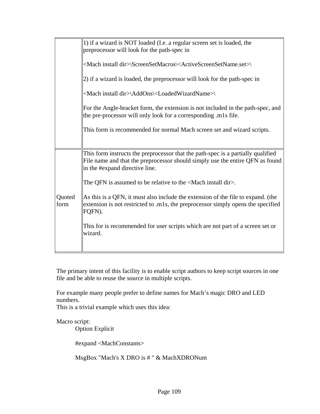|                                                                                                                                                    | 1) if a wizard is NOT loaded (I.e. a regular screen set is loaded, the<br>preprocessor will look for the path-spec in                                                                               |  |  |  |
|----------------------------------------------------------------------------------------------------------------------------------------------------|-----------------------------------------------------------------------------------------------------------------------------------------------------------------------------------------------------|--|--|--|
|                                                                                                                                                    | <mach dir="" install="">\ScreenSetMacros\<activescreensetname.set>\</activescreensetname.set></mach>                                                                                                |  |  |  |
|                                                                                                                                                    | (2) if a wizard is loaded, the preprocessor will look for the path-spec in                                                                                                                          |  |  |  |
|                                                                                                                                                    | <mach dir="" install="">\AddOns\<loadedwizardname>\</loadedwizardname></mach>                                                                                                                       |  |  |  |
| For the Angle-bracket form, the extension is not included in the path-spec, and<br>the pre-processor will only look for a corresponding .m1s file. |                                                                                                                                                                                                     |  |  |  |
|                                                                                                                                                    | This form is recommended for normal Mach screen set and wizard scripts.                                                                                                                             |  |  |  |
|                                                                                                                                                    |                                                                                                                                                                                                     |  |  |  |
|                                                                                                                                                    | This form instructs the preprocessor that the path-spec is a partially qualified<br>File name and that the preprocessor should simply use the entire QFN as found<br>in the #expand directive line. |  |  |  |
|                                                                                                                                                    | The QFN is assumed to be relative to the $\triangle$ Mach install dir>.                                                                                                                             |  |  |  |
| Quoted<br>form                                                                                                                                     | As this is a QFN, it must also include the extension of the file to expand. (the<br>extension is not restricted to .m1s, the preprocessor simply opens the specified<br>FQFN).                      |  |  |  |
|                                                                                                                                                    | This for is recommended for user scripts which are not part of a screen set or<br>wizard.                                                                                                           |  |  |  |
|                                                                                                                                                    |                                                                                                                                                                                                     |  |  |  |

The primary intent of this facility is to enable script authors to keep script sources in one file and be able to reuse the source in multiple scripts.

For example many people prefer to define names for Mach's magic DRO and LED numbers.

This is a trivial example which uses this idea:

Macro script:

Option Explicit

#expand <MachConstants>

MsgBox "Mach's X DRO is # " & MachXDRONum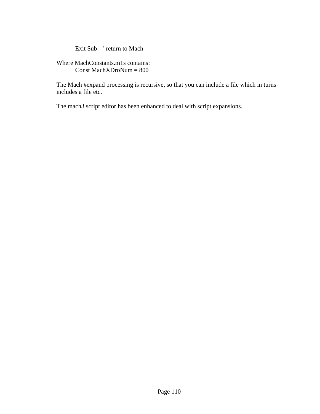Exit Sub ' return to Mach

Where MachConstants.m1s contains: Const MachXDroNum = 800

The Mach #expand processing is recursive, so that you can include a file which in turns includes a file etc.

The mach3 script editor has been enhanced to deal with script expansions.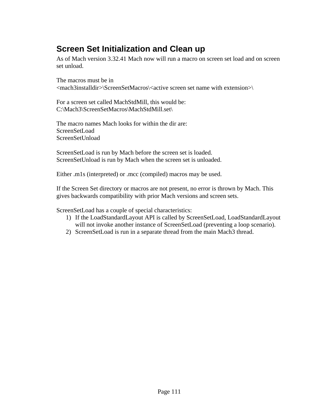## **Screen Set Initialization and Clean up**

As of Mach version 3.32.41 Mach now will run a macro on screen set load and on screen set unload.

The macros must be in <mach3installdir>\ScreenSetMacros\<active screen set name with extension>\

For a screen set called MachStdMill, this would be: C:\Mach3\ScreenSetMacros\MachStdMill.set\

The macro names Mach looks for within the dir are: ScreenSetLoad ScreenSetUnload

ScreenSetLoad is run by Mach before the screen set is loaded. ScreenSetUnload is run by Mach when the screen set is unloaded.

Either .m1s (interpreted) or .mcc (compiled) macros may be used.

If the Screen Set directory or macros are not present, no error is thrown by Mach. This gives backwards compatibility with prior Mach versions and screen sets.

ScreenSetLoad has a couple of special characteristics:

- 1) If the LoadStandardLayout API is called by ScreenSetLoad, LoadStandardLayout will not invoke another instance of ScreenSetLoad (preventing a loop scenario).
- 2) ScreenSetLoad is run in a separate thread from the main Mach3 thread.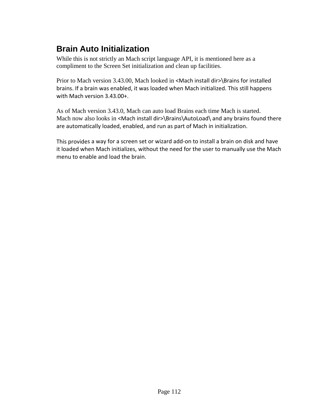# **Brain Auto Initialization**

While this is not strictly an Mach script language API, it is mentioned here as a compliment to the Screen Set initialization and clean up facilities.

Prior to Mach version 3.43.00, Mach looked in <Mach install dir>\Brains for installed brains. If a brain was enabled, it was loaded when Mach initialized. This still happens with Mach version 3.43.00+.

As of Mach version 3.43.0, Mach can auto load Brains each time Mach is started. Mach now also looks in <Mach install dir>\Brains\AutoLoad\ and any brains found there are automatically loaded, enabled, and run as part of Mach in initialization.

This provides a way for a screen set or wizard add‐on to install a brain on disk and have it loaded when Mach initializes, without the need for the user to manually use the Mach menu to enable and load the brain.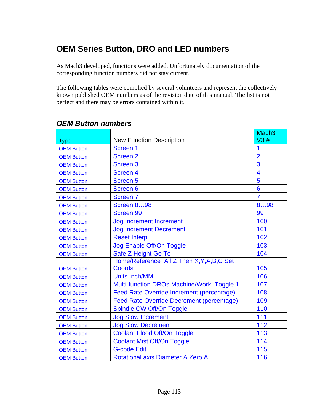## **OEM Series Button, DRO and LED numbers**

As Mach3 developed, functions were added. Unfortunately documentation of the corresponding function numbers did not stay current.

The following tables were complied by several volunteers and represent the collectively known published OEM numbers as of the revision date of this manual. The list is not perfect and there may be errors contained within it.

|                   |                                                  | Mach <sub>3</sub> |
|-------------------|--------------------------------------------------|-------------------|
| <b>Type</b>       | <b>New Function Description</b>                  | V3#               |
| <b>OEM Button</b> | Screen 1                                         | 1                 |
| <b>OEM Button</b> | <b>Screen 2</b>                                  | $\overline{2}$    |
| <b>OEM Button</b> | Screen <sub>3</sub>                              | 3                 |
| <b>OEM Button</b> | Screen <sub>4</sub>                              | 4                 |
| <b>OEM Button</b> | <b>Screen 5</b>                                  | 5                 |
| <b>OEM Button</b> | Screen 6                                         | 6                 |
| <b>OEM Button</b> | <b>Screen 7</b>                                  | $\overline{7}$    |
| <b>OEM Button</b> | <b>Screen 898</b>                                | 898               |
| <b>OEM Button</b> | <b>Screen 99</b>                                 | 99                |
| <b>OEM Button</b> | <b>Jog Increment Increment</b>                   | 100               |
| <b>OEM Button</b> | <b>Jog Increment Decrement</b>                   | 101               |
| <b>OEM Button</b> | <b>Reset Interp</b>                              | 102               |
| <b>OEM Button</b> | Jog Enable Off/On Toggle                         | 103               |
| <b>OEM Button</b> | Safe Z Height Go To                              | 104               |
|                   | Home/Reference All Z Then X, Y, A, B, C Set      |                   |
| <b>OEM Button</b> | <b>Coords</b>                                    | 105               |
| <b>OEM Button</b> | <b>Units Inch/MM</b>                             | 106               |
| <b>OEM Button</b> | Multi-function DROs Machine/Work Toggle 1        | 107               |
| <b>OEM Button</b> | <b>Feed Rate Override Increment (percentage)</b> | 108               |
| <b>OEM Button</b> | <b>Feed Rate Override Decrement (percentage)</b> | 109               |
| <b>OEM Button</b> | Spindle CW Off/On Toggle                         | 110               |
| <b>OEM Button</b> | <b>Jog Slow Increment</b>                        | 111               |
| <b>OEM Button</b> | <b>Jog Slow Decrement</b>                        | 112               |
| <b>OEM Button</b> | <b>Coolant Flood Off/On Toggle</b>               | 113               |
| <b>OEM Button</b> | <b>Coolant Mist Off/On Toggle</b>                | 114               |
| <b>OEM Button</b> | <b>G-code Edit</b>                               | 115               |
| <b>OEM Button</b> | <b>Rotational axis Diameter A Zero A</b>         | 116               |

## *OEM Button numbers*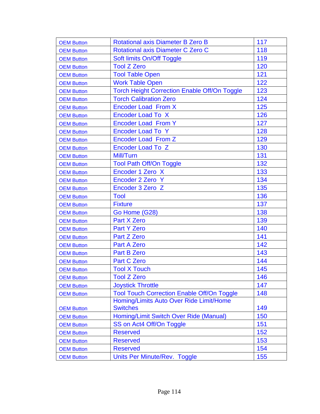| <b>OEM Button</b> | Rotational axis Diameter B Zero B                   | 117 |
|-------------------|-----------------------------------------------------|-----|
| <b>OEM Button</b> | Rotational axis Diameter C Zero C                   | 118 |
| <b>OEM Button</b> | Soft limits On/Off Toggle                           | 119 |
| <b>OEM Button</b> | <b>Tool Z Zero</b>                                  | 120 |
| <b>OEM Button</b> | <b>Tool Table Open</b>                              | 121 |
| <b>OEM Button</b> | <b>Work Table Open</b>                              | 122 |
| <b>OEM Button</b> | <b>Torch Height Correction Enable Off/On Toggle</b> | 123 |
| <b>OEM Button</b> | <b>Torch Calibration Zero</b>                       | 124 |
| <b>OEM Button</b> | <b>Encoder Load From X</b>                          | 125 |
| <b>OEM Button</b> | <b>Encoder Load To X</b>                            | 126 |
| <b>OEM Button</b> | <b>Encoder Load From Y</b>                          | 127 |
| <b>OEM Button</b> | <b>Encoder Load To Y</b>                            | 128 |
| <b>OEM Button</b> | <b>Encoder Load From Z</b>                          | 129 |
| <b>OEM Button</b> | <b>Encoder Load To Z</b>                            | 130 |
| <b>OEM Button</b> | Mill/Turn                                           | 131 |
| <b>OEM Button</b> | <b>Tool Path Off/On Toggle</b>                      | 132 |
| <b>OEM Button</b> | Encoder 1 Zero X                                    | 133 |
| <b>OEM Button</b> | Encoder 2 Zero Y                                    | 134 |
| <b>OEM Button</b> | Encoder 3 Zero Z                                    | 135 |
| <b>OEM Button</b> | Tool                                                | 136 |
| <b>OEM Button</b> | <b>Fixture</b>                                      | 137 |
| <b>OEM Button</b> | Go Home (G28)                                       | 138 |
| <b>OEM Button</b> | <b>Part X Zero</b>                                  | 139 |
| <b>OEM Button</b> | <b>Part Y Zero</b>                                  | 140 |
| <b>OEM Button</b> | Part Z Zero                                         | 141 |
| <b>OEM Button</b> | <b>Part A Zero</b>                                  | 142 |
| <b>OEM Button</b> | <b>Part B Zero</b>                                  | 143 |
| <b>OEM Button</b> | <b>Part C Zero</b>                                  | 144 |
| <b>OEM Button</b> | <b>Tool X Touch</b>                                 | 145 |
| <b>OEM Button</b> | <b>Tool Z Zero</b>                                  | 146 |
| <b>OEM Button</b> | <b>Joystick Throttle</b>                            | 147 |
| <b>OEM Button</b> | <b>Tool Touch Correction Enable Off/On Toggle</b>   | 148 |
|                   | Homing/Limits Auto Over Ride Limit/Home             |     |
| <b>OEM Button</b> | <b>Switches</b>                                     | 149 |
| <b>OEM Button</b> | Homing/Limit Switch Over Ride (Manual)              | 150 |
| <b>OEM Button</b> | SS on Act4 Off/On Toggle                            | 151 |
| <b>OEM Button</b> | <b>Reserved</b>                                     | 152 |
| <b>OEM Button</b> | <b>Reserved</b>                                     | 153 |
| <b>OEM Button</b> | <b>Reserved</b>                                     | 154 |
| <b>OEM Button</b> | Units Per Minute/Rev. Toggle                        | 155 |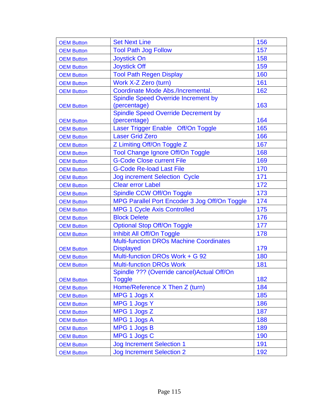| <b>OEM Button</b> | <b>Set Next Line</b>                           | 156 |
|-------------------|------------------------------------------------|-----|
| <b>OEM Button</b> | <b>Tool Path Jog Follow</b>                    | 157 |
| <b>OEM Button</b> | <b>Joystick On</b>                             | 158 |
| <b>OEM Button</b> | <b>Joystick Off</b>                            | 159 |
| <b>OEM Button</b> | <b>Tool Path Regen Display</b>                 | 160 |
| <b>OEM Button</b> | Work X-Z Zero (turn)                           | 161 |
| <b>OEM Button</b> | Coordinate Mode Abs./Incremental.              | 162 |
|                   | <b>Spindle Speed Override Increment by</b>     |     |
| <b>OEM Button</b> | (percentage)                                   | 163 |
|                   | <b>Spindle Speed Override Decrement by</b>     |     |
| <b>OEM Button</b> | (percentage)                                   | 164 |
| <b>OEM Button</b> | Laser Trigger Enable Off/On Toggle             | 165 |
| <b>OEM Button</b> | <b>Laser Grid Zero</b>                         | 166 |
| <b>OEM Button</b> | Z Limiting Off/On Toggle Z                     | 167 |
| <b>OEM Button</b> | <b>Tool Change Ignore Off/On Toggle</b>        | 168 |
| <b>OEM Button</b> | <b>G-Code Close current File</b>               | 169 |
| <b>OEM Button</b> | <b>G-Code Re-load Last File</b>                | 170 |
| <b>OEM Button</b> | <b>Jog increment Selection Cycle</b>           | 171 |
| <b>OEM Button</b> | <b>Clear error Label</b>                       | 172 |
| <b>OEM Button</b> | Spindle CCW Off/On Toggle                      | 173 |
| <b>OEM Button</b> | MPG Parallel Port Encoder 3 Jog Off/On Toggle  | 174 |
| <b>OEM Button</b> | <b>MPG 1 Cycle Axis Controlled</b>             | 175 |
| <b>OEM Button</b> | <b>Block Delete</b>                            | 176 |
| <b>OEM Button</b> | <b>Optional Stop Off/On Toggle</b>             | 177 |
| <b>OEM Button</b> | Inhibit All Off/On Toggle                      | 178 |
|                   | <b>Multi-function DROs Machine Coordinates</b> |     |
| <b>OEM Button</b> | <b>Displayed</b>                               | 179 |
| <b>OEM Button</b> | Multi-function DROs Work + G 92                | 180 |
| <b>OEM Button</b> | <b>Multi-function DROs Work</b>                | 181 |
|                   | Spindle ??? (Override cancel) Actual Off/On    |     |
| <b>OEM Button</b> | <b>Toggle</b>                                  | 182 |
| <b>OEM Button</b> | Home/Reference X Then Z (turn)                 | 184 |
| <b>OEM Button</b> | MPG 1 Jogs X                                   | 185 |
| <b>OEM Button</b> | MPG 1 Jogs Y                                   | 186 |
| <b>OEM Button</b> | MPG 1 Jogs Z                                   | 187 |
| <b>OEM Button</b> | MPG 1 Jogs A                                   | 188 |
| <b>OEM Button</b> | MPG 1 Jogs B                                   | 189 |
| <b>OEM Button</b> | MPG 1 Jogs C                                   | 190 |
| <b>OEM Button</b> | <b>Jog Increment Selection 1</b>               | 191 |
| <b>OEM Button</b> | <b>Jog Increment Selection 2</b>               | 192 |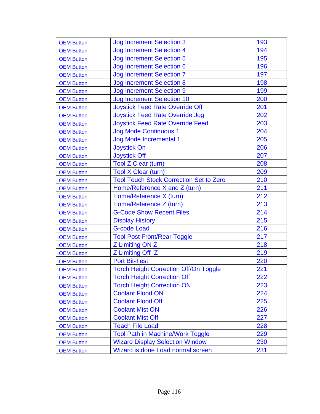| <b>OEM Button</b> | <b>Jog Increment Selection 3</b>               | 193 |
|-------------------|------------------------------------------------|-----|
| <b>OEM Button</b> | <b>Jog Increment Selection 4</b>               | 194 |
| <b>OEM Button</b> | <b>Jog Increment Selection 5</b>               | 195 |
| <b>OEM Button</b> | <b>Jog Increment Selection 6</b>               | 196 |
| <b>OEM Button</b> | <b>Jog Increment Selection 7</b>               | 197 |
| <b>OEM Button</b> | <b>Jog Increment Selection 8</b>               | 198 |
| <b>OEM Button</b> | <b>Jog Increment Selection 9</b>               | 199 |
| <b>OEM Button</b> | <b>Jog Increment Selection 10</b>              | 200 |
| <b>OEM Button</b> | <b>Joystick Feed Rate Override Off</b>         | 201 |
| <b>OEM Button</b> | <b>Joystick Feed Rate Override Jog</b>         | 202 |
| <b>OEM Button</b> | <b>Joystick Feed Rate Override Feed</b>        | 203 |
| <b>OEM Button</b> | <b>Jog Mode Continuous 1</b>                   | 204 |
| <b>OEM Button</b> | <b>Jog Mode Incremental 1</b>                  | 205 |
| <b>OEM Button</b> | <b>Joystick On</b>                             | 206 |
| <b>OEM Button</b> | <b>Joystick Off</b>                            | 207 |
| <b>OEM Button</b> | <b>Tool Z Clear (turn)</b>                     | 208 |
| <b>OEM Button</b> | <b>Tool X Clear (turn)</b>                     | 209 |
| <b>OEM Button</b> | <b>Tool Touch Stock Correction Set to Zero</b> | 210 |
| <b>OEM Button</b> | Home/Reference X and Z (turn)                  | 211 |
| <b>OEM Button</b> | Home/Reference X (turn)                        | 212 |
| <b>OEM Button</b> | Home/Reference Z (turn)                        | 213 |
| <b>OEM Button</b> | <b>G-Code Show Recent Files</b>                | 214 |
| <b>OEM Button</b> | <b>Display History</b>                         | 215 |
| <b>OEM Button</b> | <b>G-code Load</b>                             | 216 |
| <b>OEM Button</b> | <b>Tool Post Front/Rear Toggle</b>             | 217 |
| <b>OEM Button</b> | Z Limiting ON Z                                | 218 |
| <b>OEM Button</b> | Z Limiting Off Z                               | 219 |
| <b>OEM Button</b> | <b>Port Bit-Test</b>                           | 220 |
| <b>OEM Button</b> | <b>Torch Height Correction Off/On Toggle</b>   | 221 |
| <b>OEM Button</b> | <b>Torch Height Correction Off</b>             | 222 |
| <b>OEM Button</b> | <b>Torch Height Correction ON</b>              | 223 |
| <b>OEM Button</b> | <b>Coolant Flood ON</b>                        | 224 |
| <b>OEM Button</b> | <b>Coolant Flood Off</b>                       | 225 |
| <b>OEM Button</b> | <b>Coolant Mist ON</b>                         | 226 |
| <b>OEM Button</b> | <b>Coolant Mist Off</b>                        | 227 |
| <b>OEM Button</b> | <b>Teach File Load</b>                         | 228 |
| <b>OEM Button</b> | <b>Tool Path in Machine/Work Toggle</b>        | 229 |
| <b>OEM Button</b> | <b>Wizard Display Selection Window</b>         | 230 |
| <b>OEM Button</b> | Wizard is done Load normal screen              | 231 |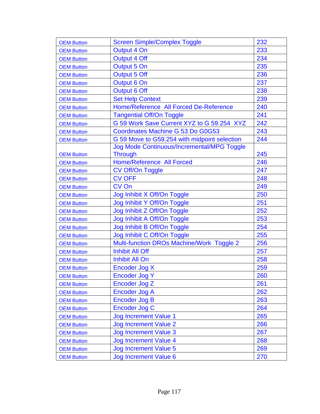| <b>OEM Button</b> | <b>Screen Simple/Complex Toggle</b>          | 232 |
|-------------------|----------------------------------------------|-----|
| <b>OEM Button</b> | Output 4 On                                  | 233 |
| <b>OEM Button</b> | <b>Output 4 Off</b>                          | 234 |
| <b>OEM Button</b> | Output 5 On                                  | 235 |
| <b>OEM Button</b> | Output 5 Off                                 | 236 |
| <b>OEM Button</b> | Output 6 On                                  | 237 |
| <b>OEM Button</b> | Output 6 Off                                 | 238 |
| <b>OEM Button</b> | <b>Set Help Context</b>                      | 239 |
| <b>OEM Button</b> | Home/Reference All Forced De-Reference       | 240 |
| <b>OEM Button</b> | <b>Tangential Off/On Toggle</b>              | 241 |
| <b>OEM Button</b> | G 59 Work Save Current XYZ to G 59.254 XYZ   | 242 |
| <b>OEM Button</b> | Coordinates Machine G 53 Do G0G53            | 243 |
| <b>OEM Button</b> | G 59 Move to G59.254 with midpoint selection | 244 |
|                   | Jog Mode Continuous/Incremental/MPG Toggle   |     |
| <b>OEM Button</b> | <b>Through</b>                               | 245 |
| <b>OEM Button</b> | <b>Home/Reference All Forced</b>             | 246 |
| <b>OEM Button</b> | CV Off/On Toggle                             | 247 |
| <b>OEM Button</b> | <b>CV OFF</b>                                | 248 |
| <b>OEM Button</b> | CV On                                        | 249 |
| <b>OEM Button</b> | Jog Inhibit X Off/On Toggle                  | 250 |
| <b>OEM Button</b> | Jog Inhibit Y Off/On Toggle                  | 251 |
| <b>OEM Button</b> | Jog Inhibit Z Off/On Toggle                  | 252 |
| <b>OEM Button</b> | Jog Inhibit A Off/On Toggle                  | 253 |
| <b>OEM Button</b> | Jog Inhibit B Off/On Toggle                  | 254 |
| <b>OEM Button</b> | Jog Inhibit C Off/On Toggle                  | 255 |
| <b>OEM Button</b> | Multi-function DROs Machine/Work Toggle 2    | 256 |
| <b>OEM Button</b> | <b>Inhibit All Off</b>                       | 257 |
| <b>OEM Button</b> | <b>Inhibit All On</b>                        | 258 |
| <b>OEM Button</b> | Encoder Jog X                                | 259 |
| <b>OEM Button</b> | <b>Encoder Jog Y</b>                         | 260 |
| <b>OEM Button</b> | Encoder Jog Z                                | 261 |
| <b>OEM Button</b> | Encoder Jog A                                | 262 |
| <b>OEM Button</b> | <b>Encoder Jog B</b>                         | 263 |
| <b>OEM Button</b> | Encoder Jog C                                | 264 |
| <b>OEM Button</b> | <b>Jog Increment Value 1</b>                 | 265 |
| <b>OEM Button</b> | <b>Jog Increment Value 2</b>                 | 266 |
| <b>OEM Button</b> | <b>Jog Increment Value 3</b>                 | 267 |
| <b>OEM Button</b> | <b>Jog Increment Value 4</b>                 | 268 |
| <b>OEM Button</b> | <b>Jog Increment Value 5</b>                 | 269 |
| <b>OEM Button</b> | Jog Increment Value 6                        | 270 |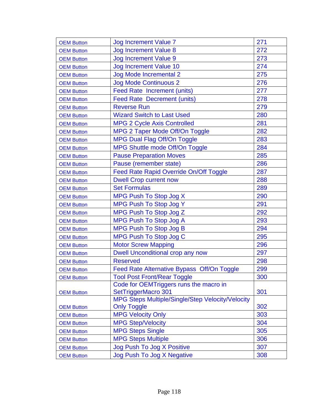| <b>OEM Button</b> | <b>Jog Increment Value 7</b>                     | 271 |
|-------------------|--------------------------------------------------|-----|
| <b>OEM Button</b> | <b>Jog Increment Value 8</b>                     | 272 |
| <b>OEM Button</b> | <b>Jog Increment Value 9</b>                     | 273 |
| <b>OEM Button</b> | <b>Jog Increment Value 10</b>                    | 274 |
| <b>OEM Button</b> | <b>Jog Mode Incremental 2</b>                    | 275 |
| <b>OEM Button</b> | <b>Jog Mode Continuous 2</b>                     | 276 |
| <b>OEM Button</b> | <b>Feed Rate Increment (units)</b>               | 277 |
| <b>OEM Button</b> | <b>Feed Rate Decrement (units)</b>               | 278 |
| <b>OEM Button</b> | <b>Reverse Run</b>                               | 279 |
| <b>OEM Button</b> | <b>Wizard Switch to Last Used</b>                | 280 |
| <b>OEM Button</b> | <b>MPG 2 Cycle Axis Controlled</b>               | 281 |
| <b>OEM Button</b> | MPG 2 Taper Mode Off/On Toggle                   | 282 |
| <b>OEM Button</b> | <b>MPG Dual Flag Off/On Toggle</b>               | 283 |
| <b>OEM Button</b> | <b>MPG Shuttle mode Off/On Toggle</b>            | 284 |
| <b>OEM Button</b> | <b>Pause Preparation Moves</b>                   | 285 |
| <b>OEM Button</b> | Pause (remember state)                           | 286 |
| <b>OEM Button</b> | <b>Feed Rate Rapid Override On/Off Toggle</b>    | 287 |
| <b>OEM Button</b> | <b>Dwell Crop current now</b>                    | 288 |
| <b>OEM Button</b> | <b>Set Formulas</b>                              | 289 |
| <b>OEM Button</b> | MPG Push To Stop Jog X                           | 290 |
| <b>OEM Button</b> | <b>MPG Push To Stop Jog Y</b>                    | 291 |
| <b>OEM Button</b> | MPG Push To Stop Jog Z                           | 292 |
| <b>OEM Button</b> | <b>MPG Push To Stop Jog A</b>                    | 293 |
| <b>OEM Button</b> | <b>MPG Push To Stop Jog B</b>                    | 294 |
| <b>OEM Button</b> | <b>MPG Push To Stop Jog C</b>                    | 295 |
| <b>OEM Button</b> | <b>Motor Screw Mapping</b>                       | 296 |
| <b>OEM Button</b> | Dwell Unconditional crop any now                 | 297 |
| <b>OEM Button</b> | <b>Reserved</b>                                  | 298 |
| <b>OEM Button</b> | Feed Rate Alternative Bypass Off/On Toggle       | 299 |
| <b>OEM Button</b> | <b>Tool Post Front/Rear Toggle</b>               | 300 |
|                   | Code for OEMTriggers runs the macro in           |     |
| <b>OEM Button</b> | SetTriggerMacro 301                              | 301 |
|                   | MPG Steps Multiple/Single/Step Velocity/Velocity |     |
| <b>OEM Button</b> | <b>Only Toggle</b>                               | 302 |
| <b>OEM Button</b> | <b>MPG Velocity Only</b>                         | 303 |
| <b>OEM Button</b> | <b>MPG Step/Velocity</b>                         | 304 |
| <b>OEM Button</b> | <b>MPG Steps Single</b>                          | 305 |
| <b>OEM Button</b> | <b>MPG Steps Multiple</b>                        | 306 |
| <b>OEM Button</b> | Jog Push To Jog X Positive                       | 307 |
| <b>OEM Button</b> | Jog Push To Jog X Negative                       | 308 |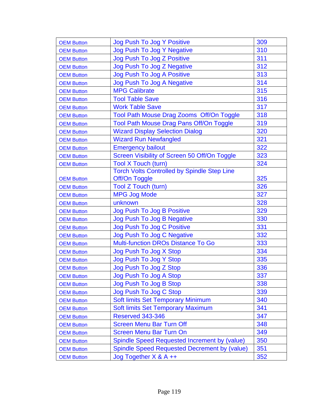| <b>OEM Button</b> | Jog Push To Jog Y Positive                          | 309 |
|-------------------|-----------------------------------------------------|-----|
| <b>OEM Button</b> | <b>Jog Push To Jog Y Negative</b>                   | 310 |
| <b>OEM Button</b> | Jog Push To Jog Z Positive                          | 311 |
| <b>OEM Button</b> | Jog Push To Jog Z Negative                          | 312 |
| <b>OEM Button</b> | <b>Jog Push To Jog A Positive</b>                   | 313 |
| <b>OEM Button</b> | <b>Jog Push To Jog A Negative</b>                   | 314 |
| <b>OEM Button</b> | <b>MPG Calibrate</b>                                | 315 |
| <b>OEM Button</b> | <b>Tool Table Save</b>                              | 316 |
| <b>OEM Button</b> | <b>Work Table Save</b>                              | 317 |
| <b>OEM Button</b> | Tool Path Mouse Drag Zooms Off/On Toggle            | 318 |
| <b>OEM Button</b> | <b>Tool Path Mouse Drag Pans Off/On Toggle</b>      | 319 |
| <b>OEM Button</b> | <b>Wizard Display Selection Dialog</b>              | 320 |
| <b>OEM Button</b> | <b>Wizard Run Newfangled</b>                        | 321 |
| <b>OEM Button</b> | <b>Emergency bailout</b>                            | 322 |
| <b>OEM Button</b> | Screen Visibility of Screen 50 Off/On Toggle        | 323 |
| <b>OEM Button</b> | <b>Tool X Touch (turn)</b>                          | 324 |
|                   | <b>Torch Volts Controlled by Spindle Step Line</b>  |     |
| <b>OEM Button</b> | Off/On Toggle                                       | 325 |
| <b>OEM Button</b> | <b>Tool Z Touch (turn)</b>                          | 326 |
| <b>OEM Button</b> | <b>MPG Jog Mode</b>                                 | 327 |
| <b>OEM Button</b> | unknown                                             | 328 |
| <b>OEM Button</b> | Jog Push To Jog B Positive                          | 329 |
| <b>OEM Button</b> | Jog Push To Jog B Negative                          | 330 |
| <b>OEM Button</b> | Jog Push To Jog C Positive                          | 331 |
| <b>OEM Button</b> | Jog Push To Jog C Negative                          | 332 |
| <b>OEM Button</b> | <b>Multi-function DROs Distance To Go</b>           | 333 |
| <b>OEM Button</b> | Jog Push To Jog X Stop                              | 334 |
| <b>OEM Button</b> | Jog Push To Jog Y Stop                              | 335 |
| <b>OEM Button</b> | Jog Push To Jog Z Stop                              | 336 |
| <b>OEM Button</b> | Jog Push To Jog A Stop                              | 337 |
| <b>OEM Button</b> | Jog Push To Jog B Stop                              | 338 |
| <b>OEM Button</b> | Jog Push To Jog C Stop                              | 339 |
| <b>OEM Button</b> | <b>Soft limits Set Temporary Minimum</b>            | 340 |
| <b>OEM Button</b> | <b>Soft limits Set Temporary Maximum</b>            | 341 |
| <b>OEM Button</b> | <b>Reserved 343-346</b>                             | 347 |
| <b>OEM Button</b> | <b>Screen Menu Bar Turn Off</b>                     | 348 |
| <b>OEM Button</b> | <b>Screen Menu Bar Turn On</b>                      | 349 |
| <b>OEM Button</b> | Spindle Speed Requested Increment by (value)        | 350 |
| <b>OEM Button</b> | <b>Spindle Speed Requested Decrement by (value)</b> | 351 |
| <b>OEM Button</b> | $Jog Together X & A ++$                             | 352 |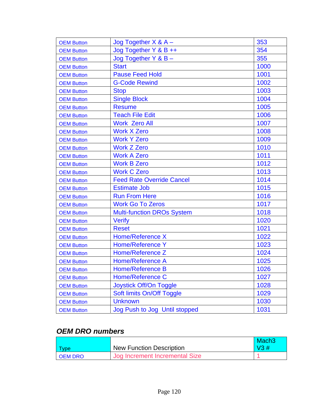| <b>OEM Button</b> | $Jog$ Together $X & A -$          | 353  |
|-------------------|-----------------------------------|------|
| <b>OEM Button</b> | Jog Together Y & B ++             | 354  |
| <b>OEM Button</b> | $Jog$ Together Y & B $-$          | 355  |
| <b>OEM Button</b> | <b>Start</b>                      | 1000 |
| <b>OEM Button</b> | <b>Pause Feed Hold</b>            | 1001 |
| <b>OEM Button</b> | <b>G-Code Rewind</b>              | 1002 |
| <b>OEM Button</b> | <b>Stop</b>                       | 1003 |
| <b>OEM Button</b> | <b>Single Block</b>               | 1004 |
| <b>OEM Button</b> | <b>Resume</b>                     | 1005 |
| <b>OEM Button</b> | <b>Teach File Edit</b>            | 1006 |
| <b>OEM Button</b> | <b>Work Zero All</b>              | 1007 |
| <b>OEM Button</b> | <b>Work X Zero</b>                | 1008 |
| <b>OEM Button</b> | <b>Work Y Zero</b>                | 1009 |
| <b>OEM Button</b> | <b>Work Z Zero</b>                | 1010 |
| <b>OEM Button</b> | <b>Work A Zero</b>                | 1011 |
| <b>OEM Button</b> | <b>Work B Zero</b>                | 1012 |
| <b>OEM Button</b> | <b>Work C Zero</b>                | 1013 |
| <b>OEM Button</b> | <b>Feed Rate Override Cancel</b>  | 1014 |
| <b>OEM Button</b> | <b>Estimate Job</b>               | 1015 |
| <b>OEM Button</b> | <b>Run From Here</b>              | 1016 |
| <b>OEM Button</b> | <b>Work Go To Zeros</b>           | 1017 |
| <b>OEM Button</b> | <b>Multi-function DROs System</b> | 1018 |
| <b>OEM Button</b> | <b>Verify</b>                     | 1020 |
| <b>OEM Button</b> | <b>Reset</b>                      | 1021 |
| <b>OEM Button</b> | Home/Reference X                  | 1022 |
| <b>OEM Button</b> | <b>Home/Reference Y</b>           | 1023 |
| <b>OEM Button</b> | Home/Reference Z                  | 1024 |
| <b>OEM Button</b> | <b>Home/Reference A</b>           | 1025 |
| <b>OEM Button</b> | <b>Home/Reference B</b>           | 1026 |
| <b>OEM Button</b> | <b>Home/Reference C</b>           | 1027 |
| <b>OEM Button</b> | <b>Joystick Off/On Toggle</b>     | 1028 |
| <b>OEM Button</b> | Soft limits On/Off Toggle         | 1029 |
| <b>OEM Button</b> | <b>Unknown</b>                    | 1030 |
| <b>OEM Button</b> | Jog Push to Jog Until stopped     | 1031 |

## *OEM DRO numbers*

|                |                                 | Mach <sub>3</sub> |
|----------------|---------------------------------|-------------------|
| Type           | <b>New Function Description</b> | $\sqrt{3}$ #      |
| <b>OEM DRO</b> | Jog Increment Incremental Size  |                   |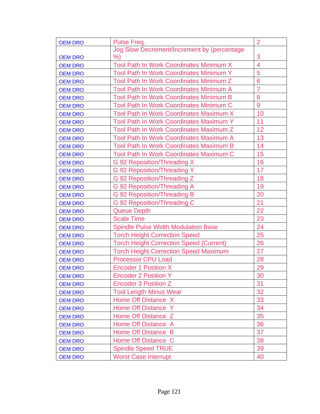| <b>OEM DRO</b> | Pulse Freq.                                    | $\overline{2}$ |
|----------------|------------------------------------------------|----------------|
|                | Jog Slow Decrement/Increment by (percentage    |                |
| <b>OEM DRO</b> | %                                              | 3              |
| <b>OEM DRO</b> | Tool Path In Work Coordinates Minimum X        | 4              |
| <b>OEM DRO</b> | Tool Path In Work Coordinates Minimum Y        | 5              |
| <b>OEM DRO</b> | Tool Path In Work Coordinates Minimum Z        | 6              |
| <b>OEM DRO</b> | Tool Path In Work Coordinates Minimum A        | $\overline{7}$ |
| <b>OEM DRO</b> | <b>Tool Path In Work Coordinates Minimum B</b> | 8              |
| <b>OEM DRO</b> | <b>Tool Path In Work Coordinates Minimum C</b> | 9              |
| <b>OEM DRO</b> | Tool Path In Work Coordinates Maximum X        | 10             |
| <b>OEM DRO</b> | <b>Tool Path In Work Coordinates Maximum Y</b> | 11             |
| <b>OEM DRO</b> | Tool Path In Work Coordinates Maximum Z        | 12             |
| <b>OEM DRO</b> | <b>Tool Path In Work Coordinates Maximum A</b> | 13             |
| <b>OEM DRO</b> | <b>Tool Path In Work Coordinates Maximum B</b> | 14             |
| <b>OEM DRO</b> | <b>Tool Path In Work Coordinates Maximum C</b> | 15             |
| <b>OEM DRO</b> | G 92 Reposition/Threading X                    | 16             |
| <b>OEM DRO</b> | G 92 Reposition/Threading Y                    | 17             |
| <b>OEM DRO</b> | G 92 Reposition/Threading Z                    | 18             |
| <b>OEM DRO</b> | G 92 Reposition/Threading A                    | 19             |
| <b>OEM DRO</b> | G 92 Reposition/Threading B                    | 20             |
| <b>OEM DRO</b> | G 92 Reposition/Threading C                    | 21             |
| <b>OEM DRO</b> | <b>Queue Depth</b>                             | 22             |
| <b>OEM DRO</b> | <b>Scale Time</b>                              | 23             |
| <b>OEM DRO</b> | <b>Spindle Pulse Width Modulation Base</b>     | 24             |
| <b>OEM DRO</b> | <b>Torch Height Correction Speed</b>           | 25             |
| <b>OEM DRO</b> | <b>Torch Height Correction Speed (Current)</b> | 26             |
| <b>OEM DRO</b> | <b>Torch Height Correction Speed Maximum</b>   | 27             |
| <b>OEM DRO</b> | <b>Processor CPU Load</b>                      | 28             |
| <b>OEM DRO</b> | <b>Encoder 1 Position X</b>                    | 29             |
| <b>OEM DRO</b> | <b>Encoder 2 Position Y</b>                    | 30             |
| <b>OEM DRO</b> | <b>Encoder 3 Position Z</b>                    | 31             |
| <b>OEM DRO</b> | <b>Tool Length Minus Wear</b>                  | 32             |
| <b>OEM DRO</b> | Home Off Distance X                            | 33             |
| <b>OEM DRO</b> | Home Off Distance Y                            | 34             |
| <b>OEM DRO</b> | Home Off Distance Z                            | 35             |
| <b>OEM DRO</b> | Home Off Distance A                            | 36             |
| <b>OEM DRO</b> | Home Off Distance B                            | 37             |
| <b>OEM DRO</b> | Home Off Distance C                            | 38             |
| <b>OEM DRO</b> | <b>Spindle Speed TRUE</b>                      | 39             |
| <b>OEM DRO</b> | <b>Worst Case Interrupt</b>                    | 40             |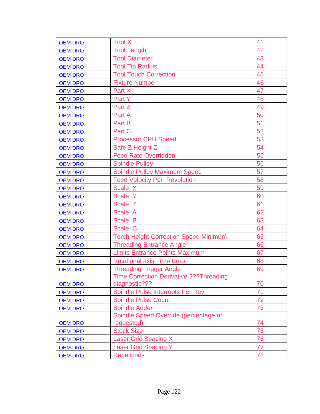| <b>OEM DRO</b> | <b>Tool X</b>                                  | 41 |
|----------------|------------------------------------------------|----|
| <b>OEM DRO</b> | <b>Tool Length</b>                             | 42 |
| <b>OEM DRO</b> | <b>Tool Diameter</b>                           | 43 |
| <b>OEM DRO</b> | <b>Tool Tip Radius</b>                         | 44 |
| <b>OEM DRO</b> | <b>Tool Touch Correction</b>                   | 45 |
| <b>OEM DRO</b> | <b>Fixture Number</b>                          | 46 |
| <b>OEM DRO</b> | Part X                                         | 47 |
| <b>OEM DRO</b> | Part Y                                         | 48 |
| <b>OEM DRO</b> | Part Z                                         | 49 |
| <b>OEM DRO</b> | Part A                                         | 50 |
| <b>OEM DRO</b> | Part B                                         | 51 |
| <b>OEM DRO</b> | Part C                                         | 52 |
| <b>OEM DRO</b> | <b>Processor CPU Speed</b>                     | 53 |
| <b>OEM DRO</b> | Safe Z Height Z                                | 54 |
| <b>OEM DRO</b> | <b>Feed Rate Overridden</b>                    | 55 |
| <b>OEM DRO</b> | <b>Spindle Pulley</b>                          | 56 |
| <b>OEM DRO</b> | <b>Spindle Pulley Maximum Speed</b>            | 57 |
| <b>OEM DRO</b> | <b>Feed Velocity Per Revolution</b>            | 58 |
| <b>OEM DRO</b> | Scale X                                        | 59 |
| <b>OEM DRO</b> | Scale Y                                        | 60 |
| <b>OEM DRO</b> | Scale Z                                        | 61 |
| <b>OEM DRO</b> | Scale A                                        | 62 |
| <b>OEM DRO</b> | Scale B                                        | 63 |
| <b>OEM DRO</b> | Scale C                                        | 64 |
| <b>OEM DRO</b> | <b>Torch Height Correction Speed Minimum</b>   | 65 |
| <b>OEM DRO</b> | <b>Threading Entrance Angle</b>                | 66 |
| <b>OEM DRO</b> | <b>Limits Entrance Points Maximum</b>          | 67 |
| <b>OEM DRO</b> | <b>Rotational axis Time Error</b>              | 68 |
| <b>OEM DRO</b> | <b>Threading Trigger Angle</b>                 | 69 |
|                | <b>Time Correction Derivative ???Threading</b> |    |
| <b>OEM DRO</b> | diagnostic???                                  | 70 |
| <b>OEM DRO</b> | Spindle Pulse Interrupts Per Rev.              | 71 |
| <b>OEM DRO</b> | <b>Spindle Pulse Count</b>                     | 72 |
| <b>OEM DRO</b> | <b>Spindle Adder</b>                           | 73 |
|                | Spindle Speed Override (percentage of          |    |
| <b>OEM DRO</b> | requested)                                     | 74 |
| <b>OEM DRO</b> | <b>Stock Size</b>                              | 75 |
| <b>OEM DRO</b> | Laser Grid Spacing X                           | 76 |
| <b>OEM DRO</b> | <b>Laser Grid Spacing Y</b>                    | 77 |
| <b>OEM DRO</b> | <b>Repetitions</b>                             | 78 |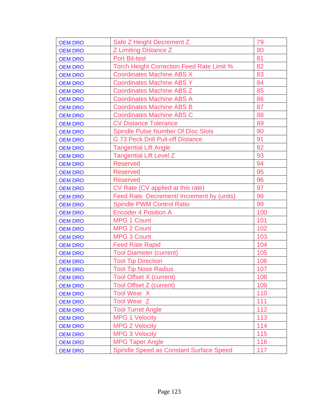| <b>OEM DRO</b> | Safe Z Height Decrement Z                        | 79  |
|----------------|--------------------------------------------------|-----|
| <b>OEM DRO</b> | Z Limiting Distance Z                            | 80  |
| <b>OEM DRO</b> | <b>Port Bit-test</b>                             | 81  |
| <b>OEM DRO</b> | <b>Torch Height Correction Feed Rate Limit %</b> | 82  |
| <b>OEM DRO</b> | <b>Coordinates Machine ABS X</b>                 | 83  |
| <b>OEM DRO</b> | <b>Coordinates Machine ABS Y</b>                 | 84  |
| <b>OEM DRO</b> | <b>Coordinates Machine ABS Z</b>                 | 85  |
| <b>OEM DRO</b> | <b>Coordinates Machine ABS A</b>                 | 86  |
| <b>OEM DRO</b> | <b>Coordinates Machine ABS B</b>                 | 87  |
| <b>OEM DRO</b> | <b>Coordinates Machine ABS C</b>                 | 88  |
| <b>OEM DRO</b> | <b>CV Distance Tolerance</b>                     | 89  |
| <b>OEM DRO</b> | <b>Spindle Pulse Number Of Disc Slots</b>        | 90  |
| <b>OEM DRO</b> | <b>G 73 Peck Drill Pull-off Distance</b>         | 91  |
| <b>OEM DRO</b> | <b>Tangential Lift Angle</b>                     | 92  |
| <b>OEM DRO</b> | <b>Tangential Lift Level Z</b>                   | 93  |
| <b>OEM DRO</b> | <b>Reserved</b>                                  | 94  |
| <b>OEM DRO</b> | <b>Reserved</b>                                  | 95  |
| <b>OEM DRO</b> | <b>Reserved</b>                                  | 96  |
| <b>OEM DRO</b> | CV Rate (CV applied at this rate)                | 97  |
| <b>OEM DRO</b> | Feed Rate Decrement/ Increment by (units)        | 98  |
| <b>OEM DRO</b> | <b>Spindle PWM Control Ratio</b>                 | 99  |
| <b>OEM DRO</b> | <b>Encoder 4 Position A</b>                      | 100 |
| <b>OEM DRO</b> | <b>MPG 1 Count</b>                               | 101 |
| <b>OEM DRO</b> | <b>MPG 2 Count</b>                               | 102 |
| <b>OEM DRO</b> | <b>MPG 3 Count</b>                               | 103 |
| <b>OEM DRO</b> | <b>Feed Rate Rapid</b>                           | 104 |
| <b>OEM DRO</b> | <b>Tool Diameter (current)</b>                   | 105 |
| <b>OEM DRO</b> | <b>Tool Tip Direction</b>                        | 106 |
| <b>OEM DRO</b> | <b>Tool Tip Nose Radius</b>                      | 107 |
| <b>OEM DRO</b> | <b>Tool Offset X (current)</b>                   | 108 |
| <b>OEM DRO</b> | <b>Tool Offset Z (current)</b>                   | 109 |
| <b>OEM DRO</b> | <b>Tool Wear X</b>                               | 110 |
| <b>OEM DRO</b> | <b>Tool Wear Z</b>                               | 111 |
| <b>OEM DRO</b> | <b>Tool Turret Angle</b>                         | 112 |
| <b>OEM DRO</b> | <b>MPG 1 Velocity</b>                            | 113 |
| <b>OEM DRO</b> | <b>MPG 2 Velocity</b>                            | 114 |
| <b>OEM DRO</b> | <b>MPG 3 Velocity</b>                            | 115 |
| <b>OEM DRO</b> | <b>MPG Taper Angle</b>                           | 116 |
| <b>OEM DRO</b> | <b>Spindle Speed as Constant Surface Speed</b>   | 117 |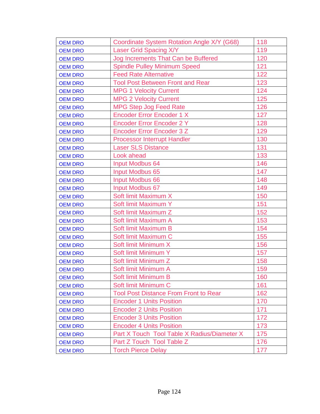| <b>OEM DRO</b> | Coordinate System Rotation Angle X/Y (G68)   | 118 |
|----------------|----------------------------------------------|-----|
| <b>OEM DRO</b> | Laser Grid Spacing X/Y                       | 119 |
| <b>OEM DRO</b> | Jog Increments That Can be Buffered          | 120 |
| <b>OEM DRO</b> | <b>Spindle Pulley Minimum Speed</b>          | 121 |
| <b>OEM DRO</b> | <b>Feed Rate Alternative</b>                 | 122 |
| <b>OEM DRO</b> | <b>Tool Post Between Front and Rear</b>      | 123 |
| <b>OEM DRO</b> | <b>MPG 1 Velocity Current</b>                | 124 |
| <b>OEM DRO</b> | <b>MPG 2 Velocity Current</b>                | 125 |
| <b>OEM DRO</b> | <b>MPG Step Jog Feed Rate</b>                | 126 |
| <b>OEM DRO</b> | <b>Encoder Error Encoder 1 X</b>             | 127 |
| <b>OEM DRO</b> | <b>Encoder Error Encoder 2 Y</b>             | 128 |
| <b>OEM DRO</b> | <b>Encoder Error Encoder 3 Z</b>             | 129 |
| <b>OEM DRO</b> | <b>Processor Interrupt Handler</b>           | 130 |
| <b>OEM DRO</b> | <b>Laser SLS Distance</b>                    | 131 |
| <b>OEM DRO</b> | Look ahead                                   | 133 |
| <b>OEM DRO</b> | <b>Input Modbus 64</b>                       | 146 |
| <b>OEM DRO</b> | Input Modbus 65                              | 147 |
| <b>OEM DRO</b> | <b>Input Modbus 66</b>                       | 148 |
| <b>OEM DRO</b> | <b>Input Modbus 67</b>                       | 149 |
| <b>OEM DRO</b> | Soft limit Maximum X                         | 150 |
| <b>OEM DRO</b> | Soft limit Maximum Y                         | 151 |
| <b>OEM DRO</b> | Soft limit Maximum Z                         | 152 |
| <b>OEM DRO</b> | Soft limit Maximum A                         | 153 |
| <b>OEM DRO</b> | Soft limit Maximum B                         | 154 |
| <b>OEM DRO</b> | Soft limit Maximum C                         | 155 |
| <b>OEM DRO</b> | Soft limit Minimum X                         | 156 |
| <b>OEM DRO</b> | Soft limit Minimum Y                         | 157 |
| <b>OEM DRO</b> | Soft limit Minimum Z                         | 158 |
| <b>OEM DRO</b> | Soft limit Minimum A                         | 159 |
| <b>OEM DRO</b> | Soft limit Minimum B                         | 160 |
| <b>OEM DRO</b> | Soft limit Minimum C                         | 161 |
| <b>OEM DRO</b> | <b>Tool Post Distance From Front to Rear</b> | 162 |
| <b>OEM DRO</b> | <b>Encoder 1 Units Position</b>              | 170 |
| <b>OEM DRO</b> | <b>Encoder 2 Units Position</b>              | 171 |
| <b>OEM DRO</b> | <b>Encoder 3 Units Position</b>              | 172 |
| <b>OEM DRO</b> | <b>Encoder 4 Units Position</b>              | 173 |
| <b>OEM DRO</b> | Part X Touch Tool Table X Radius/Diameter X  | 175 |
| <b>OEM DRO</b> | Part Z Touch Tool Table Z                    | 176 |
| <b>OEM DRO</b> | <b>Torch Pierce Delay</b>                    | 177 |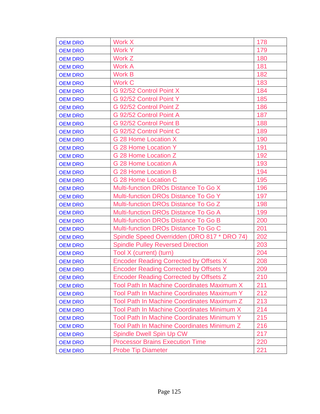| <b>OEM DRO</b> | Work X                                            | 178 |
|----------------|---------------------------------------------------|-----|
| <b>OEM DRO</b> | <b>Work Y</b>                                     | 179 |
| <b>OEM DRO</b> | Work Z                                            | 180 |
| <b>OEM DRO</b> | <b>Work A</b>                                     | 181 |
| <b>OEM DRO</b> | Work B                                            | 182 |
| <b>OEM DRO</b> | <b>Work C</b>                                     | 183 |
| <b>OEM DRO</b> | G 92/52 Control Point X                           | 184 |
| <b>OEM DRO</b> | G 92/52 Control Point Y                           | 185 |
| <b>OEM DRO</b> | G 92/52 Control Point Z                           | 186 |
| <b>OEM DRO</b> | G 92/52 Control Point A                           | 187 |
| <b>OEM DRO</b> | G 92/52 Control Point B                           | 188 |
| <b>OEM DRO</b> | G 92/52 Control Point C                           | 189 |
| <b>OEM DRO</b> | G 28 Home Location X                              | 190 |
| <b>OEM DRO</b> | G 28 Home Location Y                              | 191 |
| <b>OEM DRO</b> | G 28 Home Location Z                              | 192 |
| <b>OEM DRO</b> | G 28 Home Location A                              | 193 |
| <b>OEM DRO</b> | G 28 Home Location B                              | 194 |
| <b>OEM DRO</b> | G 28 Home Location C                              | 195 |
| <b>OEM DRO</b> | Multi-function DROs Distance To Go X              | 196 |
| <b>OEM DRO</b> | Multi-function DROs Distance To Go Y              | 197 |
| <b>OEM DRO</b> | <b>Multi-function DROs Distance To Go Z</b>       | 198 |
| <b>OEM DRO</b> | <b>Multi-function DROs Distance To Go A</b>       | 199 |
| <b>OEM DRO</b> | <b>Multi-function DROs Distance To Go B</b>       | 200 |
| <b>OEM DRO</b> | <b>Multi-function DROs Distance To Go C</b>       | 201 |
| <b>OEM DRO</b> | Spindle Speed Overridden (DRO 817 * DRO 74)       | 202 |
| <b>OEM DRO</b> | <b>Spindle Pulley Reversed Direction</b>          | 203 |
| <b>OEM DRO</b> | Tool X (current) (turn)                           | 204 |
| <b>OEM DRO</b> | <b>Encoder Reading Corrected by Offsets X</b>     | 208 |
| <b>OEM DRO</b> | <b>Encoder Reading Corrected by Offsets Y</b>     | 209 |
| <b>OEM DRO</b> | <b>Encoder Reading Corrected by Offsets Z</b>     | 210 |
| <b>OEM DRO</b> | <b>Tool Path In Machine Coordinates Maximum X</b> | 211 |
| <b>OEM DRO</b> | Tool Path In Machine Coordinates Maximum Y        | 212 |
| <b>OEM DRO</b> | Tool Path In Machine Coordinates Maximum Z        | 213 |
| <b>OEM DRO</b> | Tool Path In Machine Coordinates Minimum X        | 214 |
| <b>OEM DRO</b> | <b>Tool Path In Machine Coordinates Minimum Y</b> | 215 |
| <b>OEM DRO</b> | Tool Path In Machine Coordinates Minimum Z        | 216 |
| <b>OEM DRO</b> | <b>Spindle Dwell Spin Up CW</b>                   | 217 |
| <b>OEM DRO</b> | <b>Processor Brains Execution Time</b>            | 220 |
| <b>OEM DRO</b> | <b>Probe Tip Diameter</b>                         | 221 |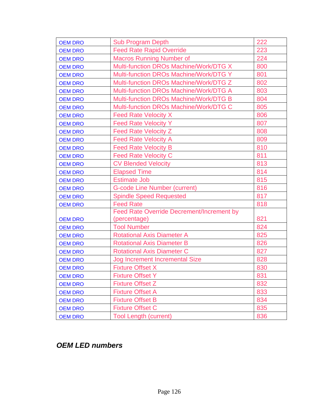| <b>OEM DRO</b> | <b>Sub Program Depth</b>                         | 222 |
|----------------|--------------------------------------------------|-----|
| <b>OEM DRO</b> | <b>Feed Rate Rapid Override</b>                  | 223 |
| <b>OEM DRO</b> | <b>Macros Running Number of</b>                  | 224 |
| <b>OEM DRO</b> | Multi-function DROs Machine/Work/DTG X           | 800 |
| <b>OEM DRO</b> | <b>Multi-function DROs Machine/Work/DTG Y</b>    | 801 |
| <b>OEM DRO</b> | Multi-function DROs Machine/Work/DTG Z           | 802 |
| <b>OEM DRO</b> | Multi-function DROs Machine/Work/DTG A           | 803 |
| <b>OEM DRO</b> | Multi-function DROs Machine/Work/DTG B           | 804 |
| <b>OEM DRO</b> | Multi-function DROs Machine/Work/DTG C           | 805 |
| <b>OEM DRO</b> | <b>Feed Rate Velocity X</b>                      | 806 |
| <b>OEM DRO</b> | <b>Feed Rate Velocity Y</b>                      | 807 |
| <b>OEM DRO</b> | <b>Feed Rate Velocity Z</b>                      | 808 |
| <b>OEM DRO</b> | <b>Feed Rate Velocity A</b>                      | 809 |
| <b>OEM DRO</b> | <b>Feed Rate Velocity B</b>                      | 810 |
| <b>OEM DRO</b> | <b>Feed Rate Velocity C</b>                      | 811 |
| <b>OEM DRO</b> | <b>CV Blended Velocity</b>                       | 813 |
| <b>OEM DRO</b> | <b>Elapsed Time</b>                              | 814 |
| <b>OEM DRO</b> | <b>Estimate Job</b>                              | 815 |
| <b>OEM DRO</b> | <b>G-code Line Number (current)</b>              | 816 |
| <b>OEM DRO</b> | <b>Spindle Speed Requested</b>                   | 817 |
| <b>OEM DRO</b> | <b>Feed Rate</b>                                 | 818 |
|                | <b>Feed Rate Override Decrement/Increment by</b> |     |
| <b>OEM DRO</b> | (percentage)                                     | 821 |
| <b>OEM DRO</b> | <b>Tool Number</b>                               | 824 |
| <b>OEM DRO</b> | <b>Rotational Axis Diameter A</b>                | 825 |
| <b>OEM DRO</b> | <b>Rotational Axis Diameter B</b>                | 826 |
| <b>OEM DRO</b> | <b>Rotational Axis Diameter C</b>                | 827 |
| <b>OEM DRO</b> | Jog Increment Incremental Size                   | 828 |
| <b>OEM DRO</b> | <b>Fixture Offset X</b>                          | 830 |
| <b>OEM DRO</b> | <b>Fixture Offset Y</b>                          | 831 |
| <b>OEM DRO</b> | <b>Fixture Offset Z</b>                          | 832 |
| <b>OEM DRO</b> | <b>Fixture Offset A</b>                          | 833 |
| <b>OEM DRO</b> | <b>Fixture Offset B</b>                          | 834 |
| <b>OEM DRO</b> | <b>Fixture Offset C</b>                          | 835 |
| <b>OEM DRO</b> | <b>Tool Length (current)</b>                     | 836 |

*OEM LED numbers*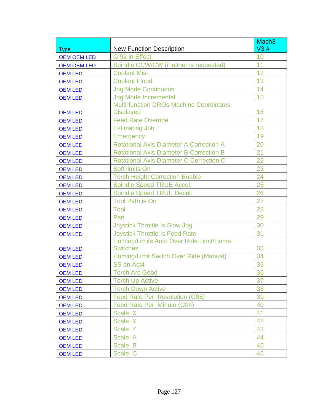|                    |                                                | Mach <sub>3</sub> |
|--------------------|------------------------------------------------|-------------------|
| <b>Type</b>        | <b>New Function Description</b>                | V3#               |
| <b>OEM OEM LED</b> | G 92 in Effect                                 | 10                |
| <b>OEM OEM LED</b> | Spindle CCW/CW (if either is requested)        | 11                |
| <b>OEM LED</b>     | <b>Coolant Mist</b>                            | 12                |
| <b>OEM LED</b>     | <b>Coolant Flood</b>                           | 13                |
| <b>OEM LED</b>     | <b>Jog Mode Continuous</b>                     | 14                |
| <b>OEM LED</b>     | <b>Jog Mode Incremental</b>                    | 15                |
|                    | <b>Multi-function DROs Machine Coordinates</b> |                   |
| <b>OEM LED</b>     | <b>Displayed</b>                               | 16                |
| <b>OEM LED</b>     | <b>Feed Rate Override</b>                      | 17                |
| <b>OEM LED</b>     | <b>Estimating Job</b>                          | 18                |
| <b>OEM LED</b>     | <b>Emergency</b>                               | 19                |
| <b>OEM LED</b>     | <b>Rotational Axis Diameter A Correction A</b> | 20                |
| <b>OEM LED</b>     | <b>Rotational Axis Diameter B Correction B</b> | 21                |
| <b>OEM LED</b>     | <b>Rotational Axis Diameter C Correction C</b> | 22                |
| <b>OEM LED</b>     | Soft limits On                                 | 23                |
| <b>OEM LED</b>     | <b>Torch Height Correction Enable</b>          | 24                |
| <b>OEM LED</b>     | <b>Spindle Speed TRUE Accel.</b>               | 25                |
| <b>OEM LED</b>     | Spindle Speed TRUE Decel.                      | 26                |
| <b>OEM LED</b>     | <b>Tool Path is On</b>                         | 27                |
| <b>OEM LED</b>     | Tool                                           | 28                |
| <b>OEM LED</b>     | Part                                           | 29                |
| <b>OEM LED</b>     | <b>Joystick Throttle Is Slow Jog</b>           | 30                |
| <b>OEM LED</b>     | <b>Joystick Throttle Is Feed Rate</b>          | 31                |
|                    | Homing/Limits Auto Over Ride Limit/Home        |                   |
| <b>OEM LED</b>     | <b>Switches</b>                                | 33                |
| <b>OEM LED</b>     | Homing/Limit Switch Over Ride (Manual)         | 34                |
| <b>OEM LED</b>     | SS on Act4                                     | 35                |
| <b>OEM LED</b>     | <b>Torch Arc Good</b>                          | 36                |
| <b>OEM LED</b>     | <b>Torch Up Active</b>                         | 37                |
| <b>OEM LED</b>     | <b>Torch Down Active</b>                       | 38                |
| <b>OEM LED</b>     | <b>Feed Rate Per Revolution (G95)</b>          | 39                |
| <b>OEM LED</b>     | Feed Rate Per Minute (G94)                     | 40                |
| <b>OEM LED</b>     | Scale X                                        | 41                |
| <b>OEM LED</b>     | Scale Y                                        | 42                |
| <b>OEM LED</b>     | Scale Z                                        | 43                |
| <b>OEM LED</b>     | Scale A                                        | 44                |
| <b>OEM LED</b>     | Scale B                                        | 45                |
| <b>OEM LED</b>     | Scale C                                        | 46                |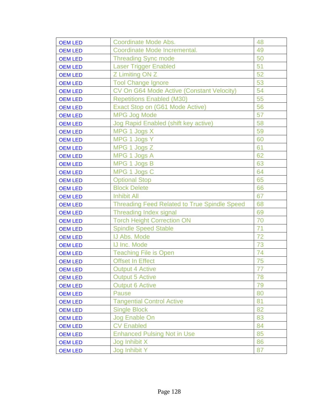| <b>OEM LED</b> | Coordinate Mode Abs.                                | 48 |
|----------------|-----------------------------------------------------|----|
| <b>OEM LED</b> | Coordinate Mode Incremental.                        | 49 |
| <b>OEM LED</b> | <b>Threading Sync mode</b>                          | 50 |
| <b>OEM LED</b> | <b>Laser Trigger Enabled</b>                        | 51 |
| <b>OEM LED</b> | Z Limiting ON Z                                     | 52 |
| <b>OEM LED</b> | <b>Tool Change Ignore</b>                           | 53 |
| <b>OEM LED</b> | CV On G64 Mode Active (Constant Velocity)           | 54 |
| <b>OEM LED</b> | <b>Repetitions Enabled (M30)</b>                    | 55 |
| <b>OEM LED</b> | Exact Stop on (G61 Mode Active)                     | 56 |
| <b>OEM LED</b> | <b>MPG Jog Mode</b>                                 | 57 |
| <b>OEM LED</b> | Jog Rapid Enabled (shift key active)                | 58 |
| <b>OEM LED</b> | MPG 1 Jogs X                                        | 59 |
| <b>OEM LED</b> | MPG 1 Jogs Y                                        | 60 |
| <b>OEM LED</b> | MPG 1 Jogs Z                                        | 61 |
| <b>OEM LED</b> | MPG 1 Jogs A                                        | 62 |
| <b>OEM LED</b> | MPG 1 Jogs B                                        | 63 |
| <b>OEM LED</b> | MPG 1 Jogs C                                        | 64 |
| <b>OEM LED</b> | <b>Optional Stop</b>                                | 65 |
| <b>OEM LED</b> | <b>Block Delete</b>                                 | 66 |
| <b>OEM LED</b> | <b>Inhibit All</b>                                  | 67 |
| <b>OEM LED</b> | <b>Threading Feed Related to True Spindle Speed</b> | 68 |
| <b>OEM LED</b> | <b>Threading Index signal</b>                       | 69 |
| <b>OEM LED</b> | <b>Torch Height Correction ON</b>                   | 70 |
| <b>OEM LED</b> | <b>Spindle Speed Stable</b>                         | 71 |
| <b>OEM LED</b> | <b>IJ Abs. Mode</b>                                 | 72 |
| <b>OEM LED</b> | <b>IJ Inc. Mode</b>                                 | 73 |
| <b>OEM LED</b> | <b>Teaching File is Open</b>                        | 74 |
| <b>OEM LED</b> | <b>Offset In Effect</b>                             | 75 |
| <b>OEM LED</b> | <b>Output 4 Active</b>                              | 77 |
| <b>OEM LED</b> | <b>Output 5 Active</b>                              | 78 |
| <b>OEM LED</b> | <b>Output 6 Active</b>                              | 79 |
| <b>OEM LED</b> | Pause                                               | 80 |
| <b>OEM LED</b> | <b>Tangential Control Active</b>                    | 81 |
| <b>OEM LED</b> | <b>Single Block</b>                                 | 82 |
| <b>OEM LED</b> | Jog Enable On                                       | 83 |
| <b>OEM LED</b> | <b>CV Enabled</b>                                   | 84 |
| <b>OEM LED</b> | <b>Enhanced Pulsing Not in Use</b>                  | 85 |
| <b>OEM LED</b> | Jog Inhibit X                                       | 86 |
| <b>OEM LED</b> | Jog Inhibit Y                                       | 87 |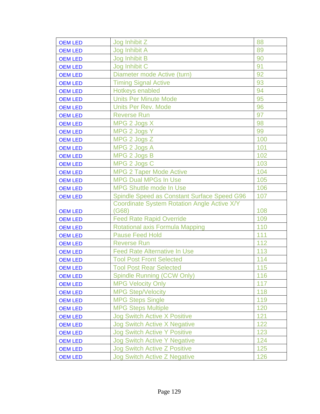| <b>OEM LED</b> | Jog Inhibit Z                                      | 88  |
|----------------|----------------------------------------------------|-----|
| <b>OEM LED</b> | Jog Inhibit A                                      | 89  |
| <b>OEM LED</b> | Jog Inhibit B                                      | 90  |
| <b>OEM LED</b> | Jog Inhibit C                                      | 91  |
| <b>OEM LED</b> | Diameter mode Active (turn)                        | 92  |
| <b>OEM LED</b> | <b>Timing Signal Active</b>                        | 93  |
| <b>OEM LED</b> | Hotkeys enabled                                    | 94  |
| <b>OEM LED</b> | <b>Units Per Minute Mode</b>                       | 95  |
| <b>OEM LED</b> | <b>Units Per Rev. Mode</b>                         | 96  |
| <b>OEM LED</b> | <b>Reverse Run</b>                                 | 97  |
| <b>OEM LED</b> | MPG 2 Jogs X                                       | 98  |
| <b>OEM LED</b> | MPG 2 Jogs Y                                       | 99  |
| <b>OEM LED</b> | MPG 2 Jogs Z                                       | 100 |
| <b>OEM LED</b> | MPG 2 Jogs A                                       | 101 |
| <b>OEM LED</b> | MPG 2 Jogs B                                       | 102 |
| <b>OEM LED</b> | MPG 2 Jogs C                                       | 103 |
| <b>OEM LED</b> | <b>MPG 2 Taper Mode Active</b>                     | 104 |
| <b>OEM LED</b> | <b>MPG Dual MPGs In Use</b>                        | 105 |
| <b>OEM LED</b> | <b>MPG Shuttle mode In Use</b>                     | 106 |
| <b>OEM LED</b> | <b>Spindle Speed as Constant Surface Speed G96</b> | 107 |
|                |                                                    |     |
|                | Coordinate System Rotation Angle Active X/Y        |     |
| <b>OEM LED</b> | (G68)                                              | 108 |
| <b>OEM LED</b> | <b>Feed Rate Rapid Override</b>                    | 109 |
| <b>OEM LED</b> | Rotational axis Formula Mapping                    | 110 |
| <b>OEM LED</b> | <b>Pause Feed Hold</b>                             | 111 |
| <b>OEM LED</b> | <b>Reverse Run</b>                                 | 112 |
| <b>OEM LED</b> | <b>Feed Rate Alternative In Use</b>                | 113 |
| <b>OEM LED</b> | <b>Tool Post Front Selected</b>                    | 114 |
| <b>OEM LED</b> | <b>Tool Post Rear Selected</b>                     | 115 |
| <b>OEM LED</b> | Spindle Running (CCW Only)                         | 116 |
| <b>OEM LED</b> | <b>MPG Velocity Only</b>                           | 117 |
| <b>OEM LED</b> | <b>MPG Step/Velocity</b>                           | 118 |
| <b>OEM LED</b> | <b>MPG Steps Single</b>                            | 119 |
| <b>OEM LED</b> | <b>MPG Steps Multiple</b>                          | 120 |
| <b>OEM LED</b> | <b>Jog Switch Active X Positive</b>                | 121 |
| <b>OEM LED</b> | <b>Jog Switch Active X Negative</b>                | 122 |
| <b>OEM LED</b> | <b>Jog Switch Active Y Positive</b>                | 123 |
| <b>OEM LED</b> | <b>Jog Switch Active Y Negative</b>                | 124 |
| <b>OEM LED</b> | <b>Jog Switch Active Z Positive</b>                | 125 |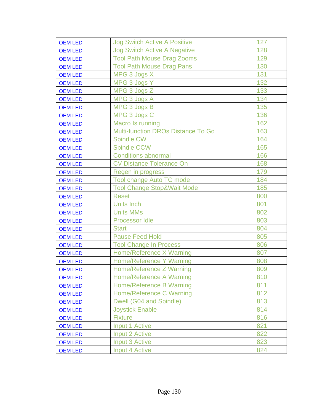| <b>OEM LED</b> | <b>Jog Switch Active A Positive</b>       | 127 |
|----------------|-------------------------------------------|-----|
| <b>OEM LED</b> | <b>Jog Switch Active A Negative</b>       | 128 |
| <b>OEM LED</b> | <b>Tool Path Mouse Drag Zooms</b>         | 129 |
| <b>OEM LED</b> | <b>Tool Path Mouse Drag Pans</b>          | 130 |
| <b>OEM LED</b> | MPG 3 Jogs X                              | 131 |
| <b>OEM LED</b> | MPG 3 Jogs Y                              | 132 |
| <b>OEM LED</b> | MPG 3 Jogs Z                              | 133 |
| <b>OEM LED</b> | MPG 3 Jogs A                              | 134 |
| <b>OEM LED</b> | MPG 3 Jogs B                              | 135 |
| <b>OEM LED</b> | MPG 3 Jogs C                              | 136 |
| <b>OEM LED</b> | Macro Is running                          | 162 |
| <b>OEM LED</b> | <b>Multi-function DROs Distance To Go</b> | 163 |
| <b>OEM LED</b> | <b>Spindle CW</b>                         | 164 |
| <b>OEM LED</b> | <b>Spindle CCW</b>                        | 165 |
| <b>OEM LED</b> | <b>Conditions abnormal</b>                | 166 |
| <b>OEM LED</b> | <b>CV Distance Tolerance On</b>           | 168 |
| <b>OEM LED</b> | Regen in progress                         | 179 |
| <b>OEM LED</b> | <b>Tool change Auto TC mode</b>           | 184 |
| <b>OEM LED</b> | <b>Tool Change Stop&amp;Wait Mode</b>     | 185 |
| <b>OEM LED</b> | <b>Reset</b>                              | 800 |
| <b>OEM LED</b> | <b>Units Inch</b>                         | 801 |
| <b>OEM LED</b> | <b>Units MMs</b>                          | 802 |
| <b>OEM LED</b> | <b>Processor Idle</b>                     | 803 |
| <b>OEM LED</b> | <b>Start</b>                              | 804 |
| <b>OEM LED</b> | <b>Pause Feed Hold</b>                    | 805 |
| <b>OEM LED</b> | <b>Tool Change In Process</b>             | 806 |
| <b>OEM LED</b> | <b>Home/Reference X Warning</b>           | 807 |
| <b>OEM LED</b> | <b>Home/Reference Y Warning</b>           | 808 |
| <b>OEM LED</b> | Home/Reference Z Warning                  | 809 |
| <b>OEM LED</b> | Home/Reference A Warning                  | 810 |
| <b>OEM LED</b> | <b>Home/Reference B Warning</b>           | 811 |
| <b>OEM LED</b> | Home/Reference C Warning                  | 812 |
| <b>OEM LED</b> | Dwell (G04 and Spindle)                   | 813 |
| <b>OEM LED</b> | <b>Joystick Enable</b>                    | 814 |
| <b>OEM LED</b> | <b>Fixture</b>                            | 816 |
| <b>OEM LED</b> | Input 1 Active                            | 821 |
| <b>OEM LED</b> | Input 2 Active                            | 822 |
| <b>OEM LED</b> | <b>Input 3 Active</b>                     | 823 |
| <b>OEM LED</b> | <b>Input 4 Active</b>                     | 824 |
|                |                                           |     |